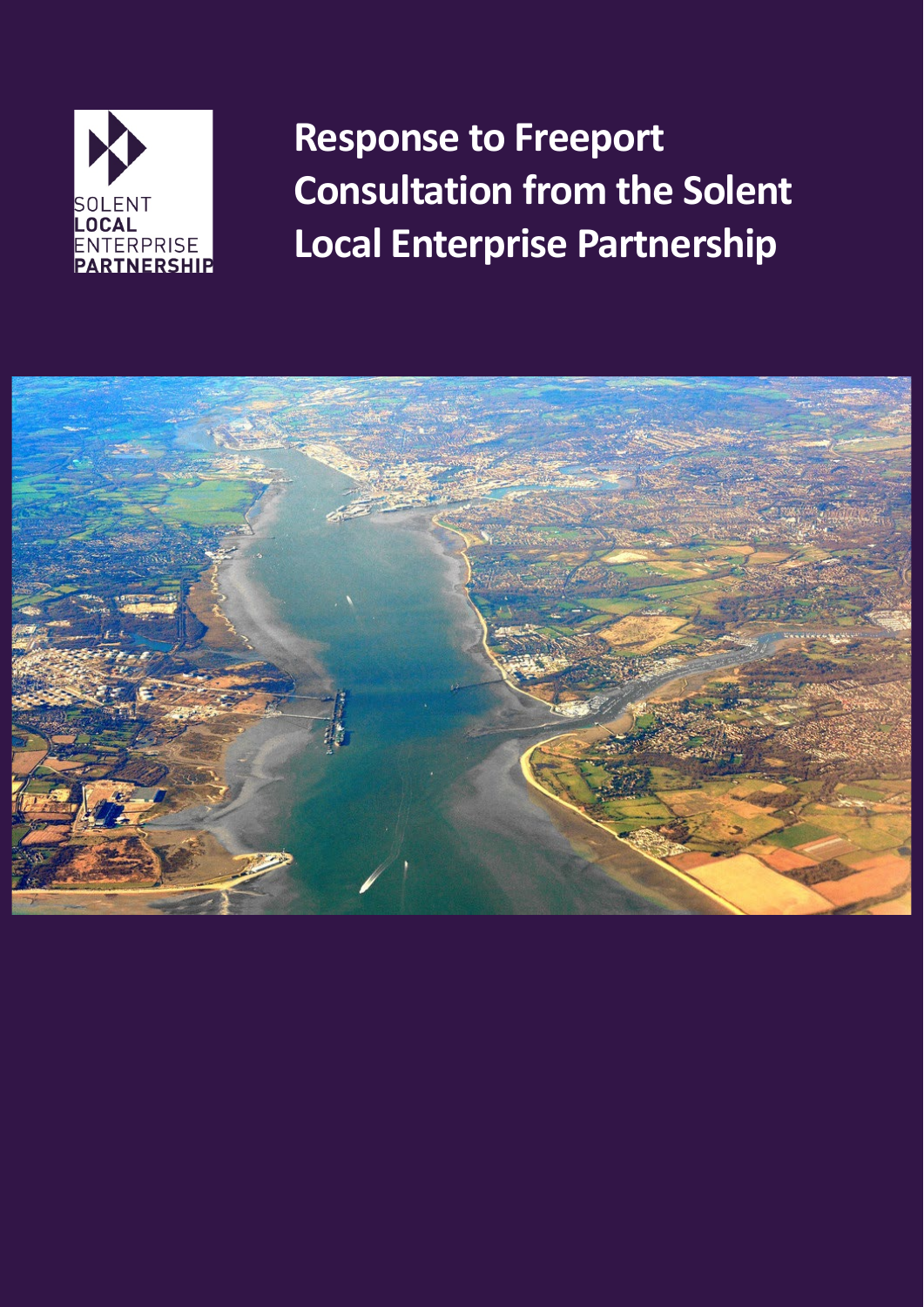

**Response to Freeport Consultation from the Solent Local Enterprise Partnership**

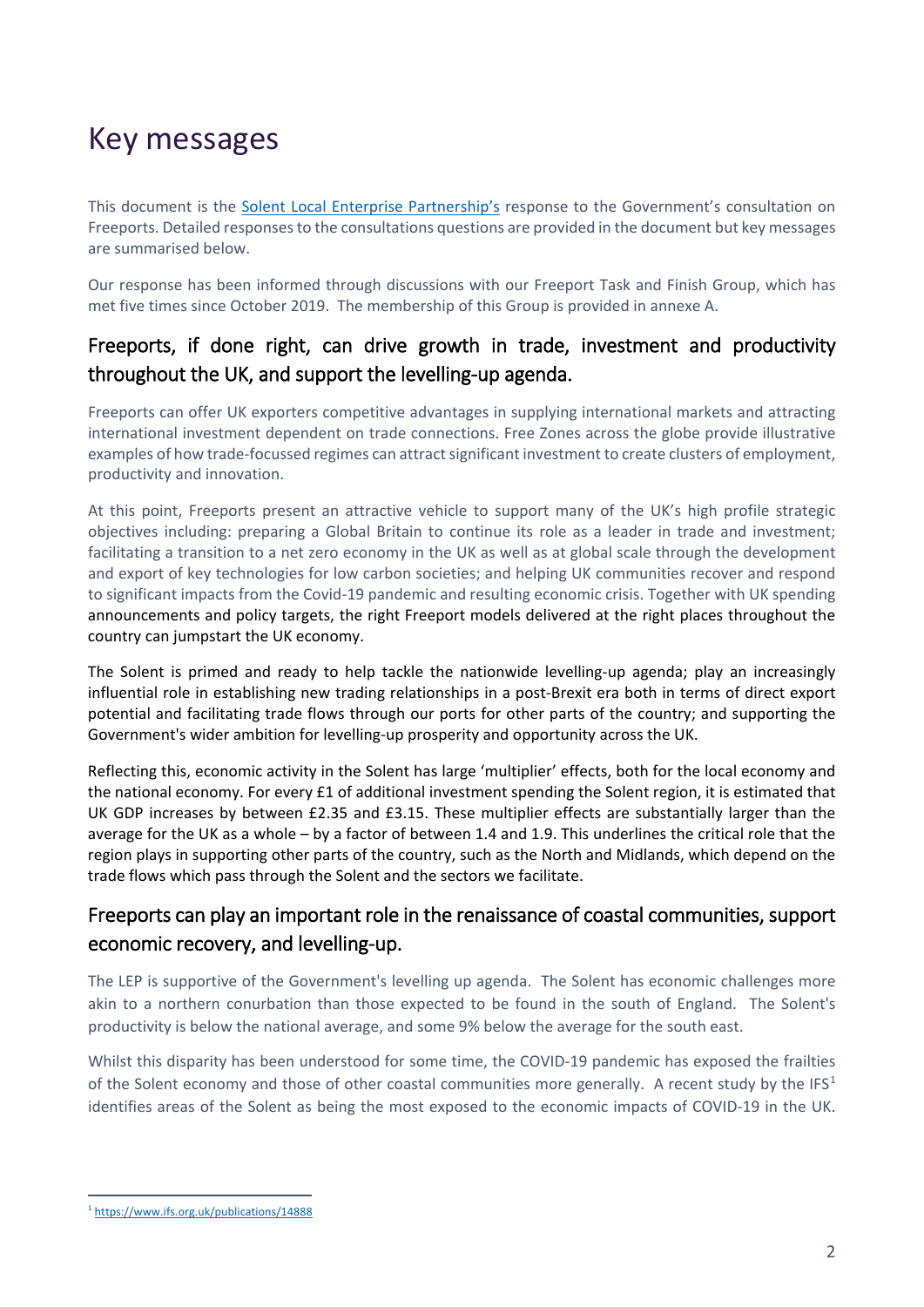# Key messages

This document is the [Solent Local Enterprise Partnership's](https://solentlep.org.uk/) response to the Government's consultation on Freeports. Detailed responses to the consultations questions are provided in the document but key messages are summarised below.

Our response has been informed through discussions with our Freeport Task and Finish Group, which has met five times since October 2019. The membership of this Group is provided in annexe A.

# Freeports, if done right, can drive growth in trade, investment and productivity throughout the UK, and support the levelling-up agenda.

Freeports can offer UK exporters competitive advantages in supplying international markets and attracting international investment dependent on trade connections. Free Zones across the globe provide illustrative examples of how trade-focussed regimes can attract significant investment to create clusters of employment, productivity and innovation.

At this point, Freeports present an attractive vehicle to support many of the UK's high profile strategic objectives including: preparing a Global Britain to continue its role as a leader in trade and investment; facilitating a transition to a net zero economy in the UK as well as at global scale through the development and export of key technologies for low carbon societies; and helping UK communities recover and respond to significant impacts from the Covid-19 pandemic and resulting economic crisis. Together with UK spending announcements and policy targets, the right Freeport models delivered at the right places throughout the country can jumpstart the UK economy.

The Solent is primed and ready to help tackle the nationwide levelling-up agenda; play an increasingly influential role in establishing new trading relationships in a post-Brexit era both in terms of direct export potential and facilitating trade flows through our ports for other parts of the country; and supporting the Government's wider ambition for levelling-up prosperity and opportunity across the UK.

Reflecting this, economic activity in the Solent has large 'multiplier' effects, both for the local economy and the national economy. For every £1 of additional investment spending the Solent region, it is estimated that UK GDP increases by between £2.35 and £3.15. These multiplier effects are substantially larger than the average for the UK as a whole – by a factor of between 1.4 and 1.9. This underlines the critical role that the region plays in supporting other parts of the country, such as the North and Midlands, which depend on the trade flows which pass through the Solent and the sectors we facilitate.

# Freeports can play an important role in the renaissance of coastal communities, support economic recovery, and levelling-up.

The LEP is supportive of the Government's levelling up agenda. The Solent has economic challenges more akin to a northern conurbation than those expected to be found in the south of England. The Solent's productivity is below the national average, and some 9% below the average for the south east.

Whilst this disparity has been understood for some time, the COVID-19 pandemic has exposed the frailties of the Solent economy and those of other coastal communities more generally. A recent study by the IFS<sup>[1](#page-1-0)</sup> identifies areas of the Solent as being the most exposed to the economic impacts of COVID-19 in the UK.

<span id="page-1-0"></span> <sup>1</sup> <https://www.ifs.org.uk/publications/14888>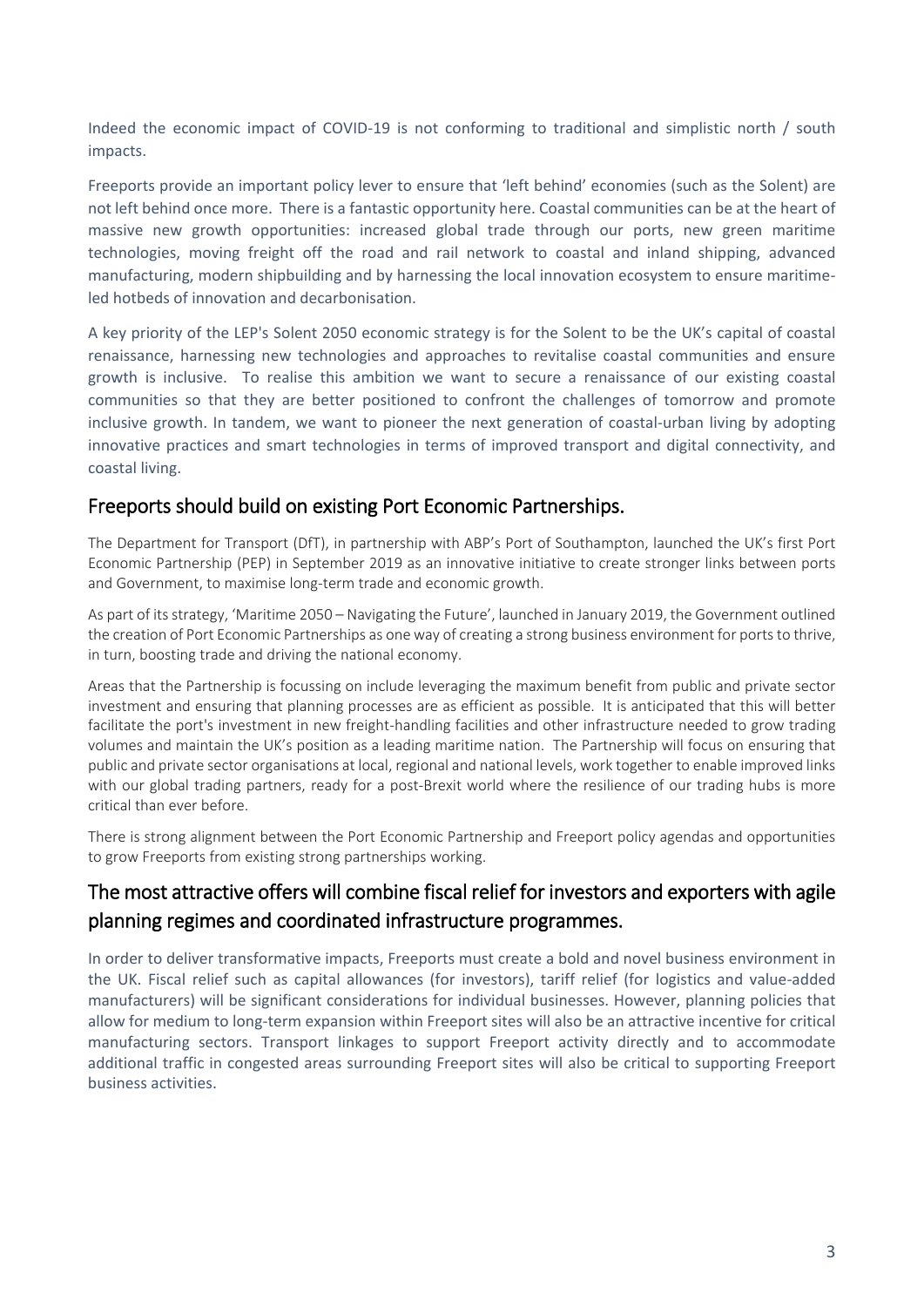Indeed the economic impact of COVID-19 is not conforming to traditional and simplistic north / south impacts.

Freeports provide an important policy lever to ensure that 'left behind' economies (such as the Solent) are not left behind once more. There is a fantastic opportunity here. Coastal communities can be at the heart of massive new growth opportunities: increased global trade through our ports, new green maritime technologies, moving freight off the road and rail network to coastal and inland shipping, advanced manufacturing, modern shipbuilding and by harnessing the local innovation ecosystem to ensure maritimeled hotbeds of innovation and decarbonisation.

A key priority of the LEP's Solent 2050 economic strategy is for the Solent to be the UK's capital of coastal renaissance, harnessing new technologies and approaches to revitalise coastal communities and ensure growth is inclusive. To realise this ambition we want to secure a renaissance of our existing coastal communities so that they are better positioned to confront the challenges of tomorrow and promote inclusive growth. In tandem, we want to pioneer the next generation of coastal-urban living by adopting innovative practices and smart technologies in terms of improved transport and digital connectivity, and coastal living.

## Freeports should build on existing Port Economic Partnerships.

The Department for Transport (DfT), in partnership with ABP's Port of Southampton, launched the UK's first Port Economic Partnership (PEP) in September 2019 as an innovative initiative to create stronger links between ports and Government, to maximise long-term trade and economic growth.

As part of its strategy, 'Maritime 2050 – Navigating the Future', launched in January 2019, the Government outlined the creation of Port Economic Partnerships as one way of creating a strong business environment for ports to thrive, in turn, boosting trade and driving the national economy.

Areas that the Partnership is focussing on include leveraging the maximum benefit from public and private sector investment and ensuring that planning processes are as efficient as possible. It is anticipated that this will better facilitate the port's investment in new freight-handling facilities and other infrastructure needed to grow trading volumes and maintain the UK's position as a leading maritime nation. The Partnership will focus on ensuring that public and private sector organisations at local, regional and national levels, work together to enable improved links with our global trading partners, ready for a post-Brexit world where the resilience of our trading hubs is more critical than ever before.

There is strong alignment between the Port Economic Partnership and Freeport policy agendas and opportunities to grow Freeports from existing strong partnerships working.

# The most attractive offers will combine fiscal relief for investors and exporters with agile planning regimes and coordinated infrastructure programmes.

In order to deliver transformative impacts, Freeports must create a bold and novel business environment in the UK. Fiscal relief such as capital allowances (for investors), tariff relief (for logistics and value-added manufacturers) will be significant considerations for individual businesses. However, planning policies that allow for medium to long-term expansion within Freeport sites will also be an attractive incentive for critical manufacturing sectors. Transport linkages to support Freeport activity directly and to accommodate additional traffic in congested areas surrounding Freeport sites will also be critical to supporting Freeport business activities.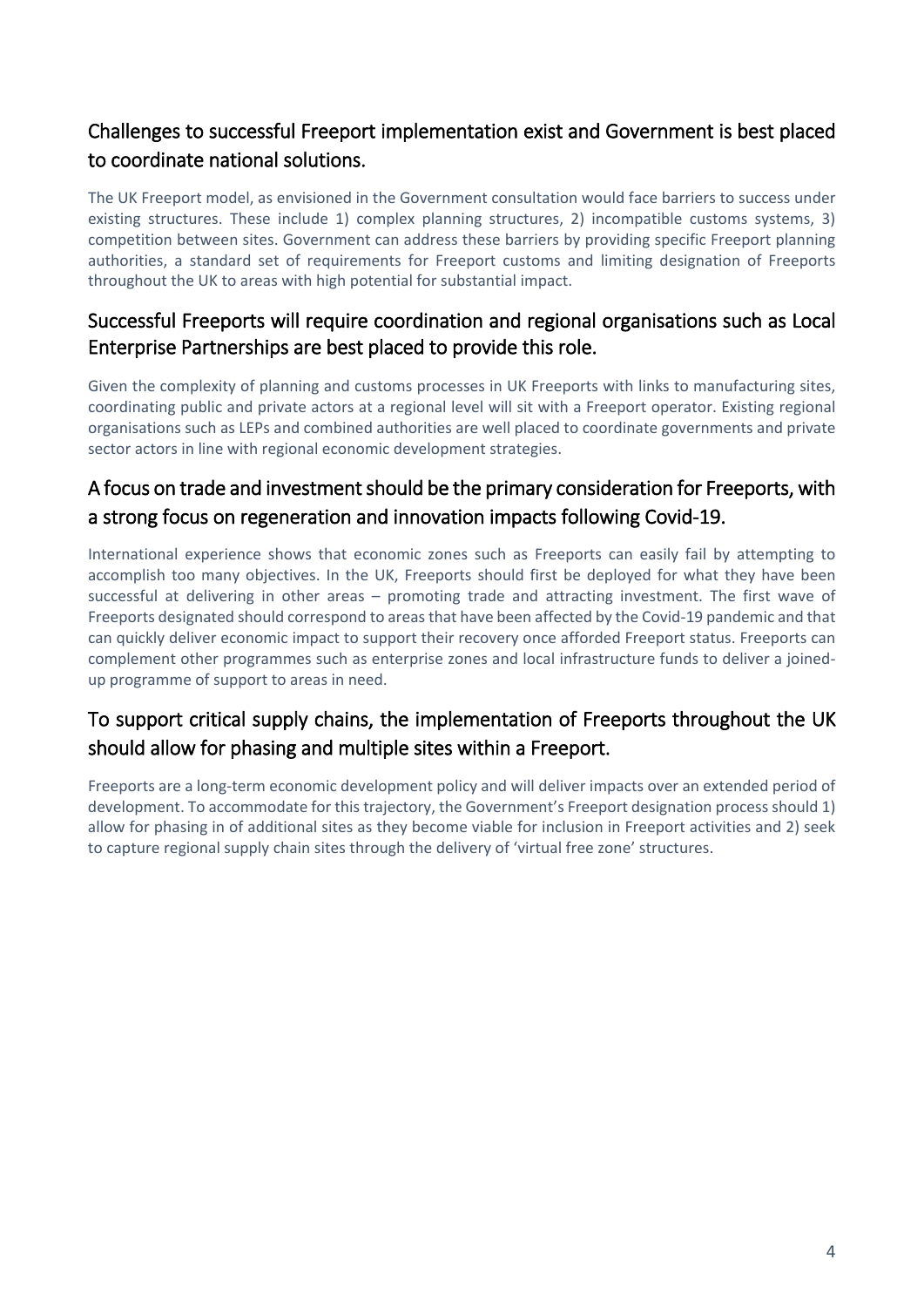# Challenges to successful Freeport implementation exist and Government is best placed to coordinate national solutions.

The UK Freeport model, as envisioned in the Government consultation would face barriers to success under existing structures. These include 1) complex planning structures, 2) incompatible customs systems, 3) competition between sites. Government can address these barriers by providing specific Freeport planning authorities, a standard set of requirements for Freeport customs and limiting designation of Freeports throughout the UK to areas with high potential for substantial impact.

# Successful Freeports will require coordination and regional organisations such as Local Enterprise Partnerships are best placed to provide this role.

Given the complexity of planning and customs processes in UK Freeports with links to manufacturing sites, coordinating public and private actors at a regional level will sit with a Freeport operator. Existing regional organisations such as LEPs and combined authorities are well placed to coordinate governments and private sector actors in line with regional economic development strategies.

# A focus on trade and investment should be the primary consideration for Freeports, with a strong focus on regeneration and innovation impacts following Covid-19.

International experience shows that economic zones such as Freeports can easily fail by attempting to accomplish too many objectives. In the UK, Freeports should first be deployed for what they have been successful at delivering in other areas – promoting trade and attracting investment. The first wave of Freeports designated should correspond to areas that have been affected by the Covid-19 pandemic and that can quickly deliver economic impact to support their recovery once afforded Freeport status. Freeports can complement other programmes such as enterprise zones and local infrastructure funds to deliver a joinedup programme of support to areas in need.

# To support critical supply chains, the implementation of Freeports throughout the UK should allow for phasing and multiple sites within a Freeport.

Freeports are a long-term economic development policy and will deliver impacts over an extended period of development. To accommodate for this trajectory, the Government's Freeport designation process should 1) allow for phasing in of additional sites as they become viable for inclusion in Freeport activities and 2) seek to capture regional supply chain sites through the delivery of 'virtual free zone' structures.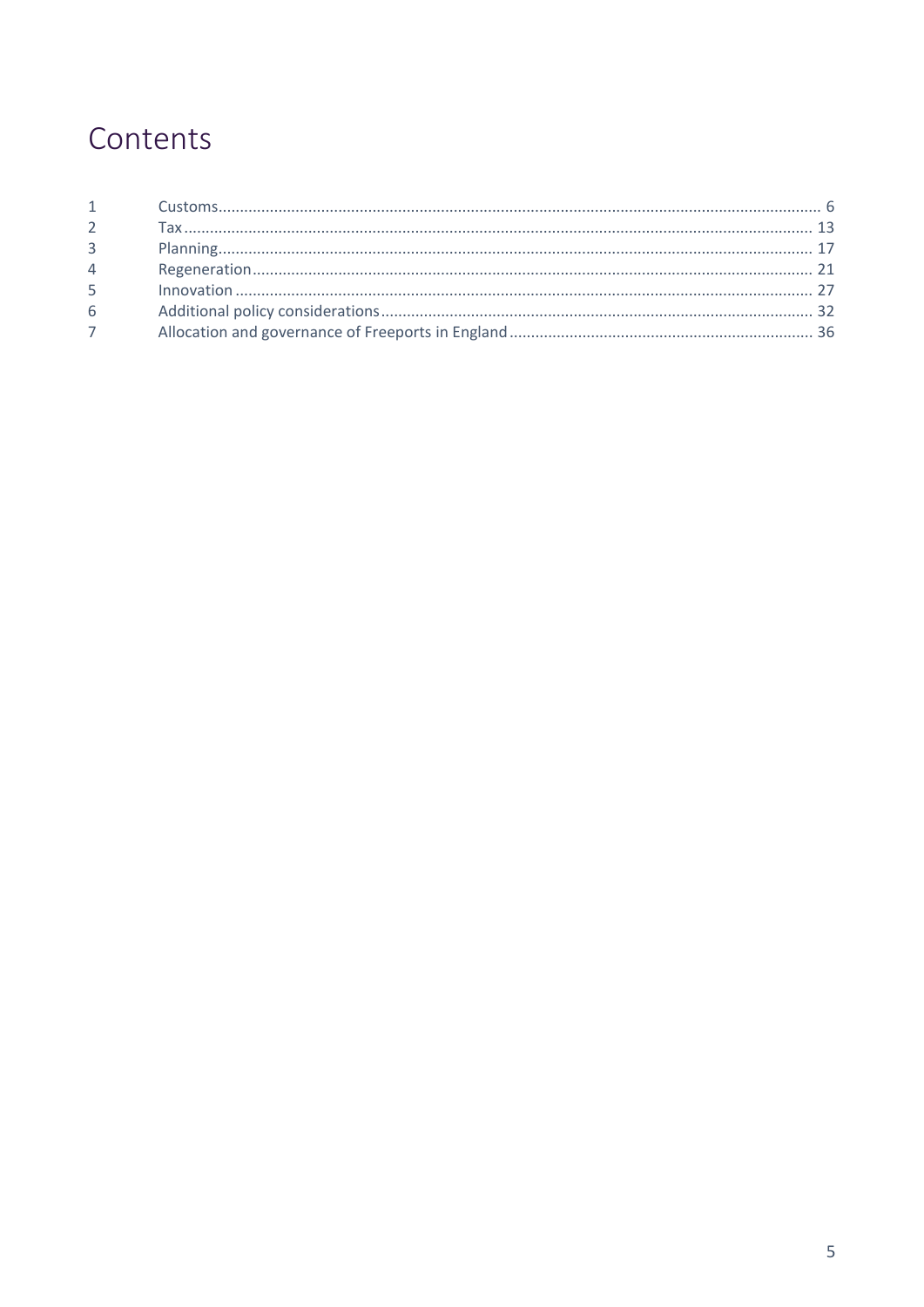# Contents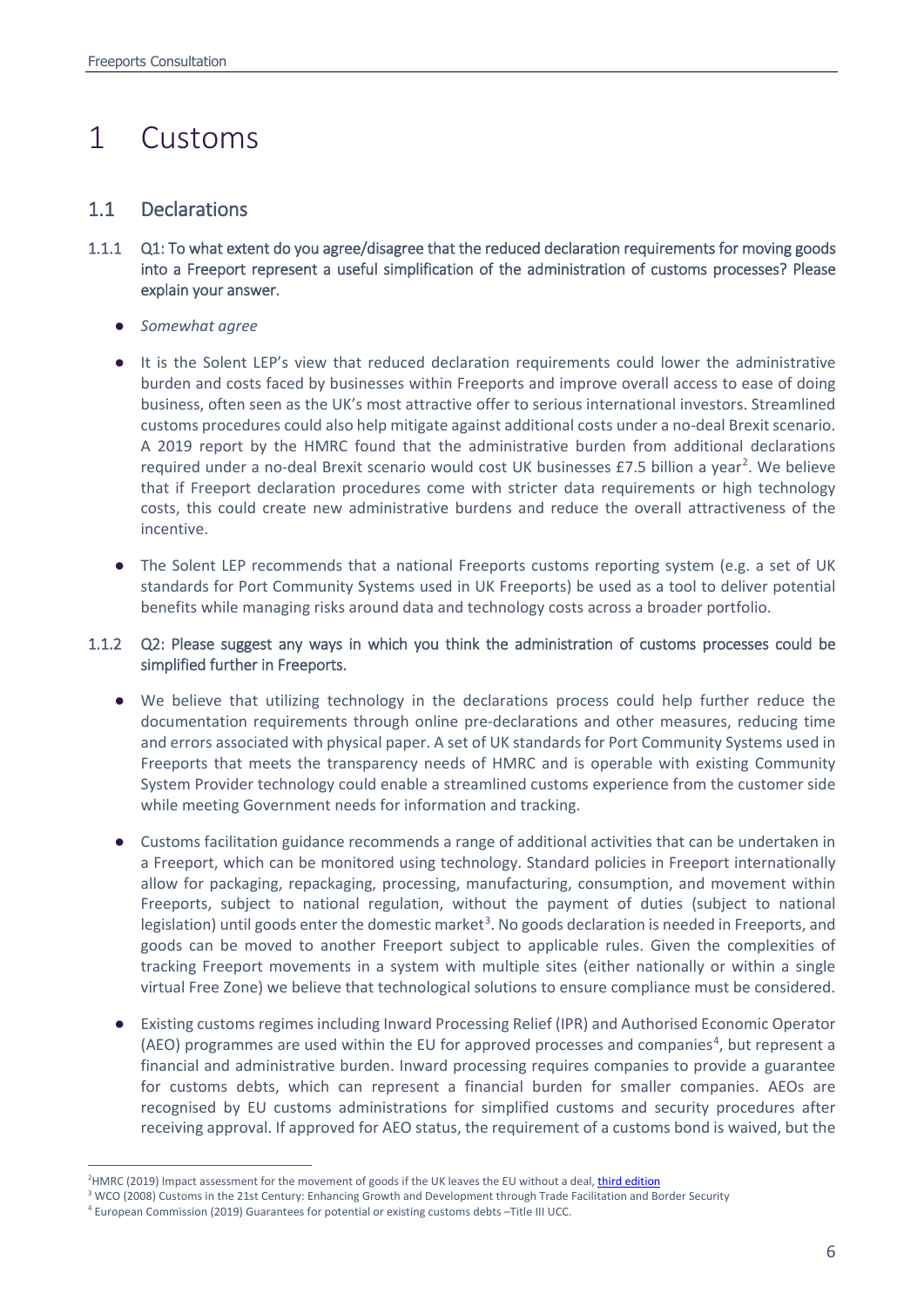# <span id="page-5-0"></span>1 Customs

## 1.1 Declarations

- 1.1.1 Q1: To what extent do you agree/disagree that the reduced declaration requirements for moving goods into a Freeport represent a useful simplification of the administration of customs processes? Please explain your answer.
	- *Somewhat agree*
	- It is the Solent LEP's view that reduced declaration requirements could lower the administrative burden and costs faced by businesses within Freeports and improve overall access to ease of doing business, often seen as the UK's most attractive offer to serious international investors. Streamlined customs procedures could also help mitigate against additional costs under a no-deal Brexit scenario. A 2019 report by the HMRC found that the administrative burden from additional declarations required under a no-deal Brexit scenario would cost UK businesses £7.5 billion a year<sup>[2](#page-5-1)</sup>. We believe that if Freeport declaration procedures come with stricter data requirements or high technology costs, this could create new administrative burdens and reduce the overall attractiveness of the incentive.
	- The Solent LEP recommends that a national Freeports customs reporting system (e.g. a set of UK standards for Port Community Systems used in UK Freeports) be used as a tool to deliver potential benefits while managing risks around data and technology costs across a broader portfolio.

## 1.1.2 Q2: Please suggest any ways in which you think the administration of customs processes could be simplified further in Freeports.

- We believe that utilizing technology in the declarations process could help further reduce the documentation requirements through online pre-declarations and other measures, reducing time and errors associated with physical paper. A set of UK standards for Port Community Systems used in Freeports that meets the transparency needs of HMRC and is operable with existing Community System Provider technology could enable a streamlined customs experience from the customer side while meeting Government needs for information and tracking.
- Customs facilitation guidance recommends a range of additional activities that can be undertaken in a Freeport, which can be monitored using technology. Standard policies in Freeport internationally allow for packaging, repackaging, processing, manufacturing, consumption, and movement within Freeports, subject to national regulation, without the payment of duties (subject to national legislation) until goods enter the domestic market<sup>[3](#page-5-2)</sup>. No goods declaration is needed in Freeports, and goods can be moved to another Freeport subject to applicable rules. Given the complexities of tracking Freeport movements in a system with multiple sites (either nationally or within a single virtual Free Zone) we believe that technological solutions to ensure compliance must be considered.
- Existing customs regimes including Inward Processing Relief (IPR) and Authorised Economic Operator (AEO) programmes are used within the EU for approved processes and companies<sup>[4](#page-5-3)</sup>, but represent a financial and administrative burden. Inward processing requires companies to provide a guarantee for customs debts, which can represent a financial burden for smaller companies. AEOs are recognised by EU customs administrations for simplified customs and security procedures after receiving approval. If approved for AEO status, the requirement of a customs bond is waived, but the

 $\frac{1}{2}$ <sup>2</sup>HMRC (2019) Impact assessment for the movement of goods if the UK leaves the EU without a deal[, third edition](https://www.gov.uk/government/publications/hmrc-impact-assessment-for-the-movement-of-goods-if-the-uk-leaves-the-eu-without-a-deal/hmrc-impact-assessment-for-the-movement-of-goods-if-the-uk-leaves-the-eu-without-a-deal-third-edition#section-c)

<span id="page-5-2"></span><span id="page-5-1"></span><sup>&</sup>lt;sup>3</sup> WCO (2008) Customs in the 21st Century: Enhancing Growth and Development through Trade Facilitation and Border Security

<span id="page-5-3"></span><sup>4</sup> European Commission (2019) Guarantees for potential or existing customs debts –Title III UCC.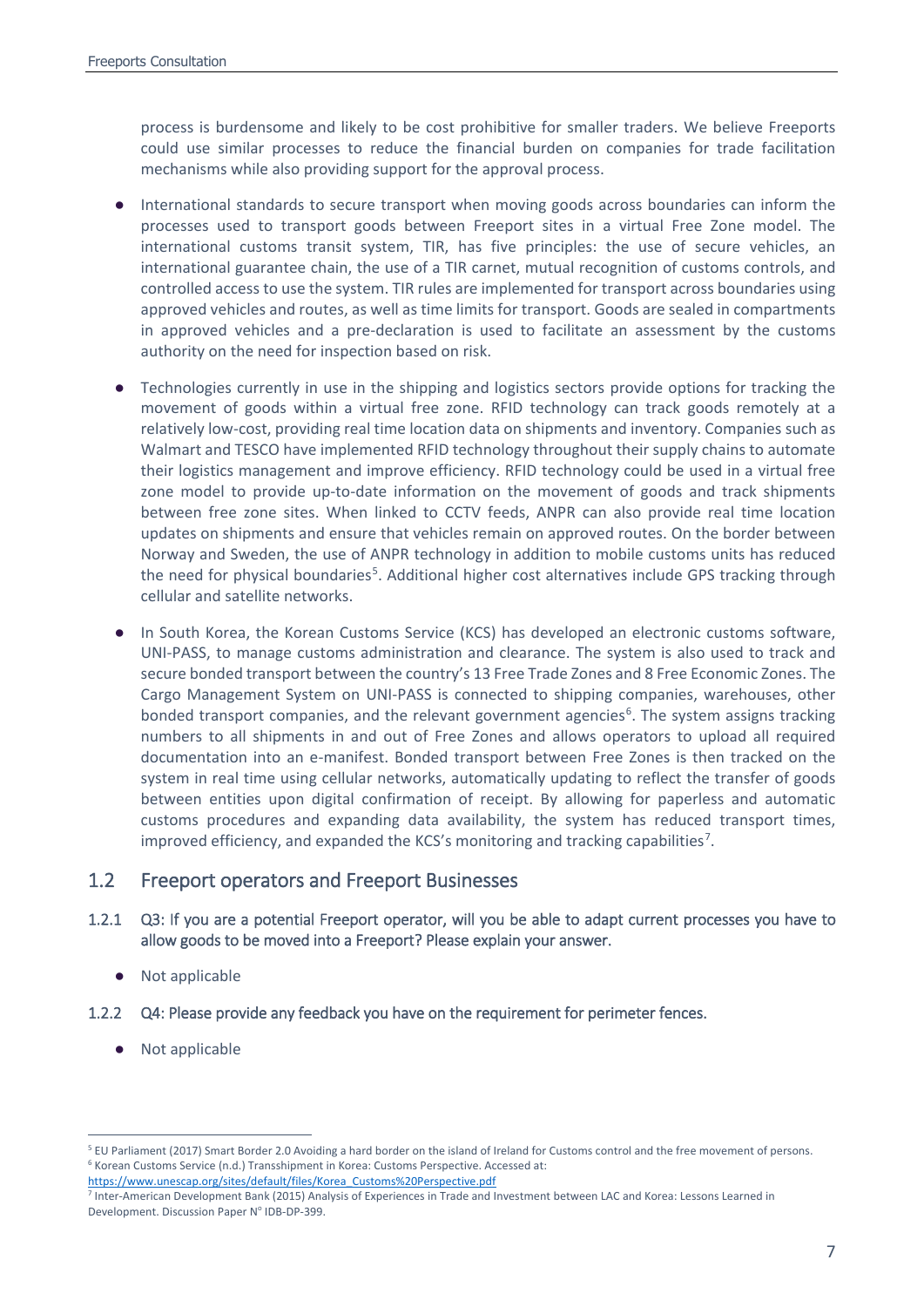process is burdensome and likely to be cost prohibitive for smaller traders. We believe Freeports could use similar processes to reduce the financial burden on companies for trade facilitation mechanisms while also providing support for the approval process.

- International standards to secure transport when moving goods across boundaries can inform the processes used to transport goods between Freeport sites in a virtual Free Zone model. The international customs transit system, TIR, has five principles: the use of secure vehicles, an international guarantee chain, the use of a TIR carnet, mutual recognition of customs controls, and controlled access to use the system. TIR rules are implemented for transport across boundaries using approved vehicles and routes, as well as time limits for transport. Goods are sealed in compartments in approved vehicles and a pre-declaration is used to facilitate an assessment by the customs authority on the need for inspection based on risk.
- Technologies currently in use in the shipping and logistics sectors provide options for tracking the movement of goods within a virtual free zone. RFID technology can track goods remotely at a relatively low-cost, providing real time location data on shipments and inventory. Companies such as Walmart and TESCO have implemented RFID technology throughout their supply chains to automate their logistics management and improve efficiency. RFID technology could be used in a virtual free zone model to provide up-to-date information on the movement of goods and track shipments between free zone sites. When linked to CCTV feeds, ANPR can also provide real time location updates on shipments and ensure that vehicles remain on approved routes. On the border between Norway and Sweden, the use of ANPR technology in addition to mobile customs units has reduced the need for physical boundaries<sup>[5](#page-6-0)</sup>. Additional higher cost alternatives include GPS tracking through cellular and satellite networks.
- In South Korea, the Korean Customs Service (KCS) has developed an electronic customs software, UNI-PASS, to manage customs administration and clearance. The system is also used to track and secure bonded transport between the country's 13 Free Trade Zones and 8 Free Economic Zones. The Cargo Management System on UNI-PASS is connected to shipping companies, warehouses, other bonded transport companies, and the relevant government agencies<sup>[6](#page-6-1)</sup>. The system assigns tracking numbers to all shipments in and out of Free Zones and allows operators to upload all required documentation into an e-manifest. Bonded transport between Free Zones is then tracked on the system in real time using cellular networks, automatically updating to reflect the transfer of goods between entities upon digital confirmation of receipt. By allowing for paperless and automatic customs procedures and expanding data availability, the system has reduced transport times, improved efficiency, and expanded the KCS's monitoring and tracking capabilities<sup>[7](#page-6-2)</sup>.

## 1.2 Freeport operators and Freeport Businesses

- 1.2.1 Q3: If you are a potential Freeport operator, will you be able to adapt current processes you have to allow goods to be moved into a Freeport? Please explain your answer.
	- Not applicable
- 1.2.2 Q4: Please provide any feedback you have on the requirement for perimeter fences.
	- Not applicable

<span id="page-6-1"></span><span id="page-6-0"></span> <sup>5</sup> EU Parliament (2017) Smart Border 2.0 Avoiding a hard border on the island of Ireland for Customs control and the free movement of persons.  $6$  Korean Customs Service (n.d.) Transshipment in Korea: Customs Perspective. Accessed at: [https://www.unescap.org/sites/default/files/Korea\\_Customs%20Perspective.pdf](https://www.unescap.org/sites/default/files/Korea_Customs%20Perspective.pdf)

<span id="page-6-2"></span><sup>7</sup> Inter-American Development Bank (2015) Analysis of Experiences in Trade and Investment between LAC and Korea: Lessons Learned in Development. Discussion Paper Nº IDB-DP-399.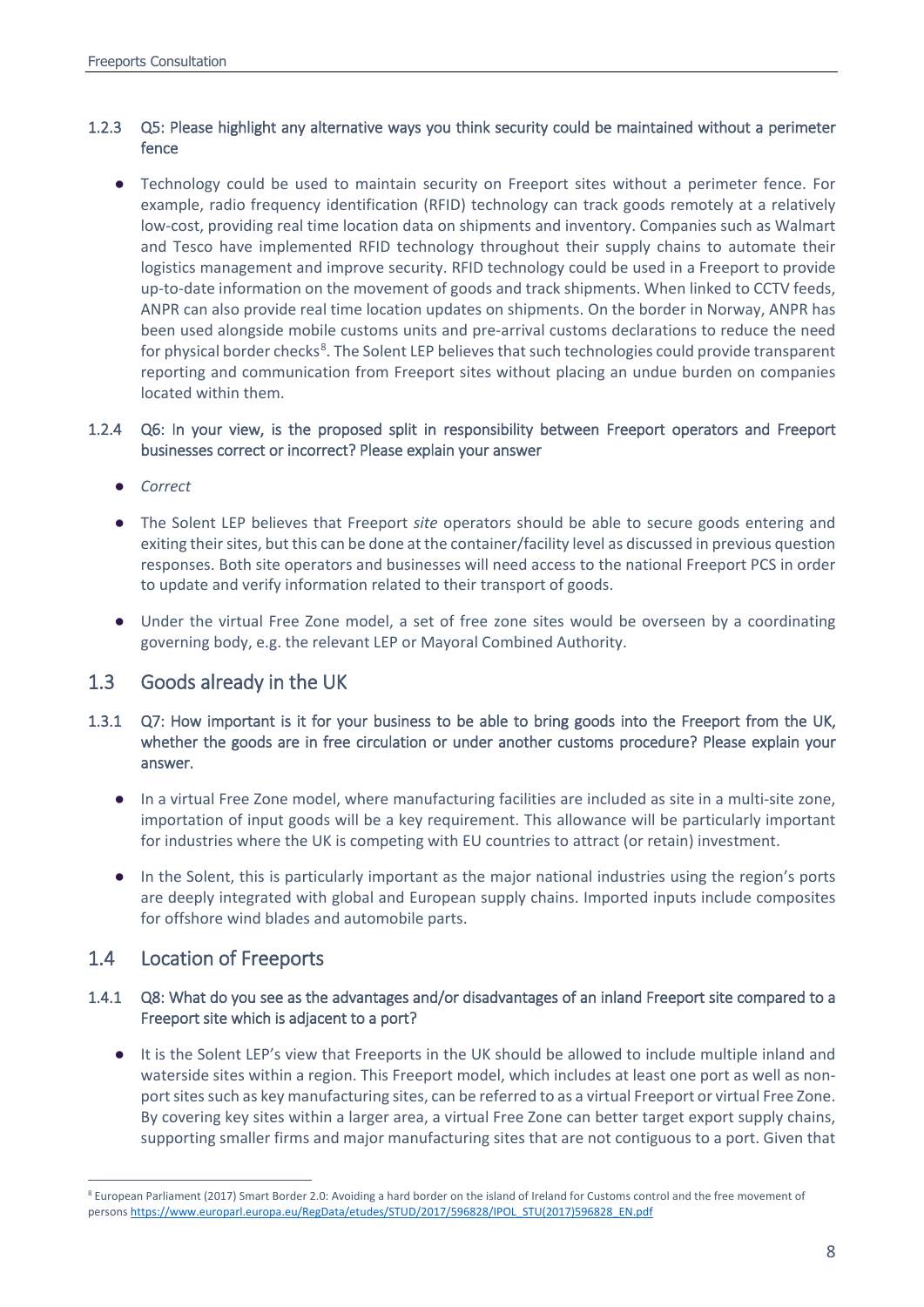## 1.2.3 Q5: Please highlight any alternative ways you think security could be maintained without a perimeter fence

● Technology could be used to maintain security on Freeport sites without a perimeter fence. For example, radio frequency identification (RFID) technology can track goods remotely at a relatively low-cost, providing real time location data on shipments and inventory. Companies such as Walmart and Tesco have implemented RFID technology throughout their supply chains to automate their logistics management and improve security. RFID technology could be used in a Freeport to provide up-to-date information on the movement of goods and track shipments. When linked to CCTV feeds, ANPR can also provide real time location updates on shipments. On the border in Norway, ANPR has been used alongside mobile customs units and pre-arrival customs declarations to reduce the need for physical border checks<sup>[8](#page-7-0)</sup>. The Solent LEP believes that such technologies could provide transparent reporting and communication from Freeport sites without placing an undue burden on companies located within them.

## 1.2.4 Q6: In your view, is the proposed split in responsibility between Freeport operators and Freeport businesses correct or incorrect? Please explain your answer

- *Correct*
- The Solent LEP believes that Freeport *site* operators should be able to secure goods entering and exiting their sites, but this can be done at the container/facility level as discussed in previous question responses. Both site operators and businesses will need access to the national Freeport PCS in order to update and verify information related to their transport of goods.
- Under the virtual Free Zone model, a set of free zone sites would be overseen by a coordinating governing body, e.g. the relevant LEP or Mayoral Combined Authority.

## 1.3 Goods already in the UK

- 1.3.1 Q7: How important is it for your business to be able to bring goods into the Freeport from the UK, whether the goods are in free circulation or under another customs procedure? Please explain your answer.
	- In a virtual Free Zone model, where manufacturing facilities are included as site in a multi-site zone, importation of input goods will be a key requirement. This allowance will be particularly important for industries where the UK is competing with EU countries to attract (or retain) investment.
	- In the Solent, this is particularly important as the major national industries using the region's ports are deeply integrated with global and European supply chains. Imported inputs include composites for offshore wind blades and automobile parts.

## 1.4 Location of Freeports

## 1.4.1 Q8: What do you see as the advantages and/or disadvantages of an inland Freeport site compared to a Freeport site which is adjacent to a port?

● It is the Solent LEP's view that Freeports in the UK should be allowed to include multiple inland and waterside sites within a region. This Freeport model, which includes at least one port as well as nonport sites such as key manufacturing sites, can be referred to as a virtual Freeport or virtual Free Zone. By covering key sites within a larger area, a virtual Free Zone can better target export supply chains, supporting smaller firms and major manufacturing sites that are not contiguous to a port. Given that

<span id="page-7-0"></span> <sup>8</sup> European Parliament (2017) Smart Border 2.0: Avoiding a hard border on the island of Ireland for Customs control and the free movement of person[s https://www.europarl.europa.eu/RegData/etudes/STUD/2017/596828/IPOL\\_STU\(2017\)596828\\_EN.pdf](https://www.europarl.europa.eu/RegData/etudes/STUD/2017/596828/IPOL_STU(2017)596828_EN.pdf)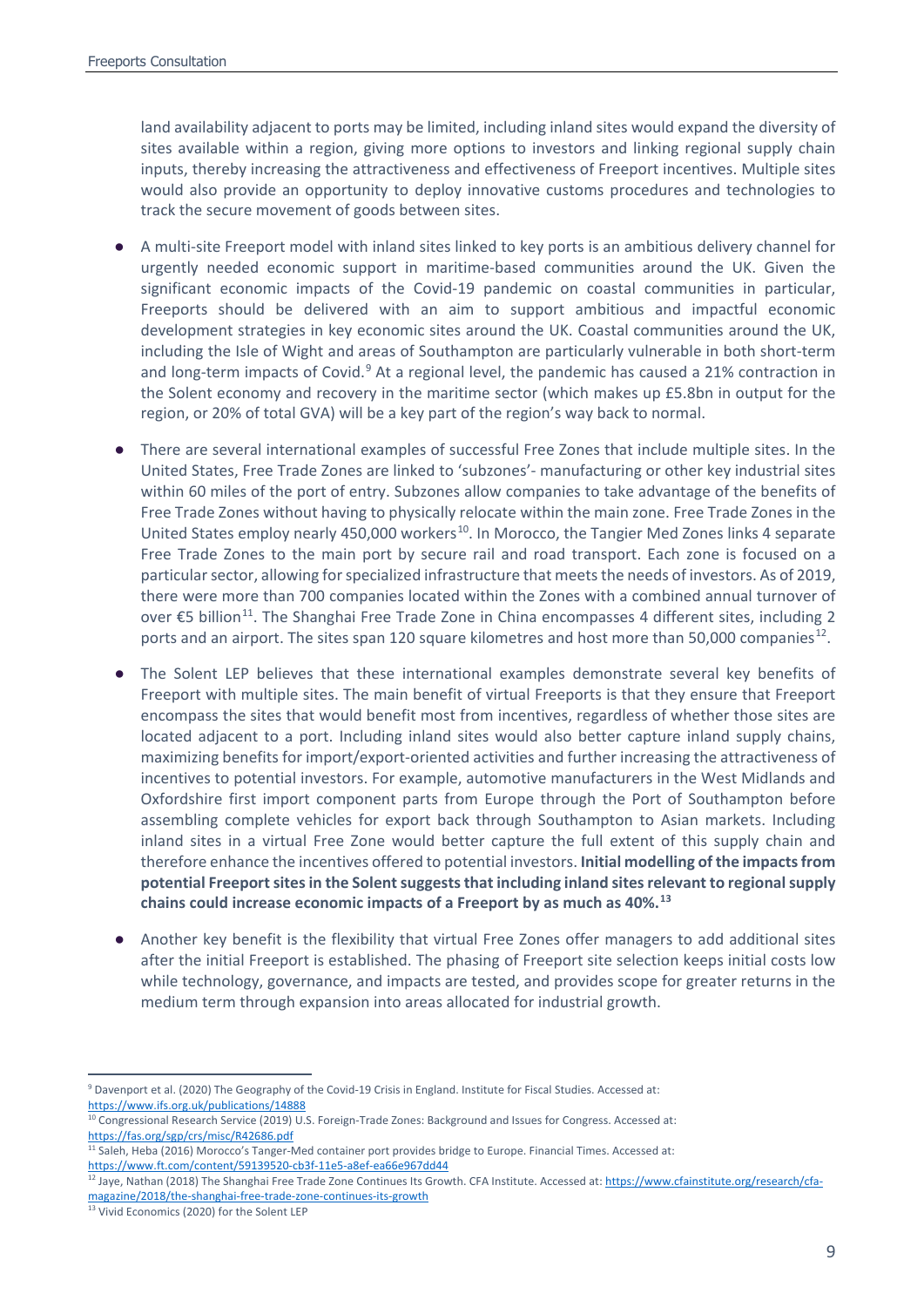land availability adjacent to ports may be limited, including inland sites would expand the diversity of sites available within a region, giving more options to investors and linking regional supply chain inputs, thereby increasing the attractiveness and effectiveness of Freeport incentives. Multiple sites would also provide an opportunity to deploy innovative customs procedures and technologies to track the secure movement of goods between sites.

- A multi-site Freeport model with inland sites linked to key ports is an ambitious delivery channel for urgently needed economic support in maritime-based communities around the UK. Given the significant economic impacts of the Covid-19 pandemic on coastal communities in particular, Freeports should be delivered with an aim to support ambitious and impactful economic development strategies in key economic sites around the UK. Coastal communities around the UK, including the Isle of Wight and areas of Southampton are particularly vulnerable in both short-term and long-term impacts of Covid. $9$  At a regional level, the pandemic has caused a 21% contraction in the Solent economy and recovery in the maritime sector (which makes up £5.8bn in output for the region, or 20% of total GVA) will be a key part of the region's way back to normal.
- There are several international examples of successful Free Zones that include multiple sites. In the United States, Free Trade Zones are linked to 'subzones'- manufacturing or other key industrial sites within 60 miles of the port of entry. Subzones allow companies to take advantage of the benefits of Free Trade Zones without having to physically relocate within the main zone. Free Trade Zones in the United States employ nearly 450,000 workers<sup>[10](#page-8-1)</sup>. In Morocco, the Tangier Med Zones links 4 separate Free Trade Zones to the main port by secure rail and road transport. Each zone is focused on a particular sector, allowing for specialized infrastructure that meets the needs of investors. As of 2019, there were more than 700 companies located within the Zones with a combined annual turnover of over €5 billion<sup>[11](#page-8-2)</sup>. The Shanghai Free Trade Zone in China encompasses 4 different sites, including 2 ports and an airport. The sites span 120 square kilometres and host more than 50,000 companies<sup>12</sup>.
- The Solent LEP believes that these international examples demonstrate several key benefits of Freeport with multiple sites. The main benefit of virtual Freeports is that they ensure that Freeport encompass the sites that would benefit most from incentives, regardless of whether those sites are located adjacent to a port. Including inland sites would also better capture inland supply chains, maximizing benefits for import/export-oriented activities and further increasing the attractiveness of incentives to potential investors. For example, automotive manufacturers in the West Midlands and Oxfordshire first import component parts from Europe through the Port of Southampton before assembling complete vehicles for export back through Southampton to Asian markets. Including inland sites in a virtual Free Zone would better capture the full extent of this supply chain and therefore enhance the incentives offered to potential investors. **Initial modelling of the impacts from potential Freeport sites in the Solent suggests that including inland sites relevant to regional supply chains could increase economic impacts of a Freeport by as much as 40%.[13](#page-8-4)**
- Another key benefit is the flexibility that virtual Free Zones offer managers to add additional sites after the initial Freeport is established. The phasing of Freeport site selection keeps initial costs low while technology, governance, and impacts are tested, and provides scope for greater returns in the medium term through expansion into areas allocated for industrial growth.

<span id="page-8-0"></span> <sup>9</sup> Davenport et al. (2020) The Geography of the Covid-19 Crisis in England. Institute for Fiscal Studies. Accessed at: <https://www.ifs.org.uk/publications/14888>

<span id="page-8-1"></span><sup>&</sup>lt;sup>10</sup> Congressional Research Service (2019) U.S. Foreign-Trade Zones: Background and Issues for Congress. Accessed at: <https://fas.org/sgp/crs/misc/R42686.pdf>

<span id="page-8-2"></span><sup>&</sup>lt;sup>11</sup> Saleh, Heba (2016) Morocco's Tanger-Med container port provides bridge to Europe. Financial Times. Accessed at: <https://www.ft.com/content/59139520-cb3f-11e5-a8ef-ea66e967dd44>

<span id="page-8-3"></span><sup>&</sup>lt;sup>12</sup> Jaye, Nathan (2018) The Shanghai Free Trade Zone Continues Its Growth. CFA Institute. Accessed at[: https://www.cfainstitute.org/research/cfa](https://www.cfainstitute.org/research/cfa-magazine/2018/the-shanghai-free-trade-zone-continues-its-growth)[magazine/2018/the-shanghai-free-trade-zone-continues-its-growth](https://www.cfainstitute.org/research/cfa-magazine/2018/the-shanghai-free-trade-zone-continues-its-growth)

<span id="page-8-4"></span><sup>&</sup>lt;sup>13</sup> Vivid Economics (2020) for the Solent LEP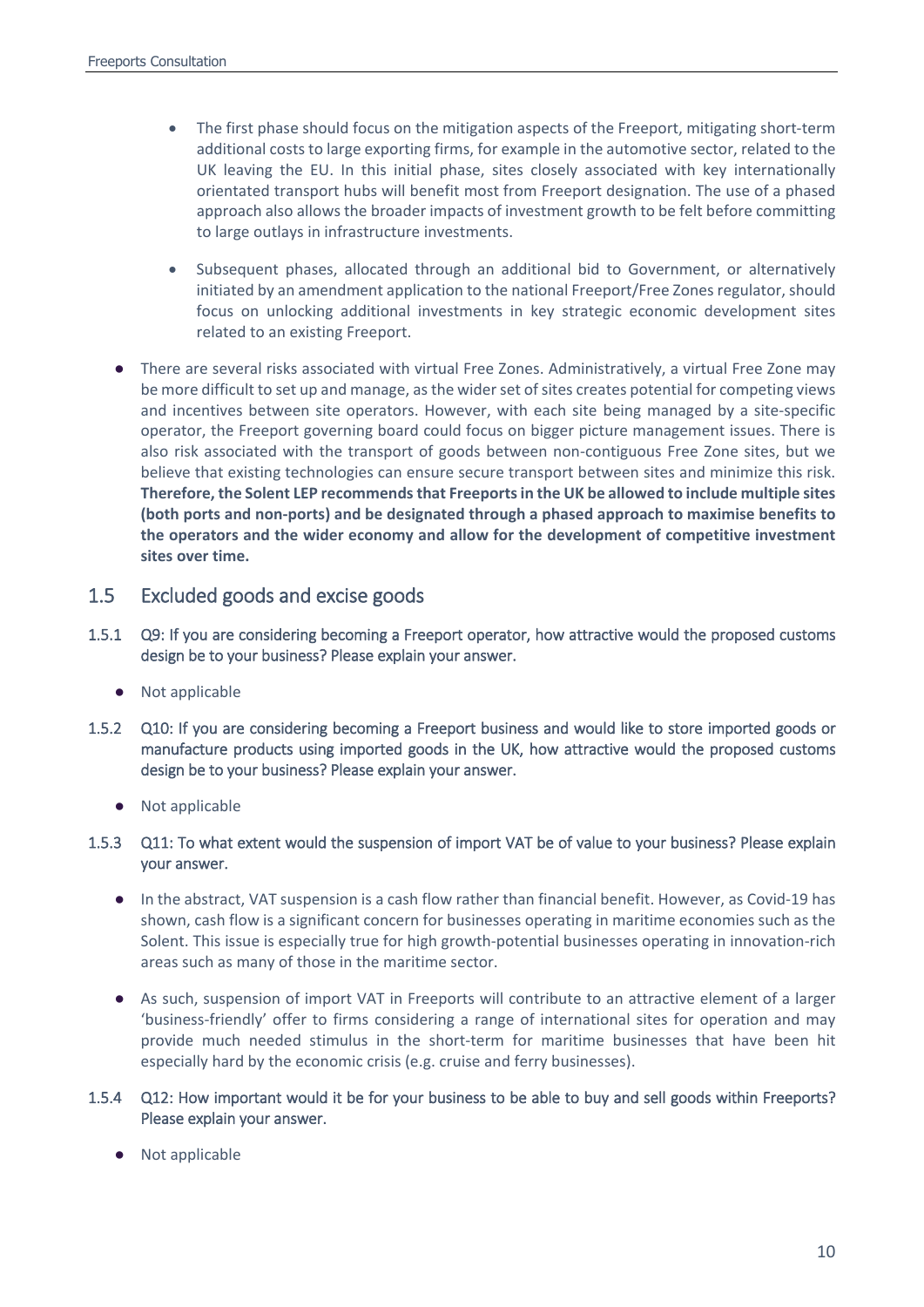- The first phase should focus on the mitigation aspects of the Freeport, mitigating short-term additional costs to large exporting firms, for example in the automotive sector, related to the UK leaving the EU. In this initial phase, sites closely associated with key internationally orientated transport hubs will benefit most from Freeport designation. The use of a phased approach also allows the broader impacts of investment growth to be felt before committing to large outlays in infrastructure investments.
- Subsequent phases, allocated through an additional bid to Government, or alternatively initiated by an amendment application to the national Freeport/Free Zones regulator, should focus on unlocking additional investments in key strategic economic development sites related to an existing Freeport.
- There are several risks associated with virtual Free Zones. Administratively, a virtual Free Zone may be more difficult to set up and manage, as the wider set of sites creates potential for competing views and incentives between site operators. However, with each site being managed by a site-specific operator, the Freeport governing board could focus on bigger picture management issues. There is also risk associated with the transport of goods between non-contiguous Free Zone sites, but we believe that existing technologies can ensure secure transport between sites and minimize this risk. **Therefore, the Solent LEP recommends that Freeports in the UK be allowed to include multiple sites (both ports and non-ports) and be designated through a phased approach to maximise benefits to the operators and the wider economy and allow for the development of competitive investment sites over time.**

## 1.5 Excluded goods and excise goods

- 1.5.1 Q9: If you are considering becoming a Freeport operator, how attractive would the proposed customs design be to your business? Please explain your answer.
	- Not applicable
- 1.5.2 Q10: If you are considering becoming a Freeport business and would like to store imported goods or manufacture products using imported goods in the UK, how attractive would the proposed customs design be to your business? Please explain your answer.
	- Not applicable

## 1.5.3 Q11: To what extent would the suspension of import VAT be of value to your business? Please explain your answer.

- In the abstract, VAT suspension is a cash flow rather than financial benefit. However, as Covid-19 has shown, cash flow is a significant concern for businesses operating in maritime economies such as the Solent. This issue is especially true for high growth-potential businesses operating in innovation-rich areas such as many of those in the maritime sector.
- As such, suspension of import VAT in Freeports will contribute to an attractive element of a larger 'business-friendly' offer to firms considering a range of international sites for operation and may provide much needed stimulus in the short-term for maritime businesses that have been hit especially hard by the economic crisis (e.g. cruise and ferry businesses).

### 1.5.4 Q12: How important would it be for your business to be able to buy and sell goods within Freeports? Please explain your answer.

● Not applicable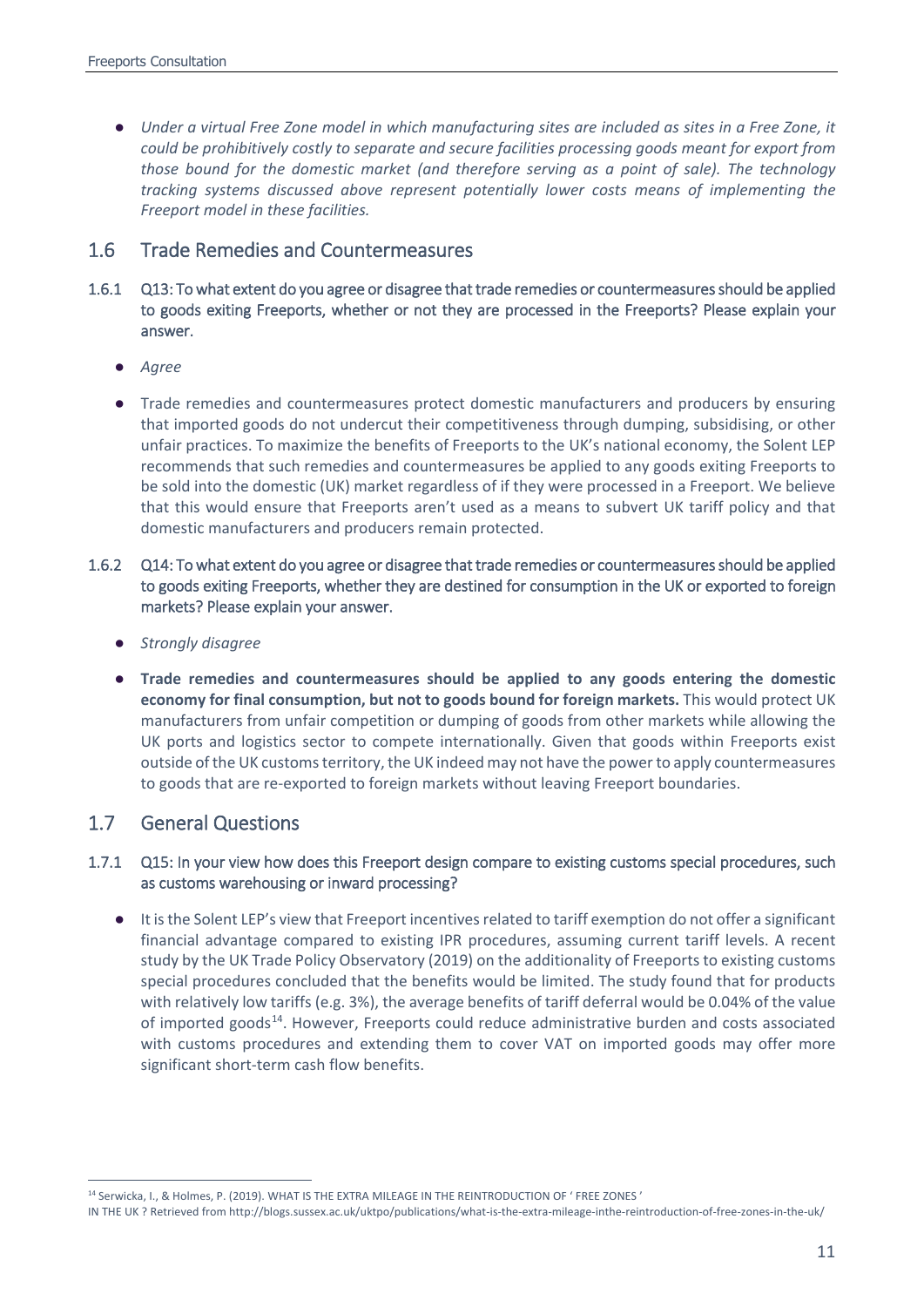● *Under a virtual Free Zone model in which manufacturing sites are included as sites in a Free Zone, it could be prohibitively costly to separate and secure facilities processing goods meant for export from those bound for the domestic market (and therefore serving as a point of sale). The technology tracking systems discussed above represent potentially lower costs means of implementing the Freeport model in these facilities.*

## 1.6 Trade Remedies and Countermeasures

- 1.6.1 Q13: To what extent do you agree or disagree that trade remedies or countermeasures should be applied to goods exiting Freeports, whether or not they are processed in the Freeports? Please explain your answer.
	- *Agree*
	- Trade remedies and countermeasures protect domestic manufacturers and producers by ensuring that imported goods do not undercut their competitiveness through dumping, subsidising, or other unfair practices. To maximize the benefits of Freeports to the UK's national economy, the Solent LEP recommends that such remedies and countermeasures be applied to any goods exiting Freeports to be sold into the domestic (UK) market regardless of if they were processed in a Freeport. We believe that this would ensure that Freeports aren't used as a means to subvert UK tariff policy and that domestic manufacturers and producers remain protected.
- 1.6.2 Q14: To what extent do you agree or disagree that trade remedies or countermeasures should be applied to goods exiting Freeports, whether they are destined for consumption in the UK or exported to foreign markets? Please explain your answer.
	- *Strongly disagree*
	- **Trade remedies and countermeasures should be applied to any goods entering the domestic economy for final consumption, but not to goods bound for foreign markets.** This would protect UK manufacturers from unfair competition or dumping of goods from other markets while allowing the UK ports and logistics sector to compete internationally. Given that goods within Freeports exist outside of the UK customs territory, the UK indeed may not have the power to apply countermeasures to goods that are re-exported to foreign markets without leaving Freeport boundaries.

## 1.7 General Questions

## 1.7.1 Q15: In your view how does this Freeport design compare to existing customs special procedures, such as customs warehousing or inward processing?

● It is the Solent LEP's view that Freeport incentives related to tariff exemption do not offer a significant financial advantage compared to existing IPR procedures, assuming current tariff levels. A recent study by the UK Trade Policy Observatory (2019) on the additionality of Freeports to existing customs special procedures concluded that the benefits would be limited. The study found that for products with relatively low tariffs (e.g. 3%), the average benefits of tariff deferral would be 0.04% of the value of imported goods<sup>[14](#page-10-0)</sup>. However, Freeports could reduce administrative burden and costs associated with customs procedures and extending them to cover VAT on imported goods may offer more significant short-term cash flow benefits.

<span id="page-10-0"></span> <sup>14</sup> Serwicka, I., & Holmes, P. (2019). WHAT IS THE EXTRA MILEAGE IN THE REINTRODUCTION OF ' FREE ZONES '

IN THE UK ? Retrieved from http://blogs.sussex.ac.uk/uktpo/publications/what-is-the-extra-mileage-inthe-reintroduction-of-free-zones-in-the-uk/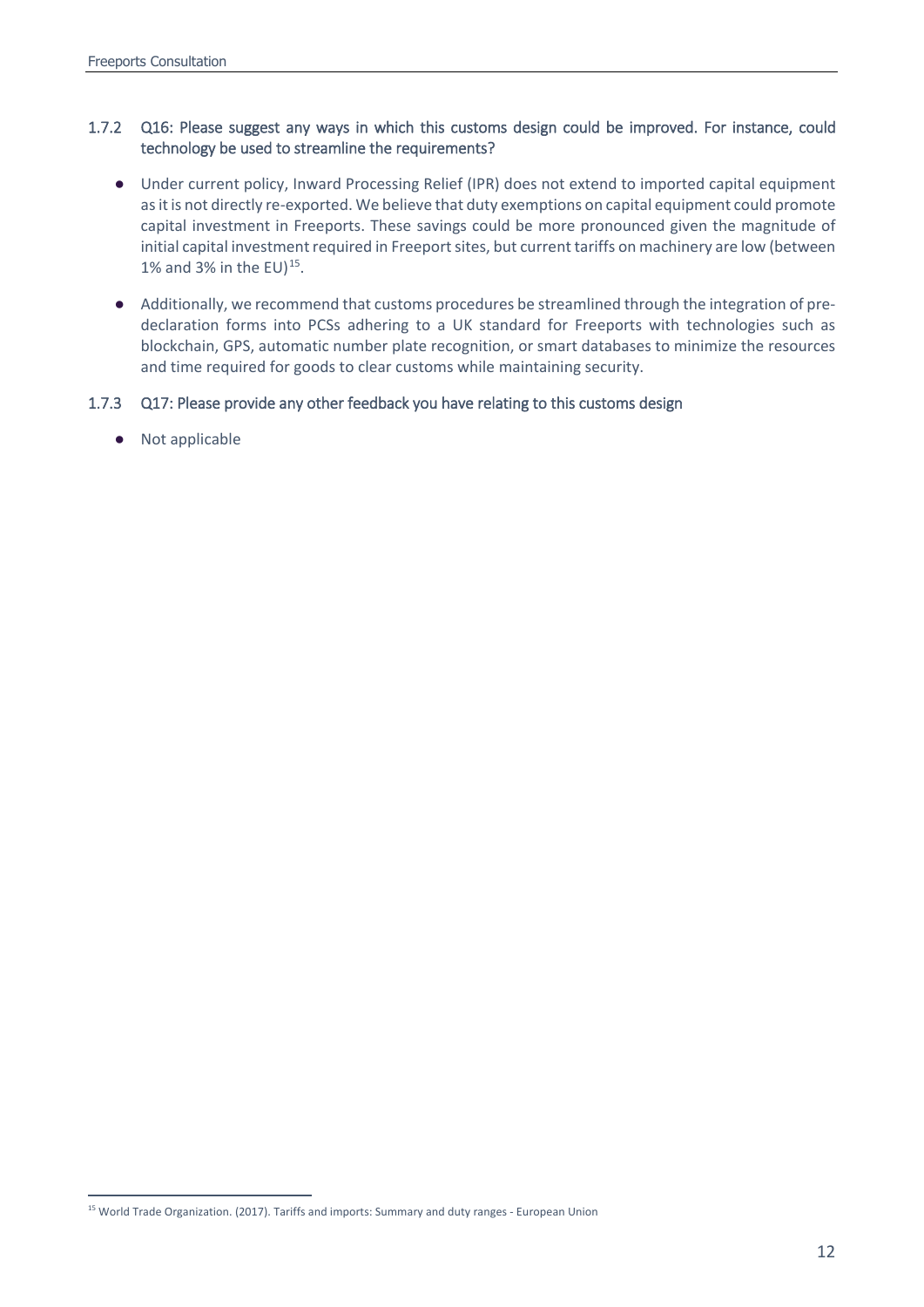## 1.7.2 Q16: Please suggest any ways in which this customs design could be improved. For instance, could technology be used to streamline the requirements?

- Under current policy, Inward Processing Relief (IPR) does not extend to imported capital equipment as it is not directly re-exported. We believe that duty exemptions on capital equipment could promote capital investment in Freeports. These savings could be more pronounced given the magnitude of initial capital investment required in Freeport sites, but current tariffs on machinery are low (between 1% and 3% in the EU) $^{15}$  $^{15}$  $^{15}$ .
- Additionally, we recommend that customs procedures be streamlined through the integration of predeclaration forms into PCSs adhering to a UK standard for Freeports with technologies such as blockchain, GPS, automatic number plate recognition, or smart databases to minimize the resources and time required for goods to clear customs while maintaining security.

## 1.7.3 Q17: Please provide any other feedback you have relating to this customs design

● Not applicable

<span id="page-11-0"></span><sup>&</sup>lt;sup>15</sup> World Trade Organization. (2017). Tariffs and imports: Summary and duty ranges - European Union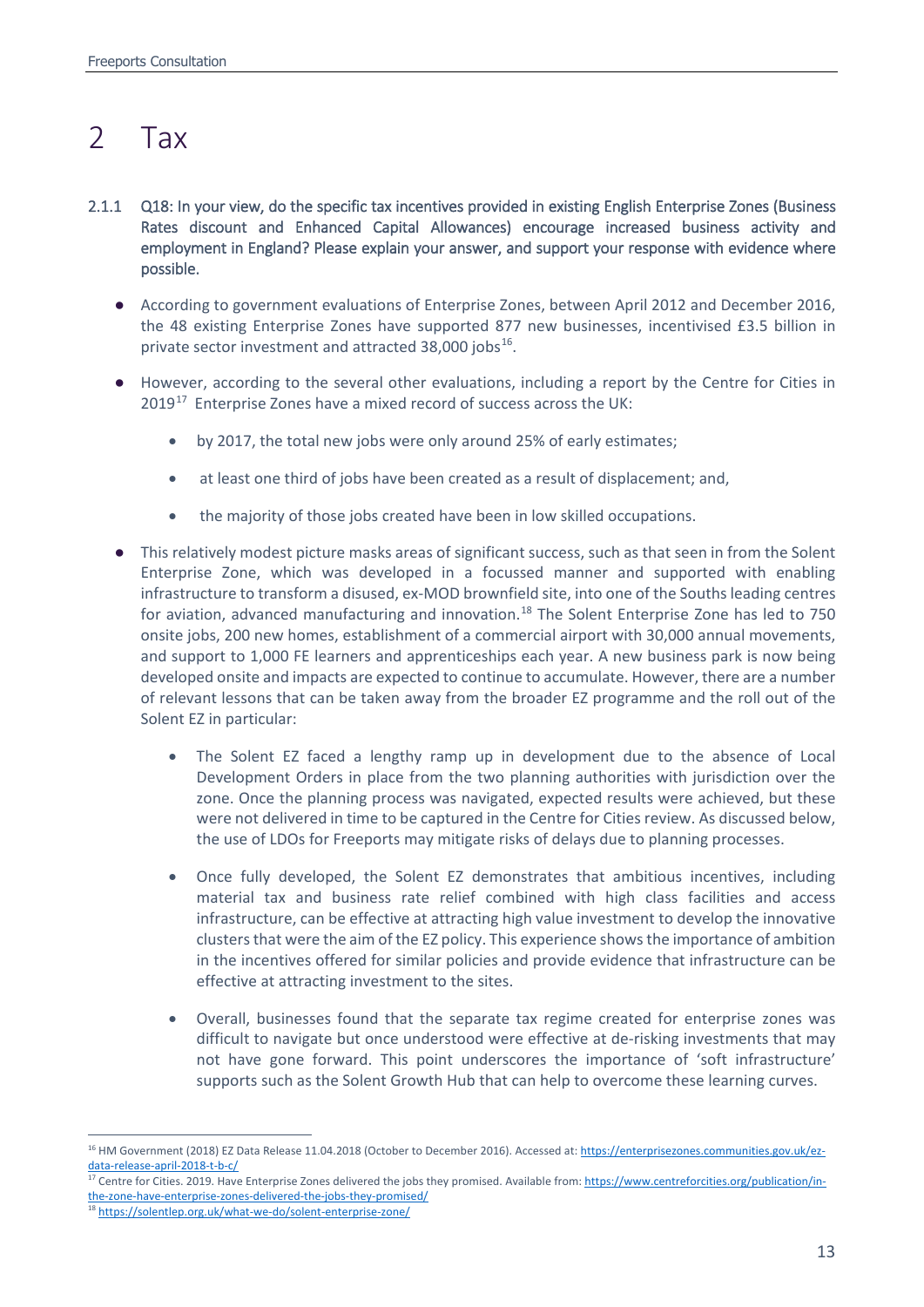# <span id="page-12-0"></span>2 Tax

- 2.1.1 Q18: In your view, do the specific tax incentives provided in existing English Enterprise Zones (Business Rates discount and Enhanced Capital Allowances) encourage increased business activity and employment in England? Please explain your answer, and support your response with evidence where possible.
	- According to government evaluations of Enterprise Zones, between April 2012 and December 2016, the 48 existing Enterprise Zones have supported 877 new businesses, incentivised £3.5 billion in private sector investment and attracted 38,000 jobs<sup>[16](#page-12-1)</sup>.
	- However, according to the several other evaluations, including a report by the Centre for Cities in 2019<sup>17</sup> Enterprise Zones have a mixed record of success across the UK:
		- by 2017, the total new jobs were only around 25% of early estimates;
		- at least one third of jobs have been created as a result of displacement; and,
		- the majority of those jobs created have been in low skilled occupations.
	- This relatively modest picture masks areas of significant success, such as that seen in from the Solent Enterprise Zone, which was developed in a focussed manner and supported with enabling infrastructure to transform a disused, ex-MOD brownfield site, into one of the Souths leading centres for aviation, advanced manufacturing and innovation.<sup>[18](#page-12-3)</sup> The Solent Enterprise Zone has led to 750 onsite jobs, 200 new homes, establishment of a commercial airport with 30,000 annual movements, and support to 1,000 FE learners and apprenticeships each year. A new business park is now being developed onsite and impacts are expected to continue to accumulate. However, there are a number of relevant lessons that can be taken away from the broader EZ programme and the roll out of the Solent EZ in particular:
		- The Solent EZ faced a lengthy ramp up in development due to the absence of Local Development Orders in place from the two planning authorities with jurisdiction over the zone. Once the planning process was navigated, expected results were achieved, but these were not delivered in time to be captured in the Centre for Cities review. As discussed below, the use of LDOs for Freeports may mitigate risks of delays due to planning processes.
		- Once fully developed, the Solent EZ demonstrates that ambitious incentives, including material tax and business rate relief combined with high class facilities and access infrastructure, can be effective at attracting high value investment to develop the innovative clusters that were the aim of the EZ policy. This experience shows the importance of ambition in the incentives offered for similar policies and provide evidence that infrastructure can be effective at attracting investment to the sites.
		- Overall, businesses found that the separate tax regime created for enterprise zones was difficult to navigate but once understood were effective at de-risking investments that may not have gone forward. This point underscores the importance of 'soft infrastructure' supports such as the Solent Growth Hub that can help to overcome these learning curves.

<span id="page-12-1"></span><sup>&</sup>lt;sup>16</sup> HM Government (2018) EZ Data Release 11.04.2018 (October to December 2016). Accessed at[: https://enterprisezones.communities.gov.uk/ez](https://enterprisezones.communities.gov.uk/ez-data-release-april-2018-t-b-c/)[data-release-april-2018-t-b-c/](https://enterprisezones.communities.gov.uk/ez-data-release-april-2018-t-b-c/)

<span id="page-12-2"></span><sup>&</sup>lt;sup>17</sup> Centre for Cities. 2019. Have Enterprise Zones delivered the jobs they promised. Available from[: https://www.centreforcities.org/publication/in](https://www.centreforcities.org/publication/in-the-zone-have-enterprise-zones-delivered-the-jobs-they-promised/)[the-zone-have-enterprise-zones-delivered-the-jobs-they-promised/](https://www.centreforcities.org/publication/in-the-zone-have-enterprise-zones-delivered-the-jobs-they-promised/)

<span id="page-12-3"></span><sup>18</sup> <https://solentlep.org.uk/what-we-do/solent-enterprise-zone/>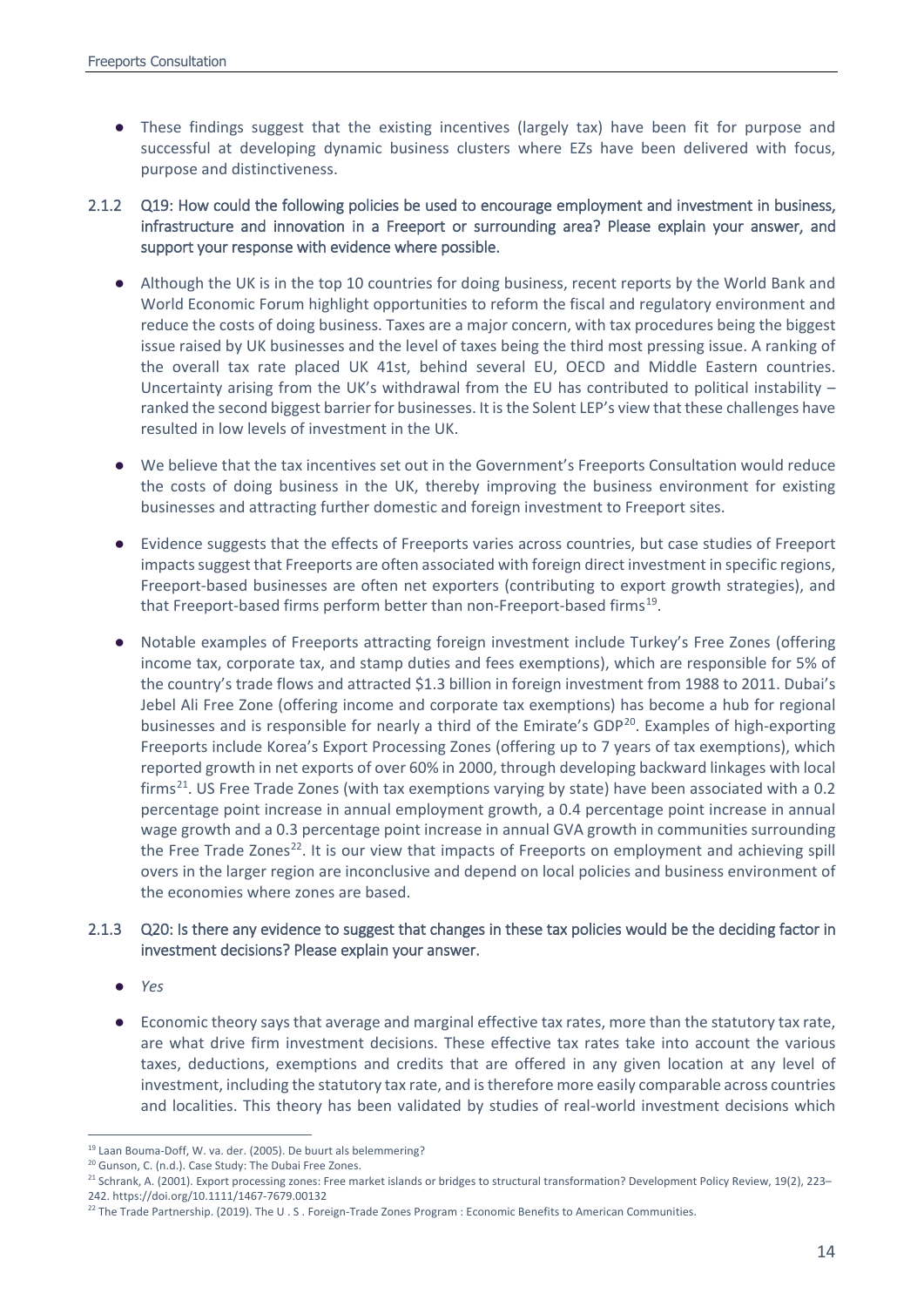- These findings suggest that the existing incentives (largely tax) have been fit for purpose and successful at developing dynamic business clusters where EZs have been delivered with focus, purpose and distinctiveness.
- 2.1.2 Q19: How could the following policies be used to encourage employment and investment in business, infrastructure and innovation in a Freeport or surrounding area? Please explain your answer, and support your response with evidence where possible.
	- Although the UK is in the top 10 countries for doing business, recent reports by the World Bank and World Economic Forum highlight opportunities to reform the fiscal and regulatory environment and reduce the costs of doing business. Taxes are a major concern, with tax procedures being the biggest issue raised by UK businesses and the level of taxes being the third most pressing issue. A ranking of the overall tax rate placed UK 41st, behind several EU, OECD and Middle Eastern countries. Uncertainty arising from the UK's withdrawal from the EU has contributed to political instability  $$ ranked the second biggest barrier for businesses. It is the Solent LEP's view that these challenges have resulted in low levels of investment in the UK.
	- We believe that the tax incentives set out in the Government's Freeports Consultation would reduce the costs of doing business in the UK, thereby improving the business environment for existing businesses and attracting further domestic and foreign investment to Freeport sites.
	- Evidence suggests that the effects of Freeports varies across countries, but case studies of Freeport impacts suggest that Freeports are often associated with foreign direct investment in specific regions, Freeport-based businesses are often net exporters (contributing to export growth strategies), and that Freeport-based firms perform better than non-Freeport-based firms<sup>19</sup>.
	- Notable examples of Freeports attracting foreign investment include Turkey's Free Zones (offering income tax, corporate tax, and stamp duties and fees exemptions), which are responsible for 5% of the country's trade flows and attracted \$1.3 billion in foreign investment from 1988 to 2011. Dubai's Jebel Ali Free Zone (offering income and corporate tax exemptions) has become a hub for regional businesses and is responsible for nearly a third of the Emirate's GDP<sup>[20](#page-13-1)</sup>. Examples of high-exporting Freeports include Korea's Export Processing Zones (offering up to 7 years of tax exemptions), which reported growth in net exports of over 60% in 2000, through developing backward linkages with local firms<sup>[21](#page-13-2)</sup>. US Free Trade Zones (with tax exemptions varying by state) have been associated with a 0.2 percentage point increase in annual employment growth, a 0.4 percentage point increase in annual wage growth and a 0.3 percentage point increase in annual GVA growth in communities surrounding the Free Trade Zones<sup>22</sup>. It is our view that impacts of Freeports on employment and achieving spill overs in the larger region are inconclusive and depend on local policies and business environment of the economies where zones are based.

## 2.1.3 Q20: Is there any evidence to suggest that changes in these tax policies would be the deciding factor in investment decisions? Please explain your answer.

- *Yes*
- Economic theory says that average and marginal effective tax rates, more than the statutory tax rate, are what drive firm investment decisions. These effective tax rates take into account the various taxes, deductions, exemptions and credits that are offered in any given location at any level of investment, including the statutory tax rate, and is therefore more easily comparable across countries and localities. This theory has been validated by studies of real-world investment decisions which

<span id="page-13-0"></span> <sup>19</sup> Laan Bouma-Doff, W. va. der. (2005). De buurt als belemmering?

<sup>&</sup>lt;sup>20</sup> Gunson, C. (n.d.). Case Study: The Dubai Free Zones.

<span id="page-13-2"></span><span id="page-13-1"></span><sup>&</sup>lt;sup>21</sup> Schrank, A. (2001). Export processing zones: Free market islands or bridges to structural transformation? Development Policy Review, 19(2), 223– 242. https://doi.org/10.1111/1467-7679.00132

<span id="page-13-3"></span><sup>&</sup>lt;sup>22</sup> The Trade Partnership. (2019). The U.S. Foreign-Trade Zones Program : Economic Benefits to American Communities.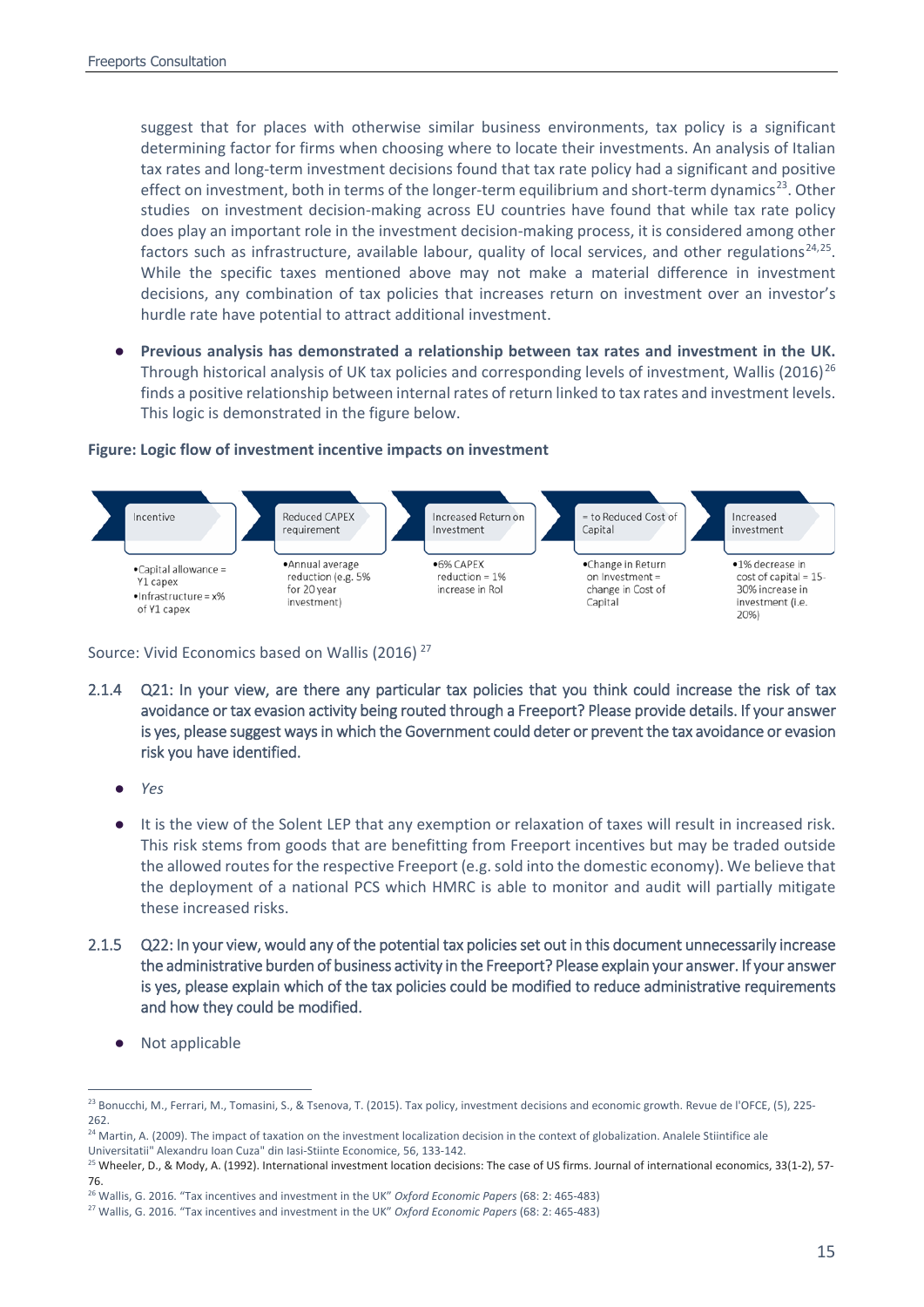suggest that for places with otherwise similar business environments, tax policy is a significant determining factor for firms when choosing where to locate their investments. An analysis of Italian tax rates and long-term investment decisions found that tax rate policy had a significant and positive effect on investment, both in terms of the longer-term equilibrium and short-term dynamics<sup>23</sup>. Other studies on investment decision-making across EU countries have found that while tax rate policy does play an important role in the investment decision-making process, it is considered among other factors such as infrastructure, available labour, quality of local services, and other regulations<sup>[24](#page-14-1),25</sup>. While the specific taxes mentioned above may not make a material difference in investment decisions, any combination of tax policies that increases return on investment over an investor's hurdle rate have potential to attract additional investment.

Previous analysis has demonstrated a relationship between tax rates and investment in the UK. Through historical analysis of UK tax policies and corresponding levels of investment, Wallis (2016)<sup>[26](#page-14-3)</sup> finds a positive relationship between internal rates of return linked to tax rates and investment levels. This logic is demonstrated in the figure below.

### **Figure: Logic flow of investment incentive impacts on investment**



Source: Vivid Economics based on Wallis (2016) [27](#page-14-4)

- 2.1.4 Q21: In your view, are there any particular tax policies that you think could increase the risk of tax avoidance or tax evasion activity being routed through a Freeport? Please provide details. If your answer is yes, please suggest ways in which the Government could deter or prevent the tax avoidance or evasion risk you have identified.
	- *Yes*
	- It is the view of the Solent LEP that any exemption or relaxation of taxes will result in increased risk. This risk stems from goods that are benefitting from Freeport incentives but may be traded outside the allowed routes for the respective Freeport (e.g. sold into the domestic economy). We believe that the deployment of a national PCS which HMRC is able to monitor and audit will partially mitigate these increased risks.
- 2.1.5 Q22: In your view, would any of the potential tax policies set out in this document unnecessarily increase the administrative burden of business activity in the Freeport? Please explain your answer. If your answer is yes, please explain which of the tax policies could be modified to reduce administrative requirements and how they could be modified.
	- Not applicable

<span id="page-14-0"></span><sup>&</sup>lt;sup>23</sup> Bonucchi, M., Ferrari, M., Tomasini, S., & Tsenova, T. (2015). Tax policy, investment decisions and economic growth. Revue de l'OFCE, (5), 225-262.

<span id="page-14-1"></span><sup>&</sup>lt;sup>24</sup> Martin, A. (2009). The impact of taxation on the investment localization decision in the context of globalization. Analele Stiintifice ale Universitatii" Alexandru Ioan Cuza" din Iasi-Stiinte Economice, 56, 133-142.

<span id="page-14-2"></span><sup>&</sup>lt;sup>25</sup> Wheeler, D., & Mody, A. (1992). International investment location decisions: The case of US firms. Journal of international economics, 33(1-2), 57-76.

<span id="page-14-3"></span><sup>26</sup> Wallis, G. 2016. "Tax incentives and investment in the UK" *Oxford Economic Papers* (68: 2: 465-483)

<span id="page-14-4"></span><sup>27</sup> Wallis, G. 2016. "Tax incentives and investment in the UK" *Oxford Economic Papers* (68: 2: 465-483)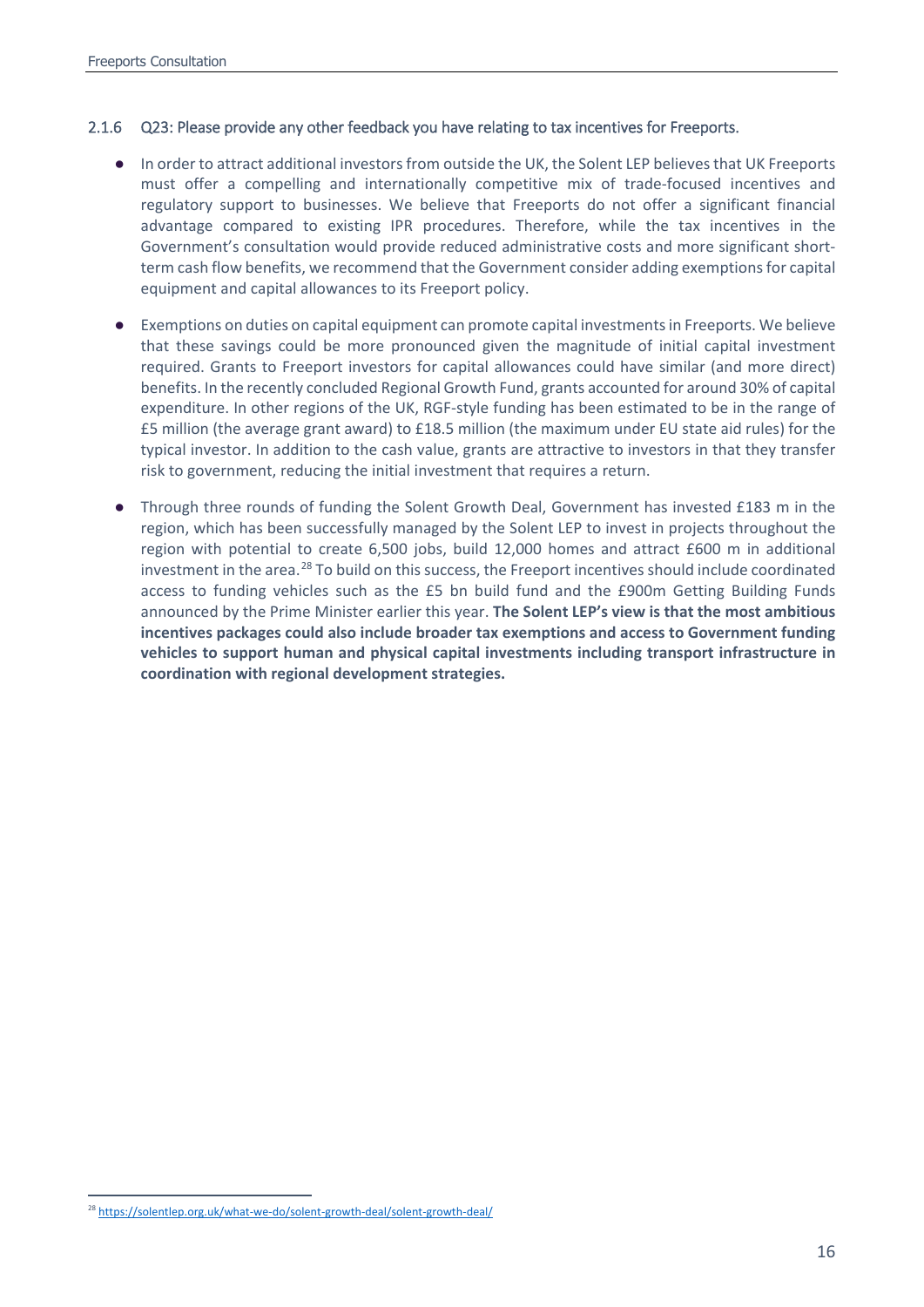#### 2.1.6 Q23: Please provide any other feedback you have relating to tax incentives for Freeports.

- In order to attract additional investors from outside the UK, the Solent LEP believes that UK Freeports must offer a compelling and internationally competitive mix of trade-focused incentives and regulatory support to businesses. We believe that Freeports do not offer a significant financial advantage compared to existing IPR procedures. Therefore, while the tax incentives in the Government's consultation would provide reduced administrative costs and more significant shortterm cash flow benefits, we recommend that the Government consider adding exemptions for capital equipment and capital allowances to its Freeport policy.
- Exemptions on duties on capital equipment can promote capital investments in Freeports. We believe that these savings could be more pronounced given the magnitude of initial capital investment required. Grants to Freeport investors for capital allowances could have similar (and more direct) benefits. In the recently concluded Regional Growth Fund, grants accounted for around 30% of capital expenditure. In other regions of the UK, RGF-style funding has been estimated to be in the range of £5 million (the average grant award) to £18.5 million (the maximum under EU state aid rules) for the typical investor. In addition to the cash value, grants are attractive to investors in that they transfer risk to government, reducing the initial investment that requires a return.
- Through three rounds of funding the Solent Growth Deal, Government has invested £183 m in the region, which has been successfully managed by the Solent LEP to invest in projects throughout the region with potential to create 6,500 jobs, build 12,000 homes and attract £600 m in additional investment in the area.<sup>[28](#page-15-0)</sup> To build on this success, the Freeport incentives should include coordinated access to funding vehicles such as the £5 bn build fund and the £900m Getting Building Funds announced by the Prime Minister earlier this year. **The Solent LEP's view is that the most ambitious incentives packages could also include broader tax exemptions and access to Government funding vehicles to support human and physical capital investments including transport infrastructure in coordination with regional development strategies.**

<span id="page-15-0"></span> <sup>28</sup> <https://solentlep.org.uk/what-we-do/solent-growth-deal/solent-growth-deal/>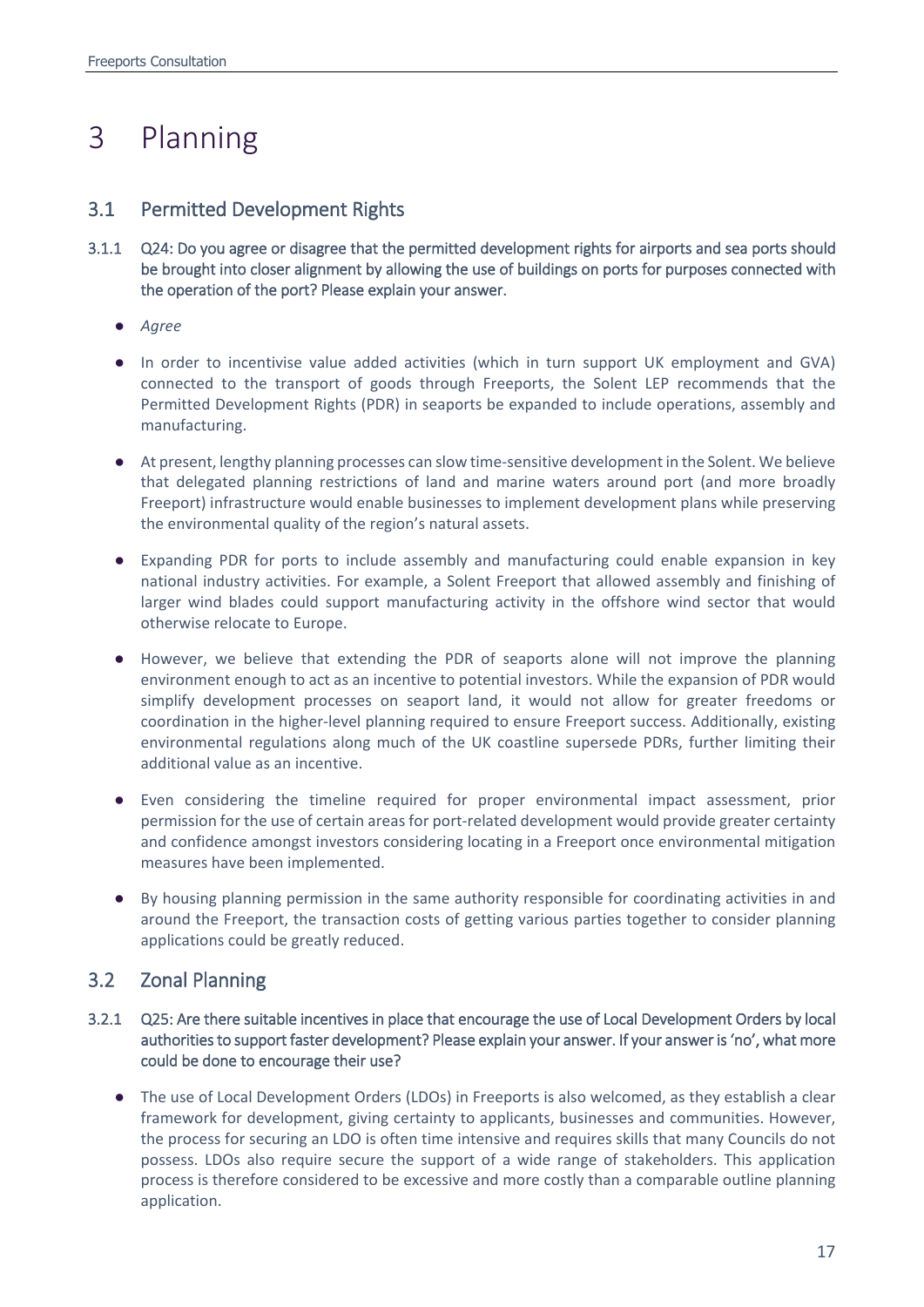# <span id="page-16-0"></span>3 Planning

## 3.1 Permitted Development Rights

- 3.1.1 Q24: Do you agree or disagree that the permitted development rights for airports and sea ports should be brought into closer alignment by allowing the use of buildings on ports for purposes connected with the operation of the port? Please explain your answer.
	- *Agree*
	- In order to incentivise value added activities (which in turn support UK employment and GVA) connected to the transport of goods through Freeports, the Solent LEP recommends that the Permitted Development Rights (PDR) in seaports be expanded to include operations, assembly and manufacturing.
	- At present, lengthy planning processes can slow time-sensitive development in the Solent. We believe that delegated planning restrictions of land and marine waters around port (and more broadly Freeport) infrastructure would enable businesses to implement development plans while preserving the environmental quality of the region's natural assets.
	- Expanding PDR for ports to include assembly and manufacturing could enable expansion in key national industry activities. For example, a Solent Freeport that allowed assembly and finishing of larger wind blades could support manufacturing activity in the offshore wind sector that would otherwise relocate to Europe.
	- However, we believe that extending the PDR of seaports alone will not improve the planning environment enough to act as an incentive to potential investors. While the expansion of PDR would simplify development processes on seaport land, it would not allow for greater freedoms or coordination in the higher-level planning required to ensure Freeport success. Additionally, existing environmental regulations along much of the UK coastline supersede PDRs, further limiting their additional value as an incentive.
	- Even considering the timeline required for proper environmental impact assessment, prior permission for the use of certain areas for port-related development would provide greater certainty and confidence amongst investors considering locating in a Freeport once environmental mitigation measures have been implemented.
	- By housing planning permission in the same authority responsible for coordinating activities in and around the Freeport, the transaction costs of getting various parties together to consider planning applications could be greatly reduced.

## 3.2 Zonal Planning

- 3.2.1 Q25: Are there suitable incentives in place that encourage the use of Local Development Orders by local authorities to support faster development? Please explain your answer. If your answer is 'no', what more could be done to encourage their use?
	- The use of Local Development Orders (LDOs) in Freeports is also welcomed, as they establish a clear framework for development, giving certainty to applicants, businesses and communities. However, the process for securing an LDO is often time intensive and requires skills that many Councils do not possess. LDOs also require secure the support of a wide range of stakeholders. This application process is therefore considered to be excessive and more costly than a comparable outline planning application.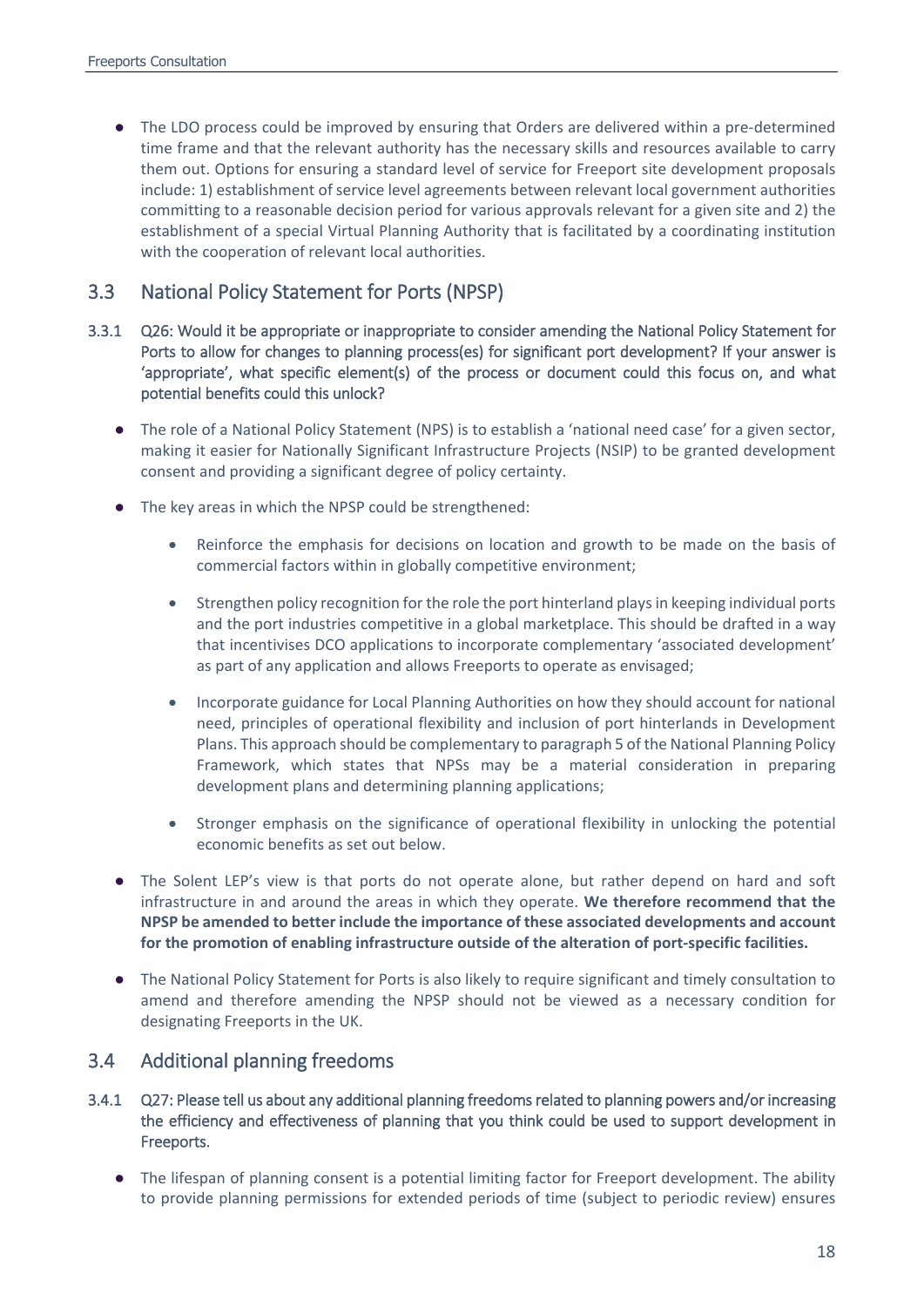● The LDO process could be improved by ensuring that Orders are delivered within a pre-determined time frame and that the relevant authority has the necessary skills and resources available to carry them out. Options for ensuring a standard level of service for Freeport site development proposals include: 1) establishment of service level agreements between relevant local government authorities committing to a reasonable decision period for various approvals relevant for a given site and 2) the establishment of a special Virtual Planning Authority that is facilitated by a coordinating institution with the cooperation of relevant local authorities.

## 3.3 National Policy Statement for Ports (NPSP)

- 3.3.1 Q26: Would it be appropriate or inappropriate to consider amending the National Policy Statement for Ports to allow for changes to planning process(es) for significant port development? If your answer is 'appropriate', what specific element(s) of the process or document could this focus on, and what potential benefits could this unlock?
	- The role of a National Policy Statement (NPS) is to establish a 'national need case' for a given sector, making it easier for Nationally Significant Infrastructure Projects (NSIP) to be granted development consent and providing a significant degree of policy certainty.
	- The key areas in which the NPSP could be strengthened:
		- Reinforce the emphasis for decisions on location and growth to be made on the basis of commercial factors within in globally competitive environment;
		- Strengthen policy recognition for the role the port hinterland plays in keeping individual ports and the port industries competitive in a global marketplace. This should be drafted in a way that incentivises DCO applications to incorporate complementary 'associated development' as part of any application and allows Freeports to operate as envisaged;
		- Incorporate guidance for Local Planning Authorities on how they should account for national need, principles of operational flexibility and inclusion of port hinterlands in Development Plans. This approach should be complementary to paragraph 5 of the National Planning Policy Framework, which states that NPSs may be a material consideration in preparing development plans and determining planning applications;
		- Stronger emphasis on the significance of operational flexibility in unlocking the potential economic benefits as set out below.
	- The Solent LEP's view is that ports do not operate alone, but rather depend on hard and soft infrastructure in and around the areas in which they operate. **We therefore recommend that the NPSP be amended to better include the importance of these associated developments and account for the promotion of enabling infrastructure outside of the alteration of port-specific facilities.**
	- The National Policy Statement for Ports is also likely to require significant and timely consultation to amend and therefore amending the NPSP should not be viewed as a necessary condition for designating Freeports in the UK.

## 3.4 Additional planning freedoms

- 3.4.1 Q27: Please tell us about any additional planning freedoms related to planning powers and/or increasing the efficiency and effectiveness of planning that you think could be used to support development in Freeports.
	- The lifespan of planning consent is a potential limiting factor for Freeport development. The ability to provide planning permissions for extended periods of time (subject to periodic review) ensures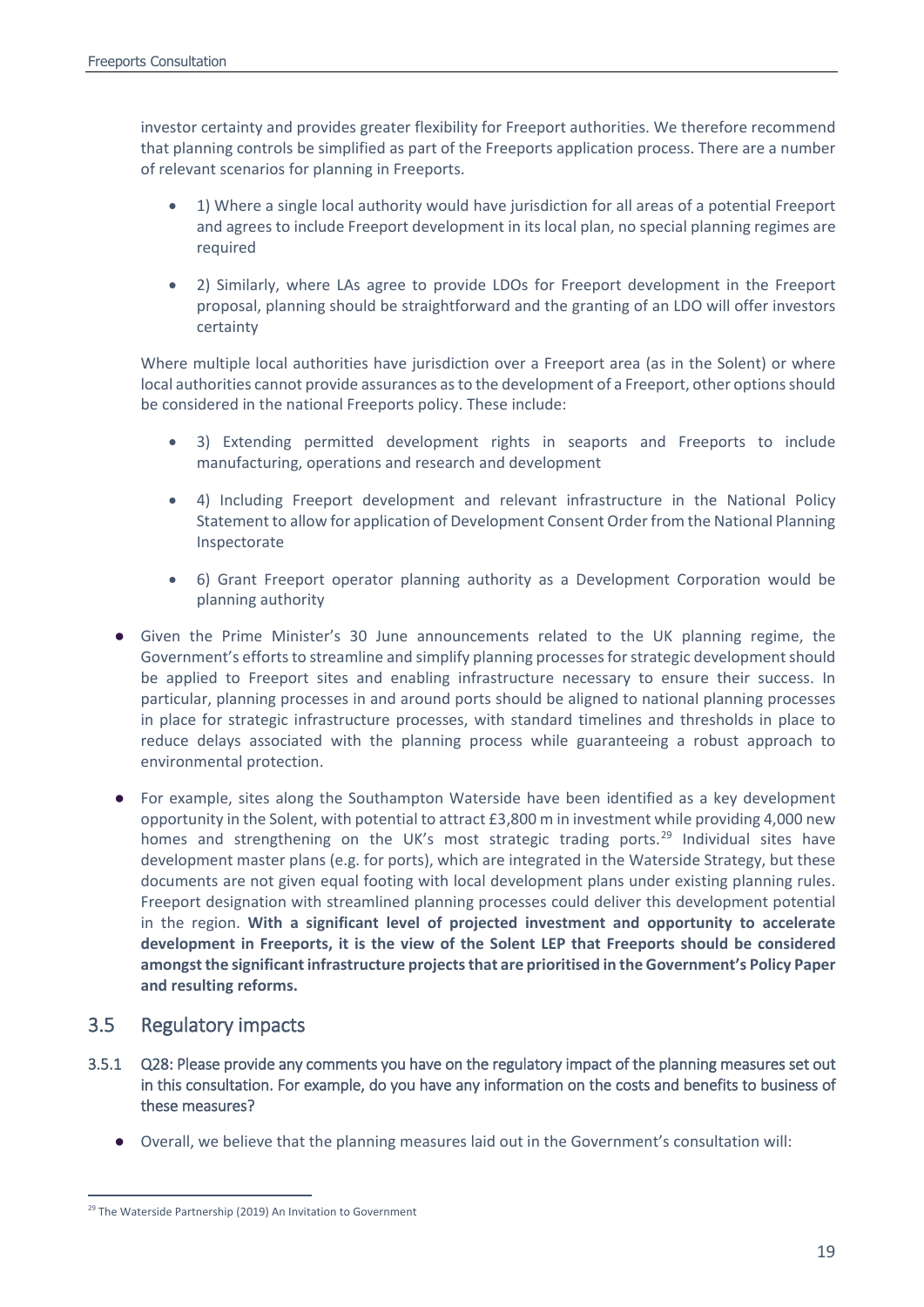investor certainty and provides greater flexibility for Freeport authorities. We therefore recommend that planning controls be simplified as part of the Freeports application process. There are a number of relevant scenarios for planning in Freeports.

- 1) Where a single local authority would have jurisdiction for all areas of a potential Freeport and agrees to include Freeport development in its local plan, no special planning regimes are required
- 2) Similarly, where LAs agree to provide LDOs for Freeport development in the Freeport proposal, planning should be straightforward and the granting of an LDO will offer investors certainty

Where multiple local authorities have jurisdiction over a Freeport area (as in the Solent) or where local authorities cannot provide assurances as to the development of a Freeport, other options should be considered in the national Freeports policy. These include:

- 3) Extending permitted development rights in seaports and Freeports to include manufacturing, operations and research and development
- 4) Including Freeport development and relevant infrastructure in the National Policy Statement to allow for application of Development Consent Order from the National Planning Inspectorate
- 6) Grant Freeport operator planning authority as a Development Corporation would be planning authority
- Given the Prime Minister's 30 June announcements related to the UK planning regime, the Government's efforts to streamline and simplify planning processes for strategic development should be applied to Freeport sites and enabling infrastructure necessary to ensure their success. In particular, planning processes in and around ports should be aligned to national planning processes in place for strategic infrastructure processes, with standard timelines and thresholds in place to reduce delays associated with the planning process while guaranteeing a robust approach to environmental protection.
- For example, sites along the Southampton Waterside have been identified as a key development opportunity in the Solent, with potential to attract £3,800 m in investment while providing 4,000 new homes and strengthening on the UK's most strategic trading ports.<sup>[29](#page-18-0)</sup> Individual sites have development master plans (e.g. for ports), which are integrated in the Waterside Strategy, but these documents are not given equal footing with local development plans under existing planning rules. Freeport designation with streamlined planning processes could deliver this development potential in the region. **With a significant level of projected investment and opportunity to accelerate development in Freeports, it is the view of the Solent LEP that Freeports should be considered amongst the significant infrastructure projects that are prioritised in the Government's Policy Paper and resulting reforms.**

## 3.5 Regulatory impacts

- 3.5.1 Q28: Please provide any comments you have on the regulatory impact of the planning measures set out in this consultation. For example, do you have any information on the costs and benefits to business of these measures?
	- Overall, we believe that the planning measures laid out in the Government's consultation will:

<span id="page-18-0"></span><sup>&</sup>lt;sup>29</sup> The Waterside Partnership (2019) An Invitation to Government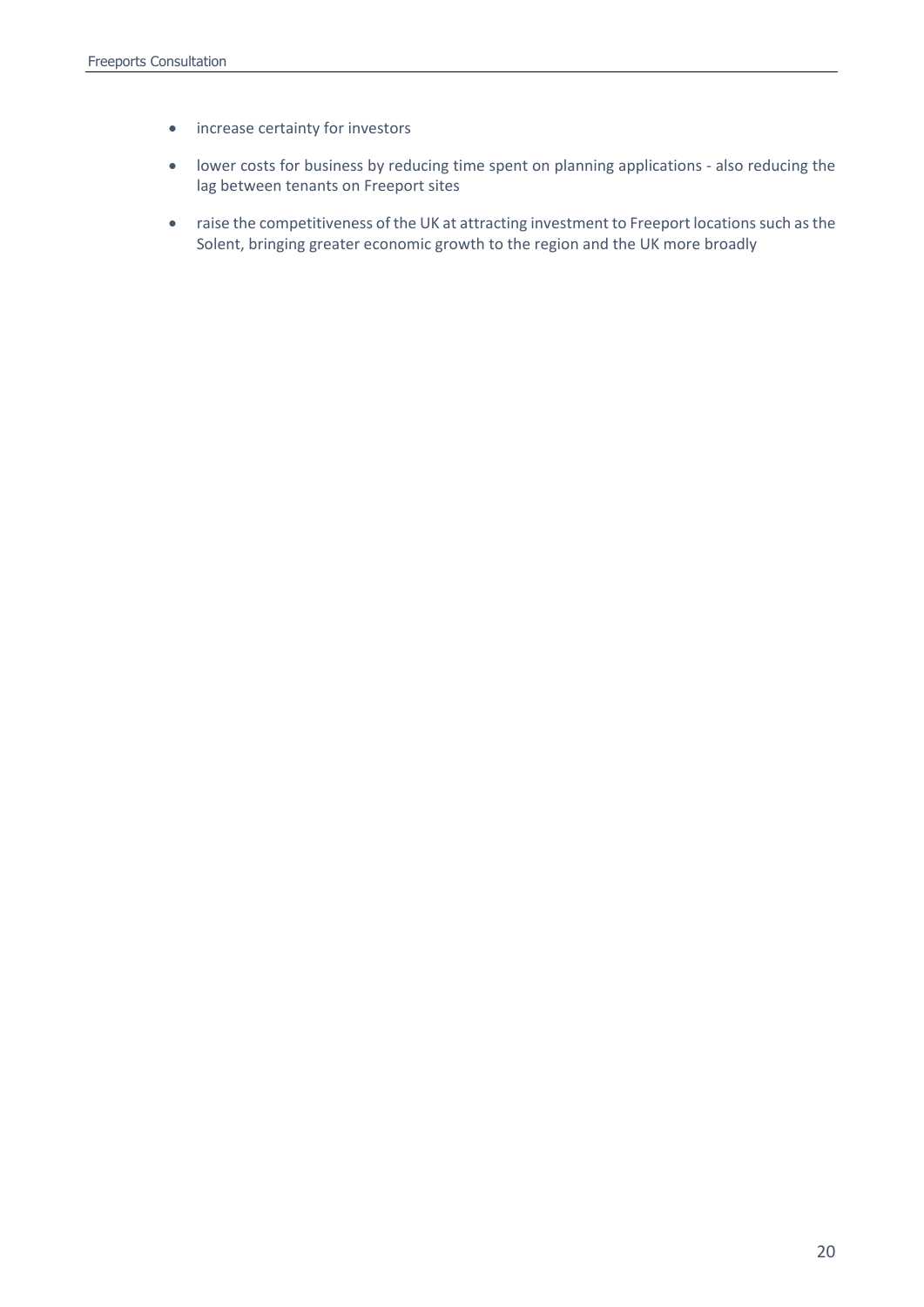- increase certainty for investors
- lower costs for business by reducing time spent on planning applications also reducing the lag between tenants on Freeport sites
- raise the competitiveness of the UK at attracting investment to Freeport locations such as the Solent, bringing greater economic growth to the region and the UK more broadly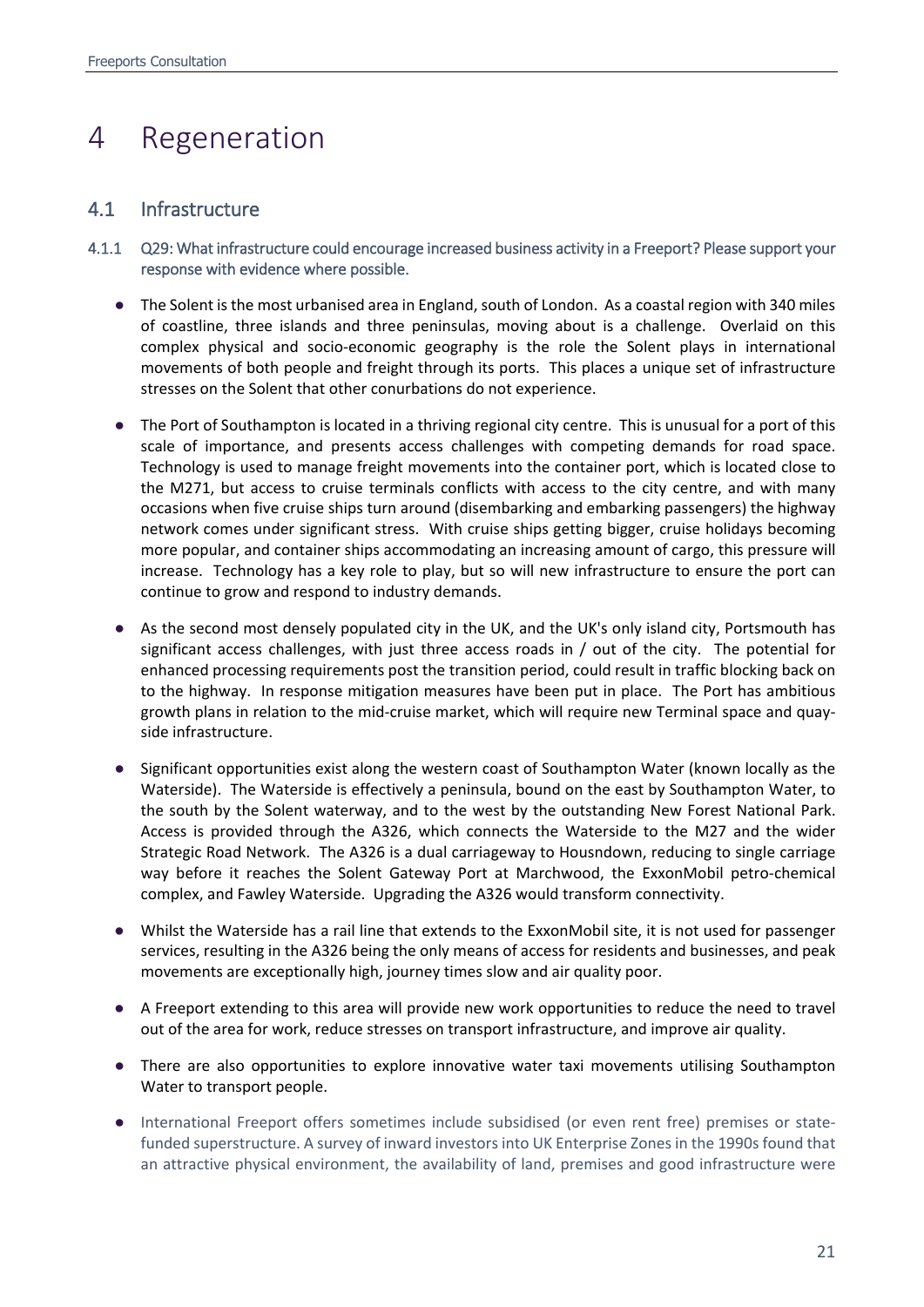# <span id="page-20-0"></span>4 Regeneration

## 4.1 Infrastructure

- 4.1.1 Q29: What infrastructure could encourage increased business activity in a Freeport? Please support your response with evidence where possible.
	- The Solent is the most urbanised area in England, south of London. As a coastal region with 340 miles of coastline, three islands and three peninsulas, moving about is a challenge. Overlaid on this complex physical and socio-economic geography is the role the Solent plays in international movements of both people and freight through its ports. This places a unique set of infrastructure stresses on the Solent that other conurbations do not experience.
	- The Port of Southampton is located in a thriving regional city centre. This is unusual for a port of this scale of importance, and presents access challenges with competing demands for road space. Technology is used to manage freight movements into the container port, which is located close to the M271, but access to cruise terminals conflicts with access to the city centre, and with many occasions when five cruise ships turn around (disembarking and embarking passengers) the highway network comes under significant stress. With cruise ships getting bigger, cruise holidays becoming more popular, and container ships accommodating an increasing amount of cargo, this pressure will increase. Technology has a key role to play, but so will new infrastructure to ensure the port can continue to grow and respond to industry demands.
	- As the second most densely populated city in the UK, and the UK's only island city, Portsmouth has significant access challenges, with just three access roads in / out of the city. The potential for enhanced processing requirements post the transition period, could result in traffic blocking back on to the highway. In response mitigation measures have been put in place. The Port has ambitious growth plans in relation to the mid-cruise market, which will require new Terminal space and quayside infrastructure.
	- Significant opportunities exist along the western coast of Southampton Water (known locally as the Waterside). The Waterside is effectively a peninsula, bound on the east by Southampton Water, to the south by the Solent waterway, and to the west by the outstanding New Forest National Park. Access is provided through the A326, which connects the Waterside to the M27 and the wider Strategic Road Network. The A326 is a dual carriageway to Housndown, reducing to single carriage way before it reaches the Solent Gateway Port at Marchwood, the ExxonMobil petro-chemical complex, and Fawley Waterside. Upgrading the A326 would transform connectivity.
	- Whilst the Waterside has a rail line that extends to the ExxonMobil site, it is not used for passenger services, resulting in the A326 being the only means of access for residents and businesses, and peak movements are exceptionally high, journey times slow and air quality poor.
	- A Freeport extending to this area will provide new work opportunities to reduce the need to travel out of the area for work, reduce stresses on transport infrastructure, and improve air quality.
	- There are also opportunities to explore innovative water taxi movements utilising Southampton Water to transport people.
	- International Freeport offers sometimes include subsidised (or even rent free) premises or statefunded superstructure. A survey of inward investors into UK Enterprise Zones in the 1990s found that an attractive physical environment, the availability of land, premises and good infrastructure were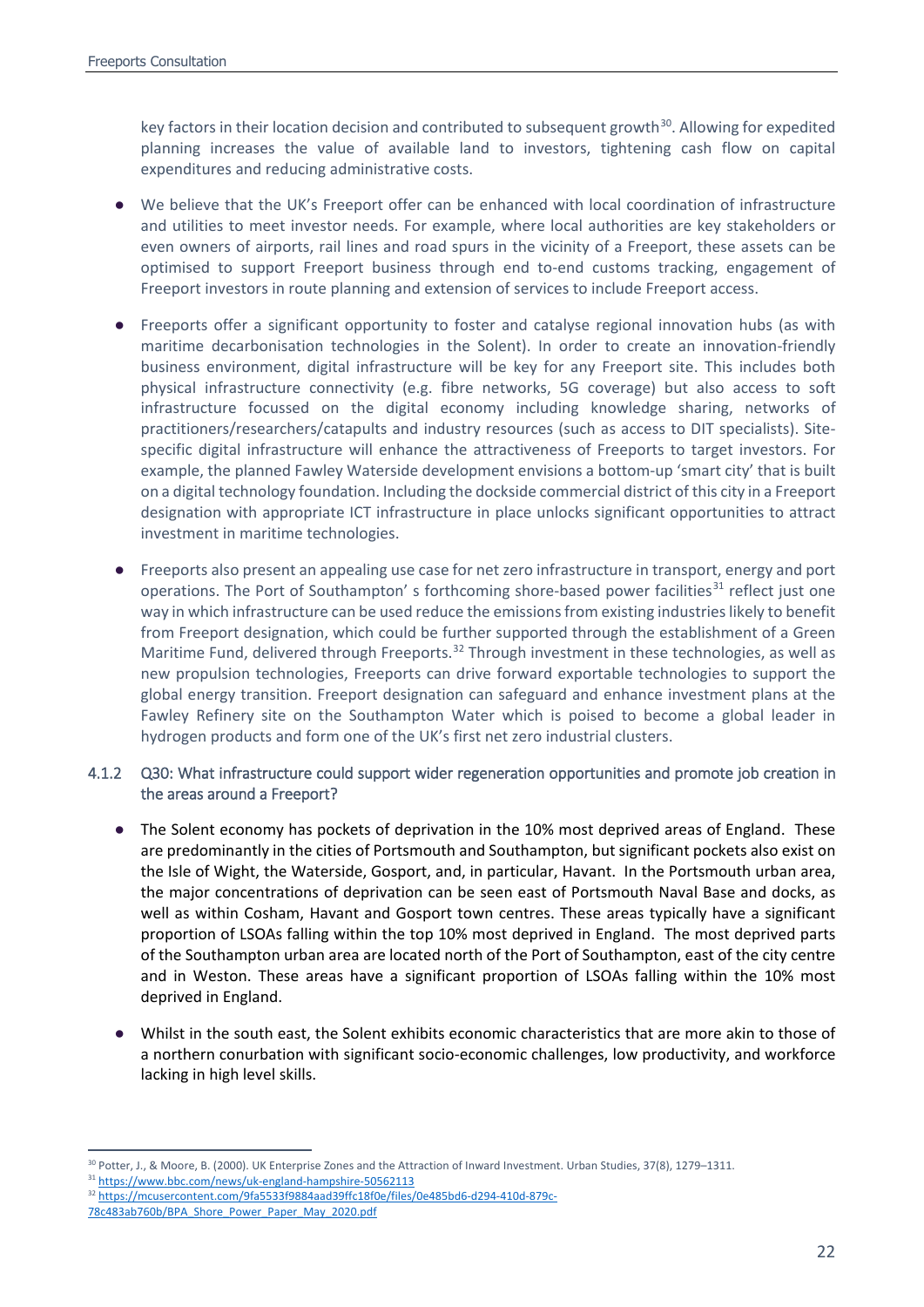key factors in their location decision and contributed to subsequent growth<sup>30</sup>. Allowing for expedited planning increases the value of available land to investors, tightening cash flow on capital expenditures and reducing administrative costs.

- We believe that the UK's Freeport offer can be enhanced with local coordination of infrastructure and utilities to meet investor needs. For example, where local authorities are key stakeholders or even owners of airports, rail lines and road spurs in the vicinity of a Freeport, these assets can be optimised to support Freeport business through end to-end customs tracking, engagement of Freeport investors in route planning and extension of services to include Freeport access.
- Freeports offer a significant opportunity to foster and catalyse regional innovation hubs (as with maritime decarbonisation technologies in the Solent). In order to create an innovation-friendly business environment, digital infrastructure will be key for any Freeport site. This includes both physical infrastructure connectivity (e.g. fibre networks, 5G coverage) but also access to soft infrastructure focussed on the digital economy including knowledge sharing, networks of practitioners/researchers/catapults and industry resources (such as access to DIT specialists). Sitespecific digital infrastructure will enhance the attractiveness of Freeports to target investors. For example, the planned Fawley Waterside development envisions a bottom-up 'smart city' that is built on a digital technology foundation. Including the dockside commercial district of this city in a Freeport designation with appropriate ICT infrastructure in place unlocks significant opportunities to attract investment in maritime technologies.
- Freeports also present an appealing use case for net zero infrastructure in transport, energy and port operations. The Port of Southampton' s forthcoming shore-based power facilities $31$  reflect just one way in which infrastructure can be used reduce the emissions from existing industries likely to benefit from Freeport designation, which could be further supported through the establishment of a Green Maritime Fund, delivered through Freeports.<sup>[32](#page-21-2)</sup> Through investment in these technologies, as well as new propulsion technologies, Freeports can drive forward exportable technologies to support the global energy transition. Freeport designation can safeguard and enhance investment plans at the Fawley Refinery site on the Southampton Water which is poised to become a global leader in hydrogen products and form one of the UK's first net zero industrial clusters.

### 4.1.2 Q30: What infrastructure could support wider regeneration opportunities and promote job creation in the areas around a Freeport?

- The Solent economy has pockets of deprivation in the 10% most deprived areas of England. These are predominantly in the cities of Portsmouth and Southampton, but significant pockets also exist on the Isle of Wight, the Waterside, Gosport, and, in particular, Havant. In the Portsmouth urban area, the major concentrations of deprivation can be seen east of Portsmouth Naval Base and docks, as well as within Cosham, Havant and Gosport town centres. These areas typically have a significant proportion of LSOAs falling within the top 10% most deprived in England. The most deprived parts of the Southampton urban area are located north of the Port of Southampton, east of the city centre and in Weston. These areas have a significant proportion of LSOAs falling within the 10% most deprived in England.
- Whilst in the south east, the Solent exhibits economic characteristics that are more akin to those of a northern conurbation with significant socio-economic challenges, low productivity, and workforce lacking in high level skills.

<span id="page-21-0"></span><sup>&</sup>lt;sup>30</sup> Potter, J., & Moore, B. (2000). UK Enterprise Zones and the Attraction of Inward Investment. Urban Studies, 37(8), 1279–1311.

<span id="page-21-1"></span><sup>31</sup> <https://www.bbc.com/news/uk-england-hampshire-50562113>

<span id="page-21-2"></span><sup>32</sup> [https://mcusercontent.com/9fa5533f9884aad39ffc18f0e/files/0e485bd6-d294-410d-879c-](https://mcusercontent.com/9fa5533f9884aad39ffc18f0e/files/0e485bd6-d294-410d-879c-78c483ab760b/BPA_Shore_Power_Paper_May_2020.pdf)

[<sup>78</sup>c483ab760b/BPA\\_Shore\\_Power\\_Paper\\_May\\_2020.pdf](https://mcusercontent.com/9fa5533f9884aad39ffc18f0e/files/0e485bd6-d294-410d-879c-78c483ab760b/BPA_Shore_Power_Paper_May_2020.pdf)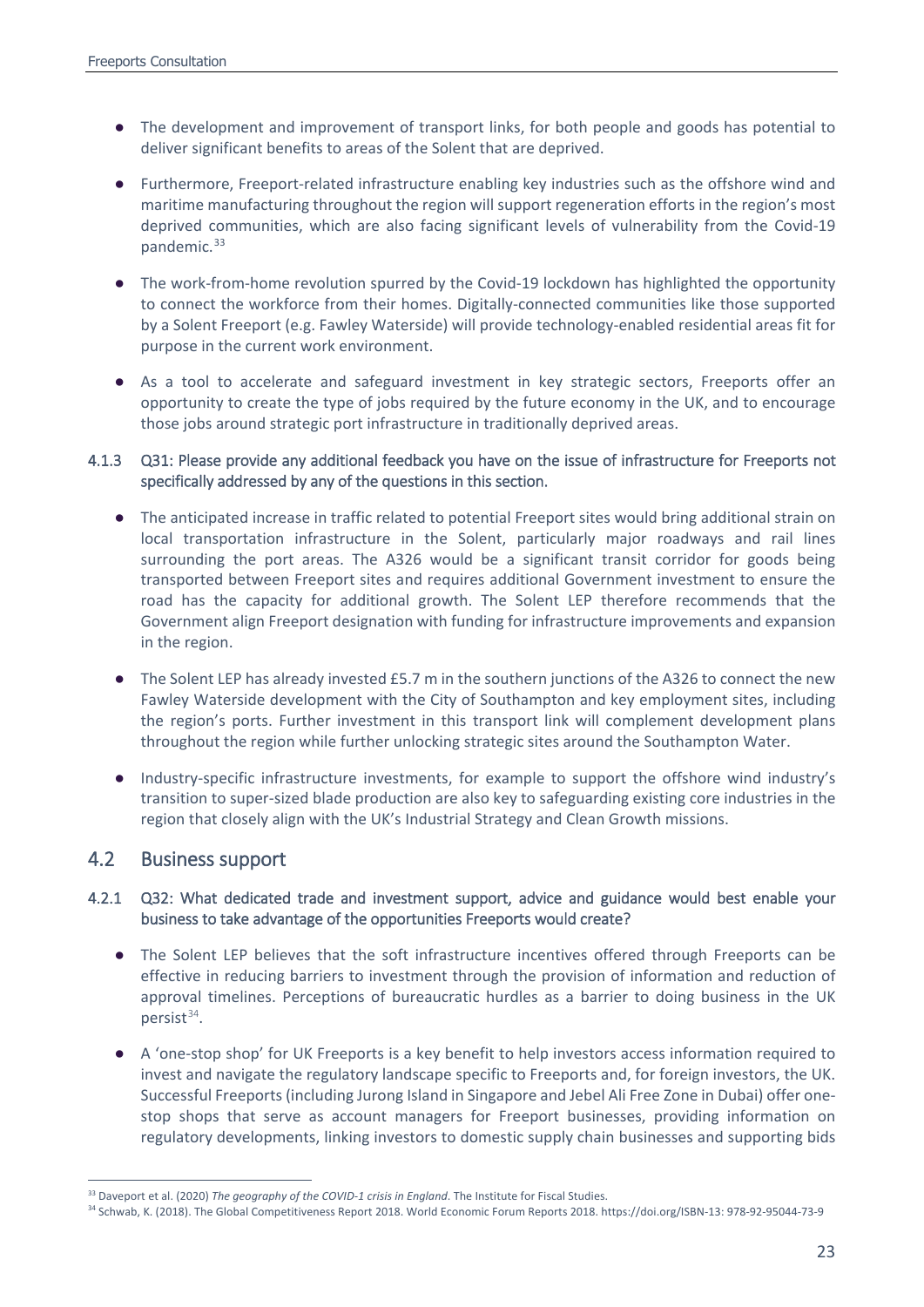- The development and improvement of transport links, for both people and goods has potential to deliver significant benefits to areas of the Solent that are deprived.
- Furthermore, Freeport-related infrastructure enabling key industries such as the offshore wind and maritime manufacturing throughout the region will support regeneration efforts in the region's most deprived communities, which are also facing significant levels of vulnerability from the Covid-19 pandemic.<sup>[33](#page-22-0)</sup>
- The work-from-home revolution spurred by the Covid-19 lockdown has highlighted the opportunity to connect the workforce from their homes. Digitally-connected communities like those supported by a Solent Freeport (e.g. Fawley Waterside) will provide technology-enabled residential areas fit for purpose in the current work environment.
- As a tool to accelerate and safeguard investment in key strategic sectors, Freeports offer an opportunity to create the type of jobs required by the future economy in the UK, and to encourage those jobs around strategic port infrastructure in traditionally deprived areas.

## 4.1.3 Q31: Please provide any additional feedback you have on the issue of infrastructure for Freeports not specifically addressed by any of the questions in this section.

- The anticipated increase in traffic related to potential Freeport sites would bring additional strain on local transportation infrastructure in the Solent, particularly major roadways and rail lines surrounding the port areas. The A326 would be a significant transit corridor for goods being transported between Freeport sites and requires additional Government investment to ensure the road has the capacity for additional growth. The Solent LEP therefore recommends that the Government align Freeport designation with funding for infrastructure improvements and expansion in the region.
- The Solent LEP has already invested £5.7 m in the southern junctions of the A326 to connect the new Fawley Waterside development with the City of Southampton and key employment sites, including the region's ports. Further investment in this transport link will complement development plans throughout the region while further unlocking strategic sites around the Southampton Water.
- Industry-specific infrastructure investments, for example to support the offshore wind industry's transition to super-sized blade production are also key to safeguarding existing core industries in the region that closely align with the UK's Industrial Strategy and Clean Growth missions.

## 4.2 Business support

## 4.2.1 Q32: What dedicated trade and investment support, advice and guidance would best enable your business to take advantage of the opportunities Freeports would create?

- The Solent LEP believes that the soft infrastructure incentives offered through Freeports can be effective in reducing barriers to investment through the provision of information and reduction of approval timelines. Perceptions of bureaucratic hurdles as a barrier to doing business in the UK persist $34$ .
- A 'one-stop shop' for UK Freeports is a key benefit to help investors access information required to invest and navigate the regulatory landscape specific to Freeports and, for foreign investors, the UK. Successful Freeports (including Jurong Island in Singapore and Jebel Ali Free Zone in Dubai) offer onestop shops that serve as account managers for Freeport businesses, providing information on regulatory developments, linking investors to domestic supply chain businesses and supporting bids

<span id="page-22-0"></span> <sup>33</sup> Daveport et al. (2020) *The geography of the COVID-1 crisis in England*. The Institute for Fiscal Studies.

<span id="page-22-1"></span><sup>34</sup> Schwab, K. (2018). The Global Competitiveness Report 2018. World Economic Forum Reports 2018. https://doi.org/ISBN-13: 978-92-95044-73-9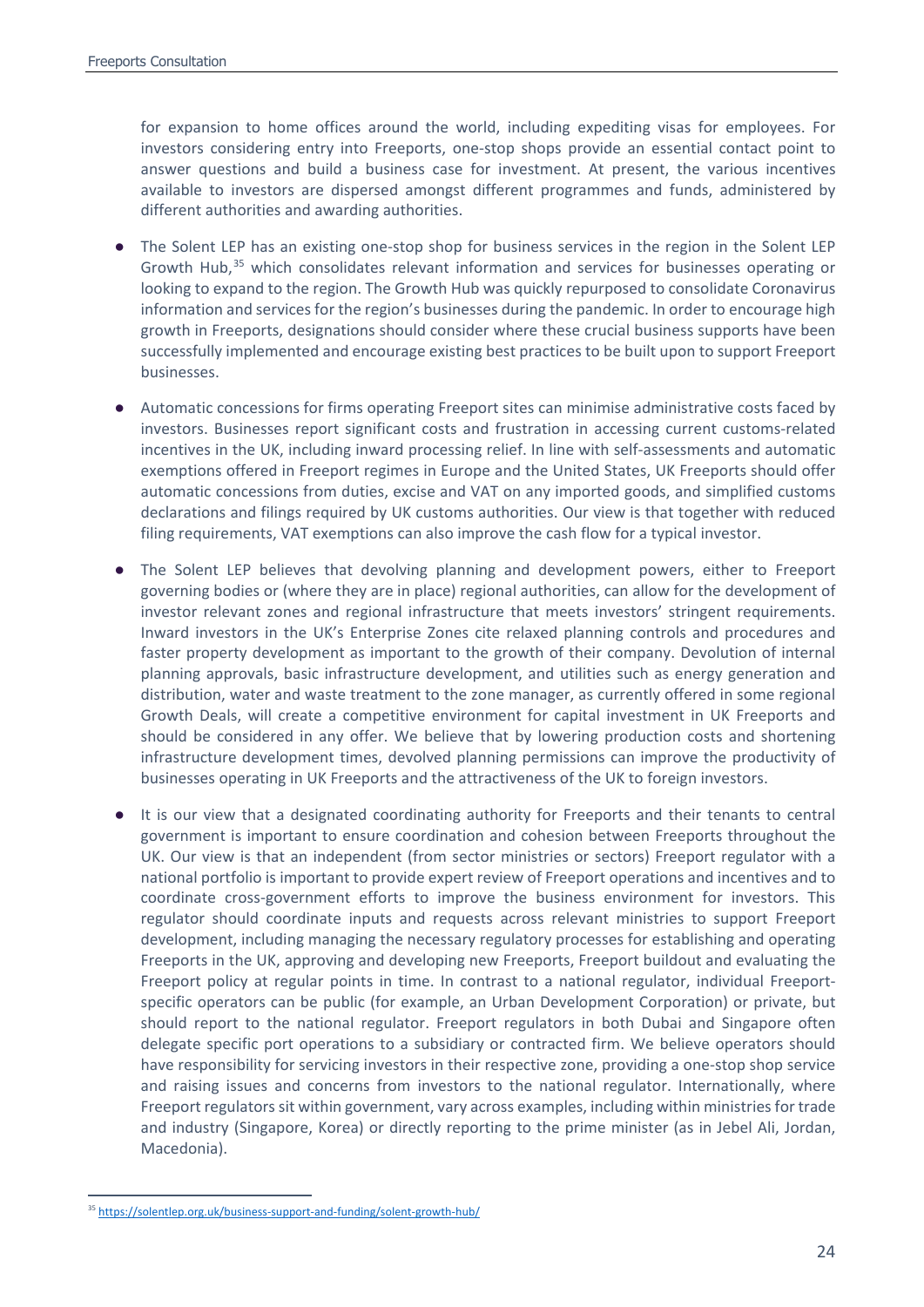for expansion to home offices around the world, including expediting visas for employees. For investors considering entry into Freeports, one-stop shops provide an essential contact point to answer questions and build a business case for investment. At present, the various incentives available to investors are dispersed amongst different programmes and funds, administered by different authorities and awarding authorities.

- The Solent LEP has an existing one-stop shop for business services in the region in the Solent LEP Growth Hub,<sup>[35](#page-23-0)</sup> which consolidates relevant information and services for businesses operating or looking to expand to the region. The Growth Hub was quickly repurposed to consolidate Coronavirus information and services for the region's businesses during the pandemic. In order to encourage high growth in Freeports, designations should consider where these crucial business supports have been successfully implemented and encourage existing best practices to be built upon to support Freeport businesses.
- Automatic concessions for firms operating Freeport sites can minimise administrative costs faced by investors. Businesses report significant costs and frustration in accessing current customs-related incentives in the UK, including inward processing relief. In line with self-assessments and automatic exemptions offered in Freeport regimes in Europe and the United States, UK Freeports should offer automatic concessions from duties, excise and VAT on any imported goods, and simplified customs declarations and filings required by UK customs authorities. Our view is that together with reduced filing requirements, VAT exemptions can also improve the cash flow for a typical investor.
- The Solent LEP believes that devolving planning and development powers, either to Freeport governing bodies or (where they are in place) regional authorities, can allow for the development of investor relevant zones and regional infrastructure that meets investors' stringent requirements. Inward investors in the UK's Enterprise Zones cite relaxed planning controls and procedures and faster property development as important to the growth of their company. Devolution of internal planning approvals, basic infrastructure development, and utilities such as energy generation and distribution, water and waste treatment to the zone manager, as currently offered in some regional Growth Deals, will create a competitive environment for capital investment in UK Freeports and should be considered in any offer. We believe that by lowering production costs and shortening infrastructure development times, devolved planning permissions can improve the productivity of businesses operating in UK Freeports and the attractiveness of the UK to foreign investors.
- It is our view that a designated coordinating authority for Freeports and their tenants to central government is important to ensure coordination and cohesion between Freeports throughout the UK. Our view is that an independent (from sector ministries or sectors) Freeport regulator with a national portfolio is important to provide expert review of Freeport operations and incentives and to coordinate cross-government efforts to improve the business environment for investors. This regulator should coordinate inputs and requests across relevant ministries to support Freeport development, including managing the necessary regulatory processes for establishing and operating Freeports in the UK, approving and developing new Freeports, Freeport buildout and evaluating the Freeport policy at regular points in time. In contrast to a national regulator, individual Freeportspecific operators can be public (for example, an Urban Development Corporation) or private, but should report to the national regulator. Freeport regulators in both Dubai and Singapore often delegate specific port operations to a subsidiary or contracted firm. We believe operators should have responsibility for servicing investors in their respective zone, providing a one-stop shop service and raising issues and concerns from investors to the national regulator. Internationally, where Freeport regulators sit within government, vary across examples, including within ministries for trade and industry (Singapore, Korea) or directly reporting to the prime minister (as in Jebel Ali, Jordan, Macedonia).

<span id="page-23-0"></span> <sup>35</sup> <https://solentlep.org.uk/business-support-and-funding/solent-growth-hub/>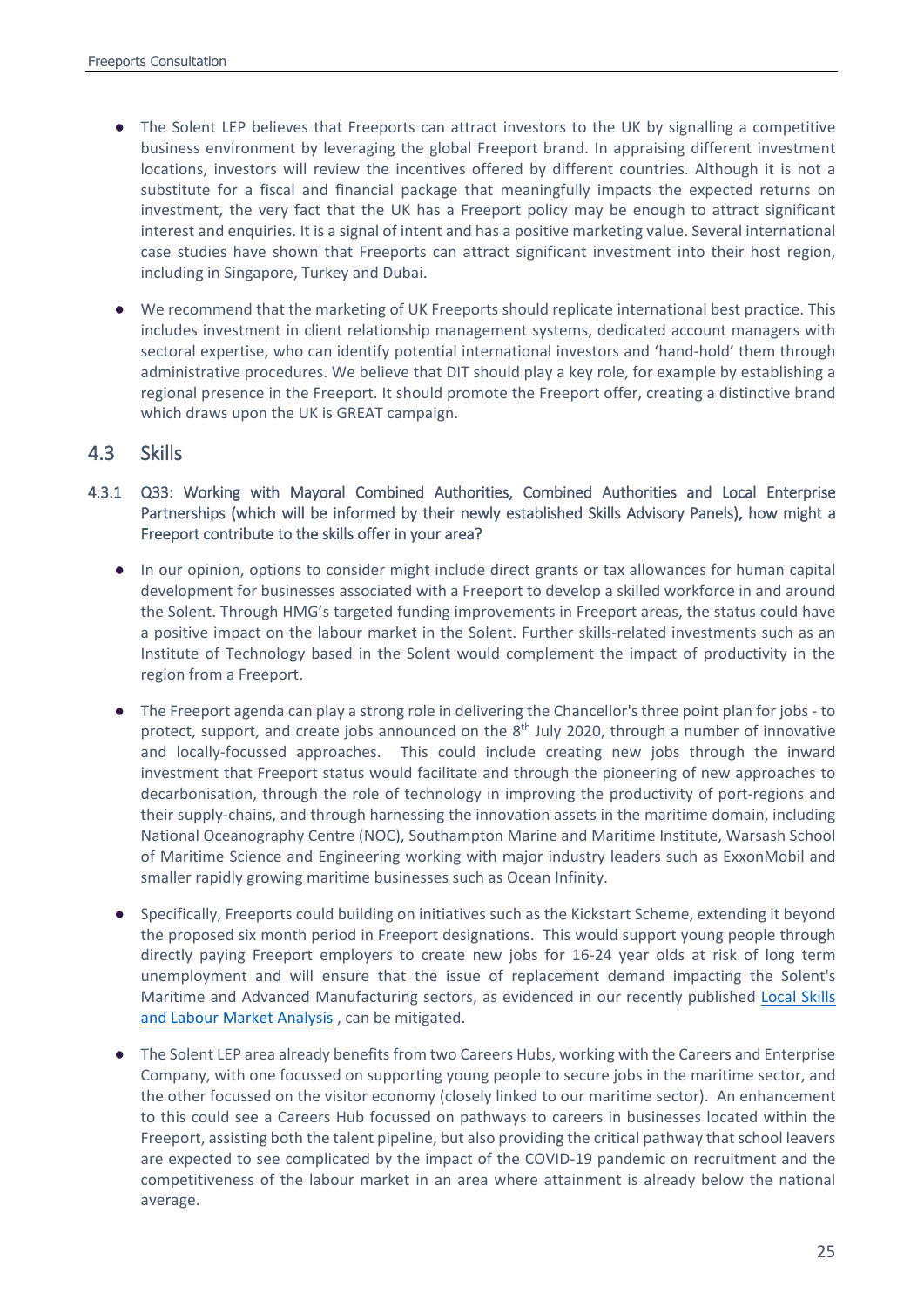- The Solent LEP believes that Freeports can attract investors to the UK by signalling a competitive business environment by leveraging the global Freeport brand. In appraising different investment locations, investors will review the incentives offered by different countries. Although it is not a substitute for a fiscal and financial package that meaningfully impacts the expected returns on investment, the very fact that the UK has a Freeport policy may be enough to attract significant interest and enquiries. It is a signal of intent and has a positive marketing value. Several international case studies have shown that Freeports can attract significant investment into their host region, including in Singapore, Turkey and Dubai.
- We recommend that the marketing of UK Freeports should replicate international best practice. This includes investment in client relationship management systems, dedicated account managers with sectoral expertise, who can identify potential international investors and 'hand-hold' them through administrative procedures. We believe that DIT should play a key role, for example by establishing a regional presence in the Freeport. It should promote the Freeport offer, creating a distinctive brand which draws upon the UK is GREAT campaign.

## 4.3 Skills

- 4.3.1 Q33: Working with Mayoral Combined Authorities, Combined Authorities and Local Enterprise Partnerships (which will be informed by their newly established Skills Advisory Panels), how might a Freeport contribute to the skills offer in your area?
	- In our opinion, options to consider might include direct grants or tax allowances for human capital development for businesses associated with a Freeport to develop a skilled workforce in and around the Solent. Through HMG's targeted funding improvements in Freeport areas, the status could have a positive impact on the labour market in the Solent. Further skills-related investments such as an Institute of Technology based in the Solent would complement the impact of productivity in the region from a Freeport.
	- The Freeport agenda can play a strong role in delivering the Chancellor's three point plan for jobs to protect, support, and create jobs announced on the 8<sup>th</sup> July 2020, through a number of innovative and locally-focussed approaches. This could include creating new jobs through the inward investment that Freeport status would facilitate and through the pioneering of new approaches to decarbonisation, through the role of technology in improving the productivity of port-regions and their supply-chains, and through harnessing the innovation assets in the maritime domain, including National Oceanography Centre (NOC), Southampton Marine and Maritime Institute, Warsash School of Maritime Science and Engineering working with major industry leaders such as ExxonMobil and smaller rapidly growing maritime businesses such as Ocean Infinity.
	- Specifically, Freeports could building on initiatives such as the Kickstart Scheme, extending it beyond the proposed six month period in Freeport designations. This would support young people through directly paying Freeport employers to create new jobs for 16-24 year olds at risk of long term unemployment and will ensure that the issue of replacement demand impacting the Solent's Maritime and Advanced Manufacturing sectors, as evidenced in our recently published [Local Skills](https://solentlep.org.uk/media/3114/solent-lep-skills-and-local-labour-market-report-june-2020-final.pdf)  [and Labour Market Analysis](https://solentlep.org.uk/media/3114/solent-lep-skills-and-local-labour-market-report-june-2020-final.pdf) , can be mitigated.
	- The Solent LEP area already benefits from two Careers Hubs, working with the Careers and Enterprise Company, with one focussed on supporting young people to secure jobs in the maritime sector, and the other focussed on the visitor economy (closely linked to our maritime sector). An enhancement to this could see a Careers Hub focussed on pathways to careers in businesses located within the Freeport, assisting both the talent pipeline, but also providing the critical pathway that school leavers are expected to see complicated by the impact of the COVID-19 pandemic on recruitment and the competitiveness of the labour market in an area where attainment is already below the national average.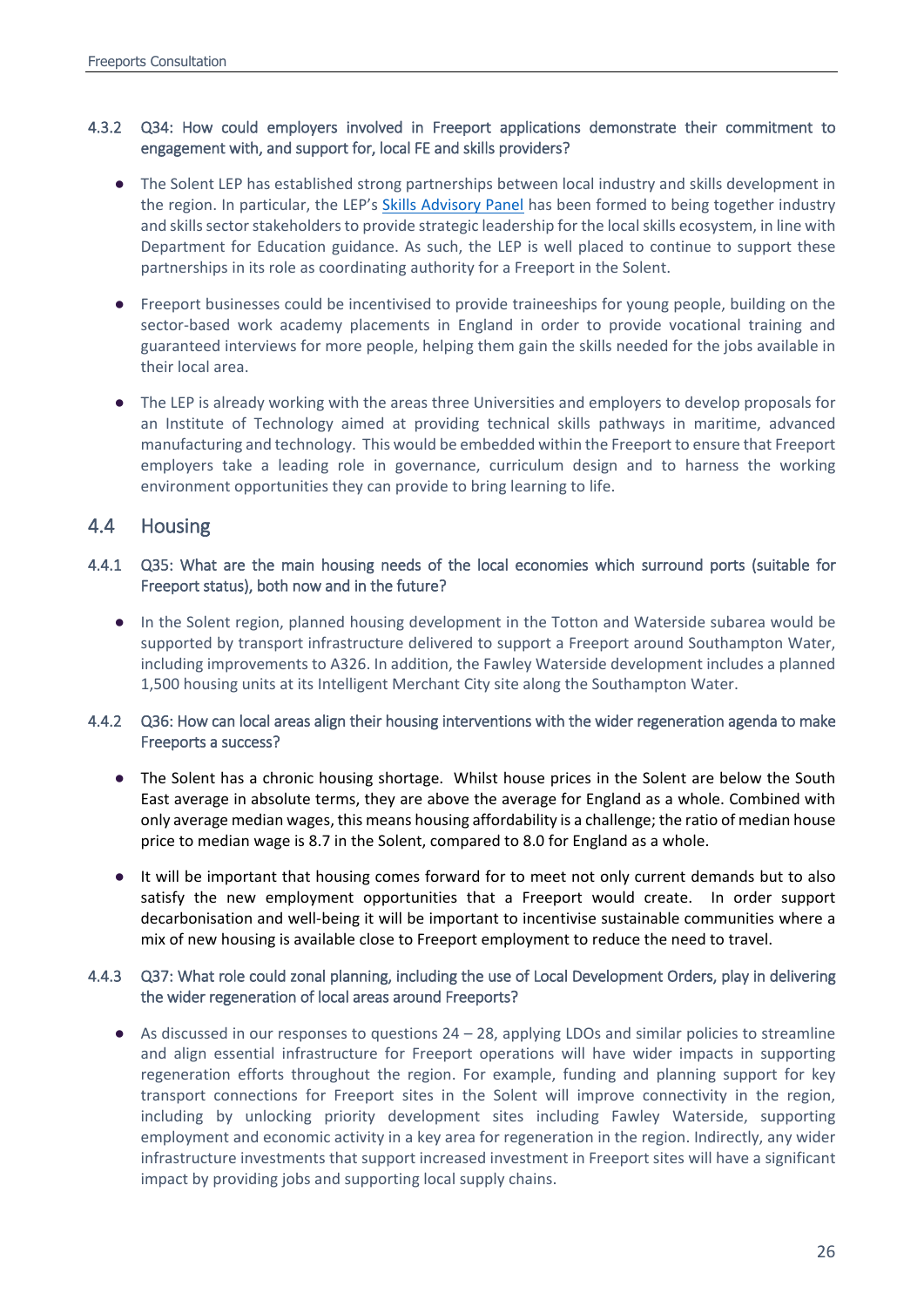## 4.3.2 Q34: How could employers involved in Freeport applications demonstrate their commitment to engagement with, and support for, local FE and skills providers?

- The Solent LEP has established strong partnerships between local industry and skills development in the region. In particular, the LEP's [Skills Advisory Panel](https://solentlep.org.uk/who-we-are/solent-lep-advisory-panels/skills-advisory-panel/) has been formed to being together industry and skills sector stakeholders to provide strategic leadership for the local skills ecosystem, in line with Department for Education guidance. As such, the LEP is well placed to continue to support these partnerships in its role as coordinating authority for a Freeport in the Solent.
- Freeport businesses could be incentivised to provide traineeships for young people, building on the sector-based work academy placements in England in order to provide vocational training and guaranteed interviews for more people, helping them gain the skills needed for the jobs available in their local area.
- The LEP is already working with the areas three Universities and employers to develop proposals for an Institute of Technology aimed at providing technical skills pathways in maritime, advanced manufacturing and technology. This would be embedded within the Freeport to ensure that Freeport employers take a leading role in governance, curriculum design and to harness the working environment opportunities they can provide to bring learning to life.

## 4.4 Housing

## 4.4.1 Q35: What are the main housing needs of the local economies which surround ports (suitable for Freeport status), both now and in the future?

● In the Solent region, planned housing development in the Totton and Waterside subarea would be supported by transport infrastructure delivered to support a Freeport around Southampton Water, including improvements to A326. In addition, the Fawley Waterside development includes a planned 1,500 housing units at its Intelligent Merchant City site along the Southampton Water.

## 4.4.2 Q36: How can local areas align their housing interventions with the wider regeneration agenda to make Freeports a success?

- The Solent has a chronic housing shortage. Whilst house prices in the Solent are below the South East average in absolute terms, they are above the average for England as a whole. Combined with only average median wages, this means housing affordability is a challenge; the ratio of median house price to median wage is 8.7 in the Solent, compared to 8.0 for England as a whole.
- It will be important that housing comes forward for to meet not only current demands but to also satisfy the new employment opportunities that a Freeport would create. In order support decarbonisation and well-being it will be important to incentivise sustainable communities where a mix of new housing is available close to Freeport employment to reduce the need to travel.

## 4.4.3 Q37: What role could zonal planning, including the use of Local Development Orders, play in delivering the wider regeneration of local areas around Freeports?

● As discussed in our responses to questions 24 – 28, applying LDOs and similar policies to streamline and align essential infrastructure for Freeport operations will have wider impacts in supporting regeneration efforts throughout the region. For example, funding and planning support for key transport connections for Freeport sites in the Solent will improve connectivity in the region, including by unlocking priority development sites including Fawley Waterside, supporting employment and economic activity in a key area for regeneration in the region. Indirectly, any wider infrastructure investments that support increased investment in Freeport sites will have a significant impact by providing jobs and supporting local supply chains.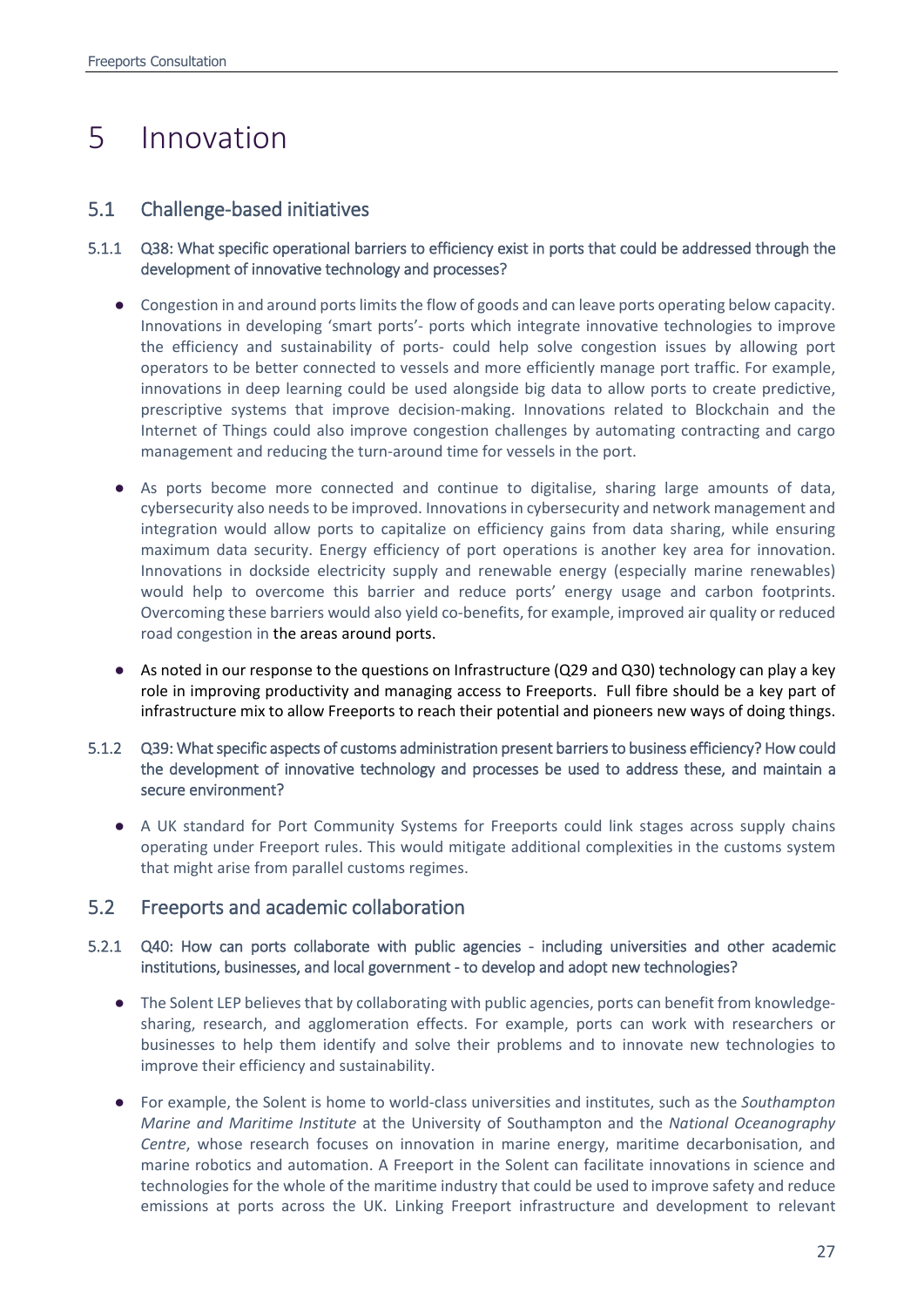# <span id="page-26-0"></span>5 Innovation

## 5.1 Challenge-based initiatives

## 5.1.1 Q38: What specific operational barriers to efficiency exist in ports that could be addressed through the development of innovative technology and processes?

- Congestion in and around ports limits the flow of goods and can leave ports operating below capacity. Innovations in developing 'smart ports'- ports which integrate innovative technologies to improve the efficiency and sustainability of ports- could help solve congestion issues by allowing port operators to be better connected to vessels and more efficiently manage port traffic. For example, innovations in deep learning could be used alongside big data to allow ports to create predictive, prescriptive systems that improve decision-making. Innovations related to Blockchain and the Internet of Things could also improve congestion challenges by automating contracting and cargo management and reducing the turn-around time for vessels in the port.
- As ports become more connected and continue to digitalise, sharing large amounts of data, cybersecurity also needs to be improved. Innovations in cybersecurity and network management and integration would allow ports to capitalize on efficiency gains from data sharing, while ensuring maximum data security. Energy efficiency of port operations is another key area for innovation. Innovations in dockside electricity supply and renewable energy (especially marine renewables) would help to overcome this barrier and reduce ports' energy usage and carbon footprints. Overcoming these barriers would also yield co-benefits, for example, improved air quality or reduced road congestion in the areas around ports.
- As noted in our response to the questions on Infrastructure (Q29 and Q30) technology can play a key role in improving productivity and managing access to Freeports. Full fibre should be a key part of infrastructure mix to allow Freeports to reach their potential and pioneers new ways of doing things.

## 5.1.2 Q39: What specific aspects of customs administration present barriers to business efficiency? How could the development of innovative technology and processes be used to address these, and maintain a secure environment?

● A UK standard for Port Community Systems for Freeports could link stages across supply chains operating under Freeport rules. This would mitigate additional complexities in the customs system that might arise from parallel customs regimes.

## 5.2 Freeports and academic collaboration

## 5.2.1 Q40: How can ports collaborate with public agencies - including universities and other academic institutions, businesses, and local government - to develop and adopt new technologies?

- The Solent LEP believes that by collaborating with public agencies, ports can benefit from knowledgesharing, research, and agglomeration effects. For example, ports can work with researchers or businesses to help them identify and solve their problems and to innovate new technologies to improve their efficiency and sustainability.
- For example, the Solent is home to world-class universities and institutes, such as the *Southampton Marine and Maritime Institute* at the University of Southampton and the *National Oceanography Centre*, whose research focuses on innovation in marine energy, maritime decarbonisation, and marine robotics and automation. A Freeport in the Solent can facilitate innovations in science and technologies for the whole of the maritime industry that could be used to improve safety and reduce emissions at ports across the UK. Linking Freeport infrastructure and development to relevant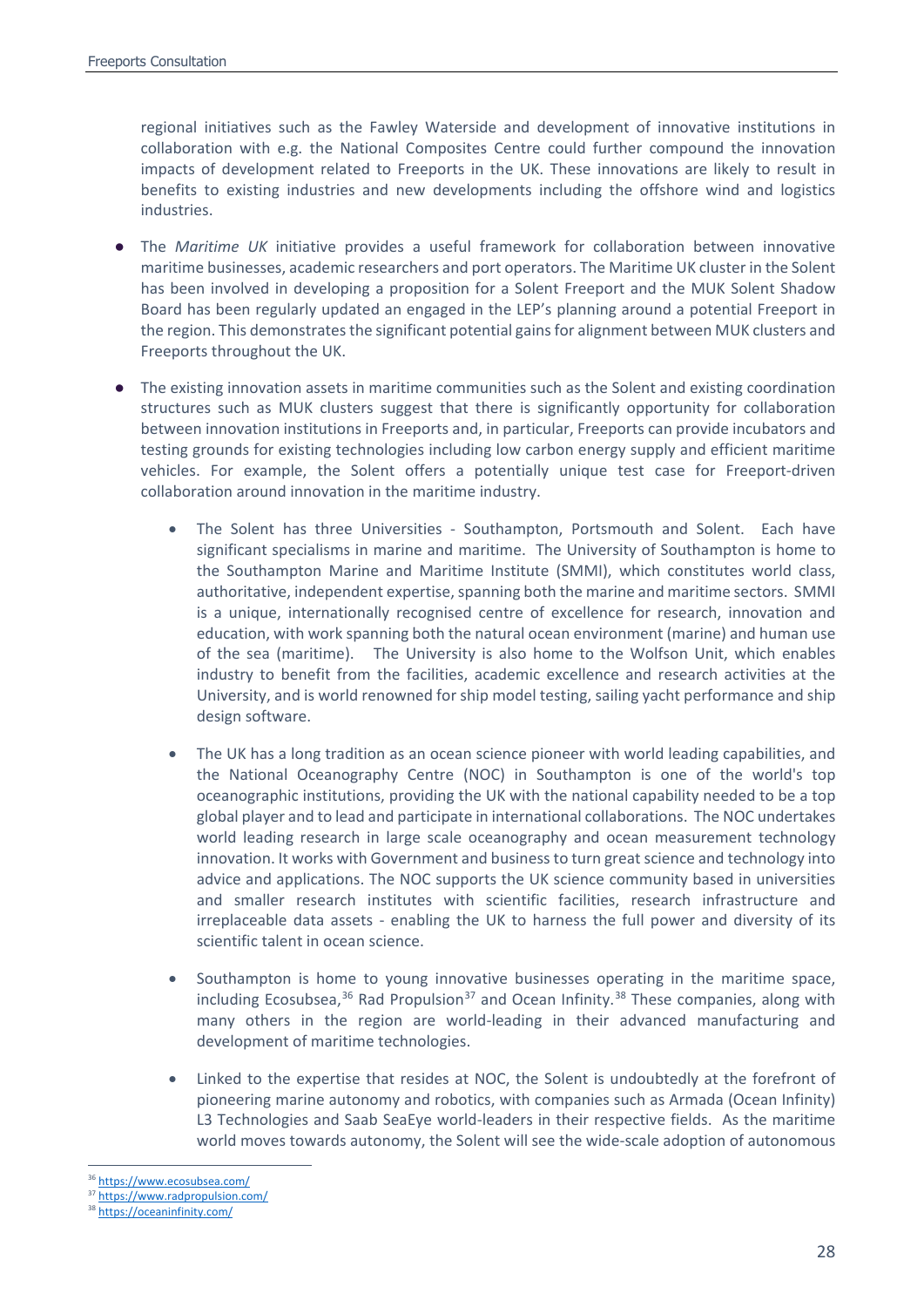regional initiatives such as the Fawley Waterside and development of innovative institutions in collaboration with e.g. the National Composites Centre could further compound the innovation impacts of development related to Freeports in the UK. These innovations are likely to result in benefits to existing industries and new developments including the offshore wind and logistics industries.

- The *Maritime UK* initiative provides a useful framework for collaboration between innovative maritime businesses, academic researchers and port operators. The Maritime UK cluster in the Solent has been involved in developing a proposition for a Solent Freeport and the MUK Solent Shadow Board has been regularly updated an engaged in the LEP's planning around a potential Freeport in the region. This demonstrates the significant potential gains for alignment between MUK clusters and Freeports throughout the UK.
- The existing innovation assets in maritime communities such as the Solent and existing coordination structures such as MUK clusters suggest that there is significantly opportunity for collaboration between innovation institutions in Freeports and, in particular, Freeports can provide incubators and testing grounds for existing technologies including low carbon energy supply and efficient maritime vehicles. For example, the Solent offers a potentially unique test case for Freeport-driven collaboration around innovation in the maritime industry.
	- The Solent has three Universities Southampton, Portsmouth and Solent. Each have significant specialisms in marine and maritime. The University of Southampton is home to the Southampton Marine and Maritime Institute (SMMI), which constitutes world class, authoritative, independent expertise, spanning both the marine and maritime sectors. SMMI is a unique, internationally recognised centre of excellence for research, innovation and education, with work spanning both the natural ocean environment (marine) and human use of the sea (maritime). The University is also home to the Wolfson Unit, which enables industry to benefit from the facilities, academic excellence and research activities at the University, and is world renowned for ship model testing, sailing yacht performance and ship design software.
	- The UK has a long tradition as an ocean science pioneer with world leading capabilities, and the National Oceanography Centre (NOC) in Southampton is one of the world's top oceanographic institutions, providing the UK with the national capability needed to be a top global player and to lead and participate in international collaborations. The NOC undertakes world leading research in large scale oceanography and ocean measurement technology innovation. It works with Government and business to turn great science and technology into advice and applications. The NOC supports the UK science community based in universities and smaller research institutes with scientific facilities, research infrastructure and irreplaceable data assets - enabling the UK to harness the full power and diversity of its scientific talent in ocean science.
	- Southampton is home to young innovative businesses operating in the maritime space, including Ecosubsea,<sup>[36](#page-27-0)</sup> Rad Propulsion<sup>[37](#page-27-1)</sup> and Ocean Infinity.<sup>[38](#page-27-2)</sup> These companies, along with many others in the region are world-leading in their advanced manufacturing and development of maritime technologies.
	- Linked to the expertise that resides at NOC, the Solent is undoubtedly at the forefront of pioneering marine autonomy and robotics, with companies such as Armada (Ocean Infinity) L3 Technologies and Saab SeaEye world-leaders in their respective fields. As the maritime world moves towards autonomy, the Solent will see the wide-scale adoption of autonomous

<span id="page-27-0"></span> <sup>36</sup> <https://www.ecosubsea.com/>

<span id="page-27-1"></span><https://www.radpropulsion.com/>

<span id="page-27-2"></span><sup>38</sup> <https://oceaninfinity.com/>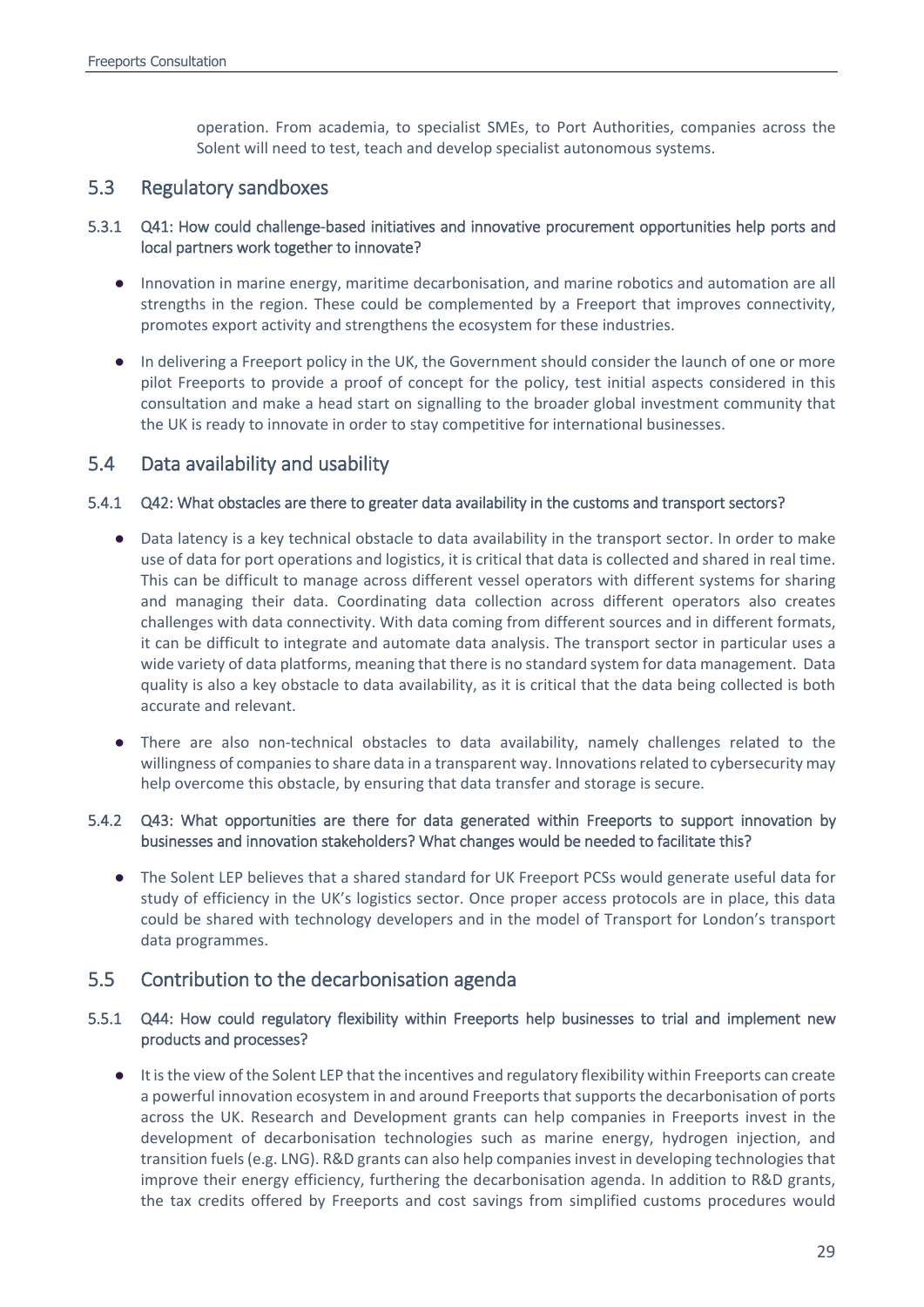operation. From academia, to specialist SMEs, to Port Authorities, companies across the Solent will need to test, teach and develop specialist autonomous systems.

## 5.3 Regulatory sandboxes

## 5.3.1 Q41: How could challenge-based initiatives and innovative procurement opportunities help ports and local partners work together to innovate?

- Innovation in marine energy, maritime decarbonisation, and marine robotics and automation are all strengths in the region. These could be complemented by a Freeport that improves connectivity, promotes export activity and strengthens the ecosystem for these industries.
- In delivering a Freeport policy in the UK, the Government should consider the launch of one or more pilot Freeports to provide a proof of concept for the policy, test initial aspects considered in this consultation and make a head start on signalling to the broader global investment community that the UK is ready to innovate in order to stay competitive for international businesses.

## 5.4 Data availability and usability

## 5.4.1 Q42: What obstacles are there to greater data availability in the customs and transport sectors?

- Data latency is a key technical obstacle to data availability in the transport sector. In order to make use of data for port operations and logistics, it is critical that data is collected and shared in real time. This can be difficult to manage across different vessel operators with different systems for sharing and managing their data. Coordinating data collection across different operators also creates challenges with data connectivity. With data coming from different sources and in different formats, it can be difficult to integrate and automate data analysis. The transport sector in particular uses a wide variety of data platforms, meaning that there is no standard system for data management. Data quality is also a key obstacle to data availability, as it is critical that the data being collected is both accurate and relevant.
- There are also non-technical obstacles to data availability, namely challenges related to the willingness of companies to share data in a transparent way. Innovations related to cybersecurity may help overcome this obstacle, by ensuring that data transfer and storage is secure.

## 5.4.2 Q43: What opportunities are there for data generated within Freeports to support innovation by businesses and innovation stakeholders? What changes would be needed to facilitate this?

● The Solent LEP believes that a shared standard for UK Freeport PCSs would generate useful data for study of efficiency in the UK's logistics sector. Once proper access protocols are in place, this data could be shared with technology developers and in the model of Transport for London's transport data programmes.

## 5.5 Contribution to the decarbonisation agenda

### 5.5.1 Q44: How could regulatory flexibility within Freeports help businesses to trial and implement new products and processes?

● It is the view of the Solent LEP that the incentives and regulatory flexibility within Freeports can create a powerful innovation ecosystem in and around Freeports that supports the decarbonisation of ports across the UK. Research and Development grants can help companies in Freeports invest in the development of decarbonisation technologies such as marine energy, hydrogen injection, and transition fuels (e.g. LNG). R&D grants can also help companies invest in developing technologies that improve their energy efficiency, furthering the decarbonisation agenda. In addition to R&D grants, the tax credits offered by Freeports and cost savings from simplified customs procedures would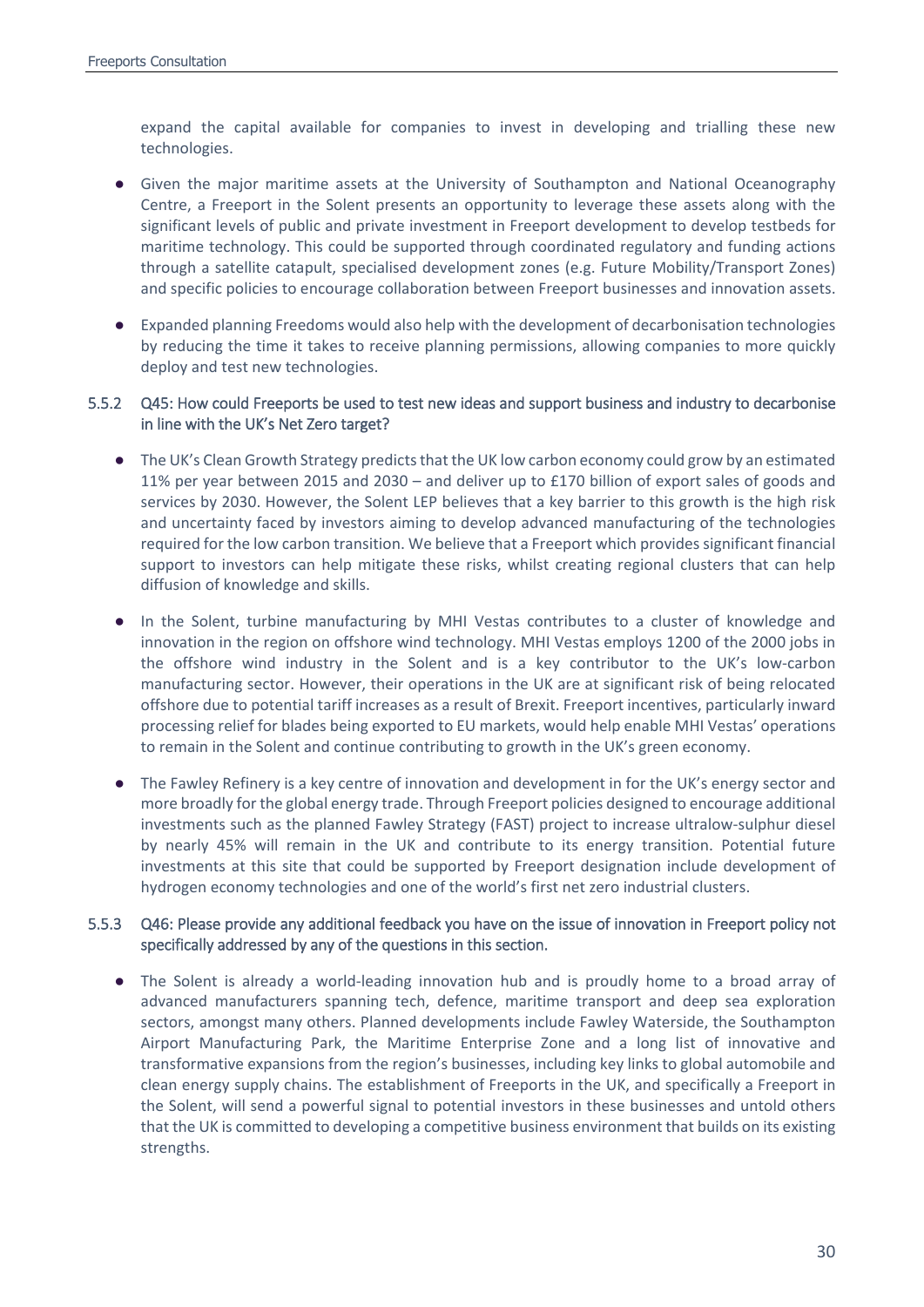expand the capital available for companies to invest in developing and trialling these new technologies.

- Given the major maritime assets at the University of Southampton and National Oceanography Centre, a Freeport in the Solent presents an opportunity to leverage these assets along with the significant levels of public and private investment in Freeport development to develop testbeds for maritime technology. This could be supported through coordinated regulatory and funding actions through a satellite catapult, specialised development zones (e.g. Future Mobility/Transport Zones) and specific policies to encourage collaboration between Freeport businesses and innovation assets.
- Expanded planning Freedoms would also help with the development of decarbonisation technologies by reducing the time it takes to receive planning permissions, allowing companies to more quickly deploy and test new technologies.

### 5.5.2 Q45: How could Freeports be used to test new ideas and support business and industry to decarbonise in line with the UK's Net Zero target?

- The UK's Clean Growth Strategy predicts that the UK low carbon economy could grow by an estimated 11% per year between 2015 and 2030 – and deliver up to £170 billion of export sales of goods and services by 2030. However, the Solent LEP believes that a key barrier to this growth is the high risk and uncertainty faced by investors aiming to develop advanced manufacturing of the technologies required for the low carbon transition. We believe that a Freeport which provides significant financial support to investors can help mitigate these risks, whilst creating regional clusters that can help diffusion of knowledge and skills.
- In the Solent, turbine manufacturing by MHI Vestas contributes to a cluster of knowledge and innovation in the region on offshore wind technology. MHI Vestas employs 1200 of the 2000 jobs in the offshore wind industry in the Solent and is a key contributor to the UK's low-carbon manufacturing sector. However, their operations in the UK are at significant risk of being relocated offshore due to potential tariff increases as a result of Brexit. Freeport incentives, particularly inward processing relief for blades being exported to EU markets, would help enable MHI Vestas' operations to remain in the Solent and continue contributing to growth in the UK's green economy.
- The Fawley Refinery is a key centre of innovation and development in for the UK's energy sector and more broadly for the global energy trade. Through Freeport policies designed to encourage additional investments such as the planned Fawley Strategy (FAST) project to increase ultralow-sulphur diesel by nearly 45% will remain in the UK and contribute to its energy transition. Potential future investments at this site that could be supported by Freeport designation include development of hydrogen economy technologies and one of the world's first net zero industrial clusters.

### 5.5.3 Q46: Please provide any additional feedback you have on the issue of innovation in Freeport policy not specifically addressed by any of the questions in this section.

● The Solent is already a world-leading innovation hub and is proudly home to a broad array of advanced manufacturers spanning tech, defence, maritime transport and deep sea exploration sectors, amongst many others. Planned developments include Fawley Waterside, the Southampton Airport Manufacturing Park, the Maritime Enterprise Zone and a long list of innovative and transformative expansions from the region's businesses, including key links to global automobile and clean energy supply chains. The establishment of Freeports in the UK, and specifically a Freeport in the Solent, will send a powerful signal to potential investors in these businesses and untold others that the UK is committed to developing a competitive business environment that builds on its existing strengths.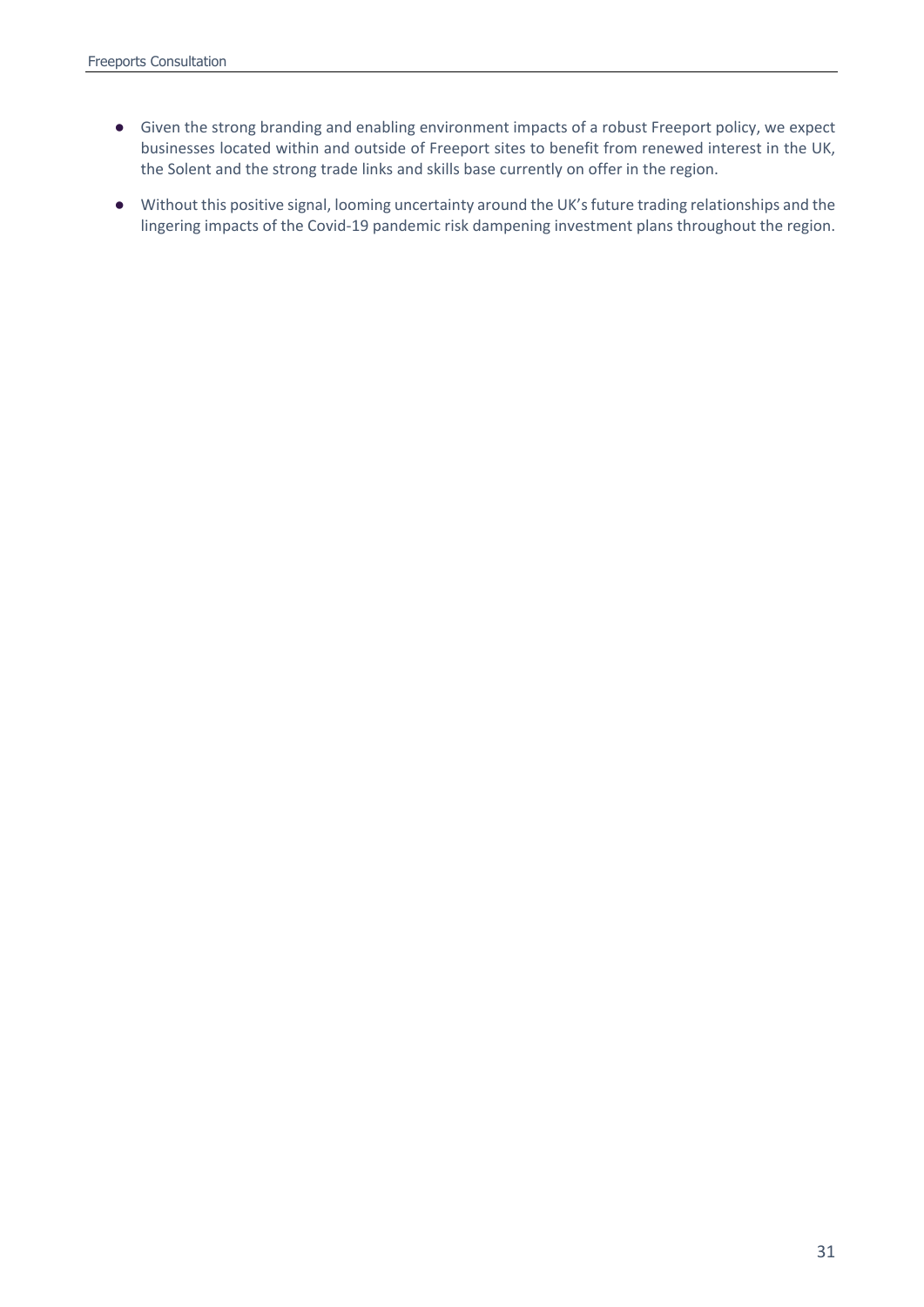- Given the strong branding and enabling environment impacts of a robust Freeport policy, we expect businesses located within and outside of Freeport sites to benefit from renewed interest in the UK, the Solent and the strong trade links and skills base currently on offer in the region.
- Without this positive signal, looming uncertainty around the UK's future trading relationships and the lingering impacts of the Covid-19 pandemic risk dampening investment plans throughout the region.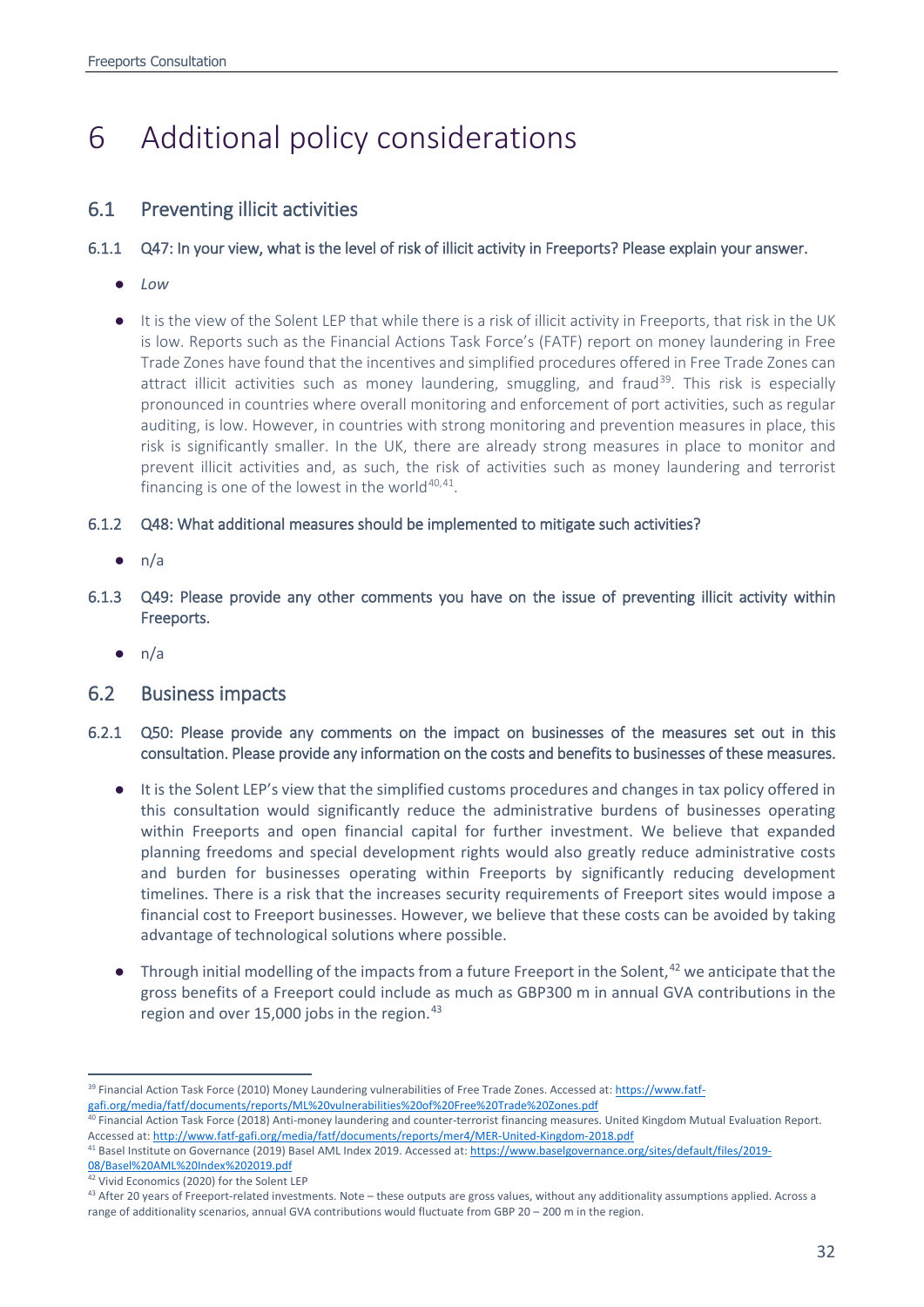# <span id="page-31-0"></span>6 Additional policy considerations

## 6.1 Preventing illicit activities

### 6.1.1 Q47: In your view, what is the level of risk of illicit activity in Freeports? Please explain your answer.

- *Low*
- It is the view of the Solent LEP that while there is a risk of illicit activity in Freeports, that risk in the UK is low. Reports such as the Financial Actions Task Force's (FATF) report on money laundering in Free Trade Zones have found that the incentives and simplified procedures offered in Free Trade Zones can attract illicit activities such as money laundering, smuggling, and fraud<sup>[39](#page-31-1)</sup>. This risk is especially pronounced in countries where overall monitoring and enforcement of port activities, such as regular auditing, is low. However, in countries with strong monitoring and prevention measures in place, this risk is significantly smaller. In the UK, there are already strong measures in place to monitor and prevent illicit activities and, as such, the risk of activities such as money laundering and terrorist financing is one of the lowest in the world $40,41$  $40,41$ .

### 6.1.2 Q48: What additional measures should be implemented to mitigate such activities?

- $\bullet$  n/a
- 6.1.3 Q49: Please provide any other comments you have on the issue of preventing illicit activity within Freeports.
	- $\bullet$  n/a

## 6.2 Business impacts

- 6.2.1 Q50: Please provide any comments on the impact on businesses of the measures set out in this consultation. Please provide any information on the costs and benefits to businesses of these measures.
	- It is the Solent LEP's view that the simplified customs procedures and changes in tax policy offered in this consultation would significantly reduce the administrative burdens of businesses operating within Freeports and open financial capital for further investment. We believe that expanded planning freedoms and special development rights would also greatly reduce administrative costs and burden for businesses operating within Freeports by significantly reducing development timelines. There is a risk that the increases security requirements of Freeport sites would impose a financial cost to Freeport businesses. However, we believe that these costs can be avoided by taking advantage of technological solutions where possible.
	- Through initial modelling of the impacts from a future Freeport in the Solent, $42$  we anticipate that the gross benefits of a Freeport could include as much as GBP300 m in annual GVA contributions in the region and over 15,000 jobs in the region.<sup>[43](#page-31-5)</sup>

<span id="page-31-1"></span> <sup>39</sup> Financial Action Task Force (2010) Money Laundering vulnerabilities of Free Trade Zones. Accessed at[: https://www.fatf-](https://www.fatf-gafi.org/media/fatf/documents/reports/ML%20vulnerabilities%20of%20Free%20Trade%20Zones.pdf)

[gafi.org/media/fatf/documents/reports/ML%20vulnerabilities%20of%20Free%20Trade%20Zones.pdf](https://www.fatf-gafi.org/media/fatf/documents/reports/ML%20vulnerabilities%20of%20Free%20Trade%20Zones.pdf)

<span id="page-31-2"></span><sup>40</sup> Financial Action Task Force (2018) Anti-money laundering and counter-terrorist financing measures. United Kingdom Mutual Evaluation Report. Accessed at:<http://www.fatf-gafi.org/media/fatf/documents/reports/mer4/MER-United-Kingdom-2018.pdf>

<span id="page-31-3"></span><sup>41</sup> Basel Institute on Governance (2019) Basel AML Index 2019. Accessed at[: https://www.baselgovernance.org/sites/default/files/2019-](https://www.baselgovernance.org/sites/default/files/2019-08/Basel%20AML%20Index%202019.pdf) [08/Basel%20AML%20Index%202019.pdf](https://www.baselgovernance.org/sites/default/files/2019-08/Basel%20AML%20Index%202019.pdf)

<span id="page-31-4"></span><sup>42</sup> Vivid Economics (2020) for the Solent LEP

<span id="page-31-5"></span><sup>&</sup>lt;sup>43</sup> After 20 years of Freeport-related investments. Note – these outputs are gross values, without any additionality assumptions applied. Across a range of additionality scenarios, annual GVA contributions would fluctuate from GBP 20 – 200 m in the region.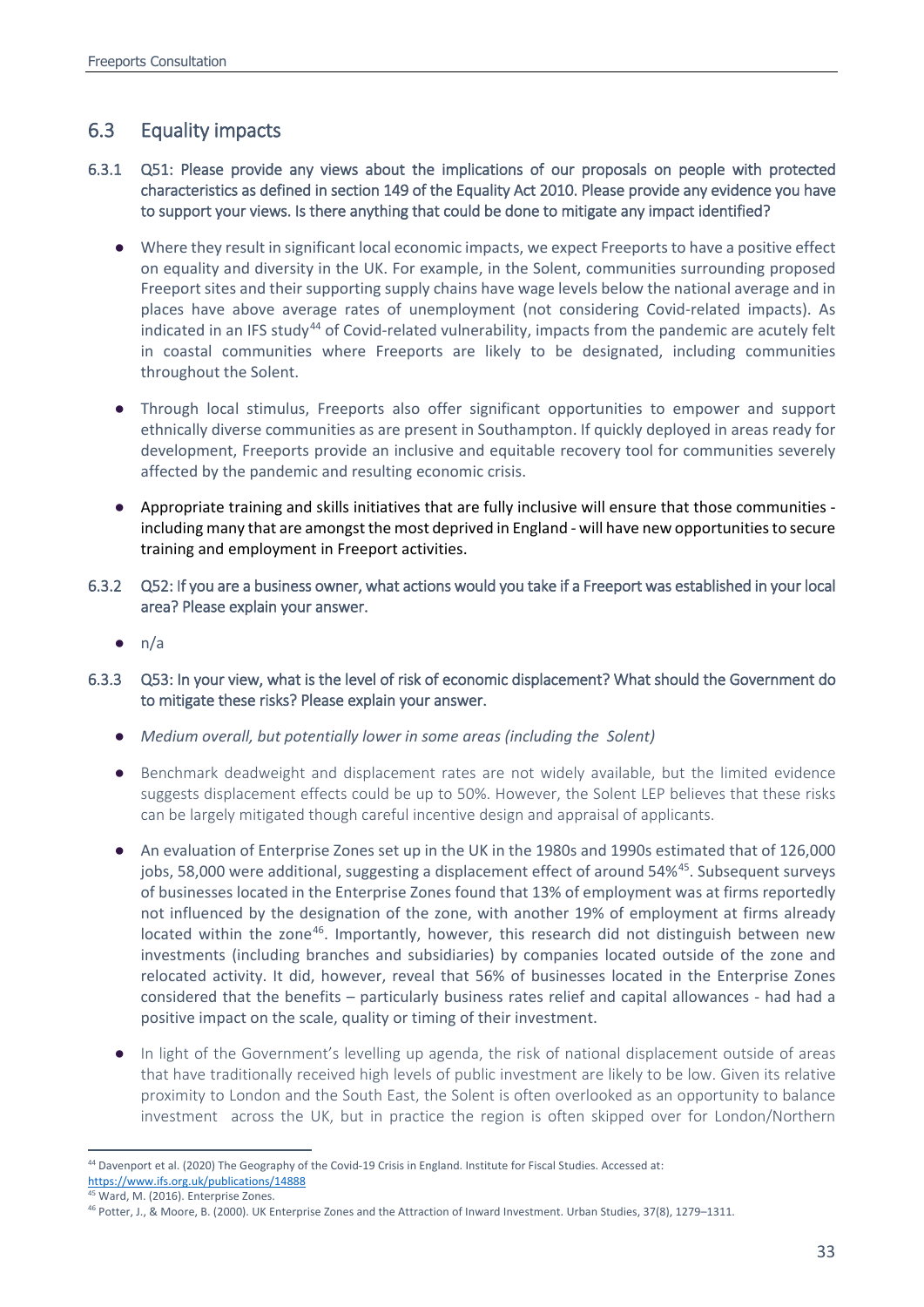## 6.3 Equality impacts

- 6.3.1 Q51: Please provide any views about the implications of our proposals on people with protected characteristics as defined in section 149 of the Equality Act 2010. Please provide any evidence you have to support your views. Is there anything that could be done to mitigate any impact identified?
	- Where they result in significant local economic impacts, we expect Freeports to have a positive effect on equality and diversity in the UK. For example, in the Solent, communities surrounding proposed Freeport sites and their supporting supply chains have wage levels below the national average and in places have above average rates of unemployment (not considering Covid-related impacts). As indicated in an IFS study<sup>[44](#page-32-0)</sup> of Covid-related vulnerability, impacts from the pandemic are acutely felt in coastal communities where Freeports are likely to be designated, including communities throughout the Solent.
	- Through local stimulus, Freeports also offer significant opportunities to empower and support ethnically diverse communities as are present in Southampton. If quickly deployed in areas ready for development, Freeports provide an inclusive and equitable recovery tool for communities severely affected by the pandemic and resulting economic crisis.
	- Appropriate training and skills initiatives that are fully inclusive will ensure that those communities including many that are amongst the most deprived in England - will have new opportunities to secure training and employment in Freeport activities.
- 6.3.2 Q52: If you are a business owner, what actions would you take if a Freeport was established in your local area? Please explain your answer.
	- $\bullet$  n/a
- 6.3.3 Q53: In your view, what is the level of risk of economic displacement? What should the Government do to mitigate these risks? Please explain your answer.
	- *Medium overall, but potentially lower in some areas (including the Solent)*
	- Benchmark deadweight and displacement rates are not widely available, but the limited evidence suggests displacement effects could be up to 50%. However, the Solent LEP believes that these risks can be largely mitigated though careful incentive design and appraisal of applicants.
	- An evaluation of Enterprise Zones set up in the UK in the 1980s and 1990s estimated that of 126,000 jobs, 58,000 were additional, suggesting a displacement effect of around 54%<sup>[45](#page-32-1)</sup>. Subsequent surveys of businesses located in the Enterprise Zones found that 13% of employment was at firms reportedly not influenced by the designation of the zone, with another 19% of employment at firms already located within the zone<sup>46</sup>. Importantly, however, this research did not distinguish between new investments (including branches and subsidiaries) by companies located outside of the zone and relocated activity. It did, however, reveal that 56% of businesses located in the Enterprise Zones considered that the benefits – particularly business rates relief and capital allowances - had had a positive impact on the scale, quality or timing of their investment.
	- In light of the Government's levelling up agenda, the risk of national displacement outside of areas that have traditionally received high levels of public investment are likely to be low. Given its relative proximity to London and the South East, the Solent is often overlooked as an opportunity to balance investment across the UK, but in practice the region is often skipped over for London/Northern

<span id="page-32-0"></span><sup>44</sup> Davenport et al. (2020) The Geography of the Covid-19 Crisis in England. Institute for Fiscal Studies. Accessed at: <https://www.ifs.org.uk/publications/14888>

Ward, M. (2016). Enterprise Zones.

<span id="page-32-2"></span><span id="page-32-1"></span><sup>46</sup> Potter, J., & Moore, B. (2000). UK Enterprise Zones and the Attraction of Inward Investment. Urban Studies, 37(8), 1279–1311.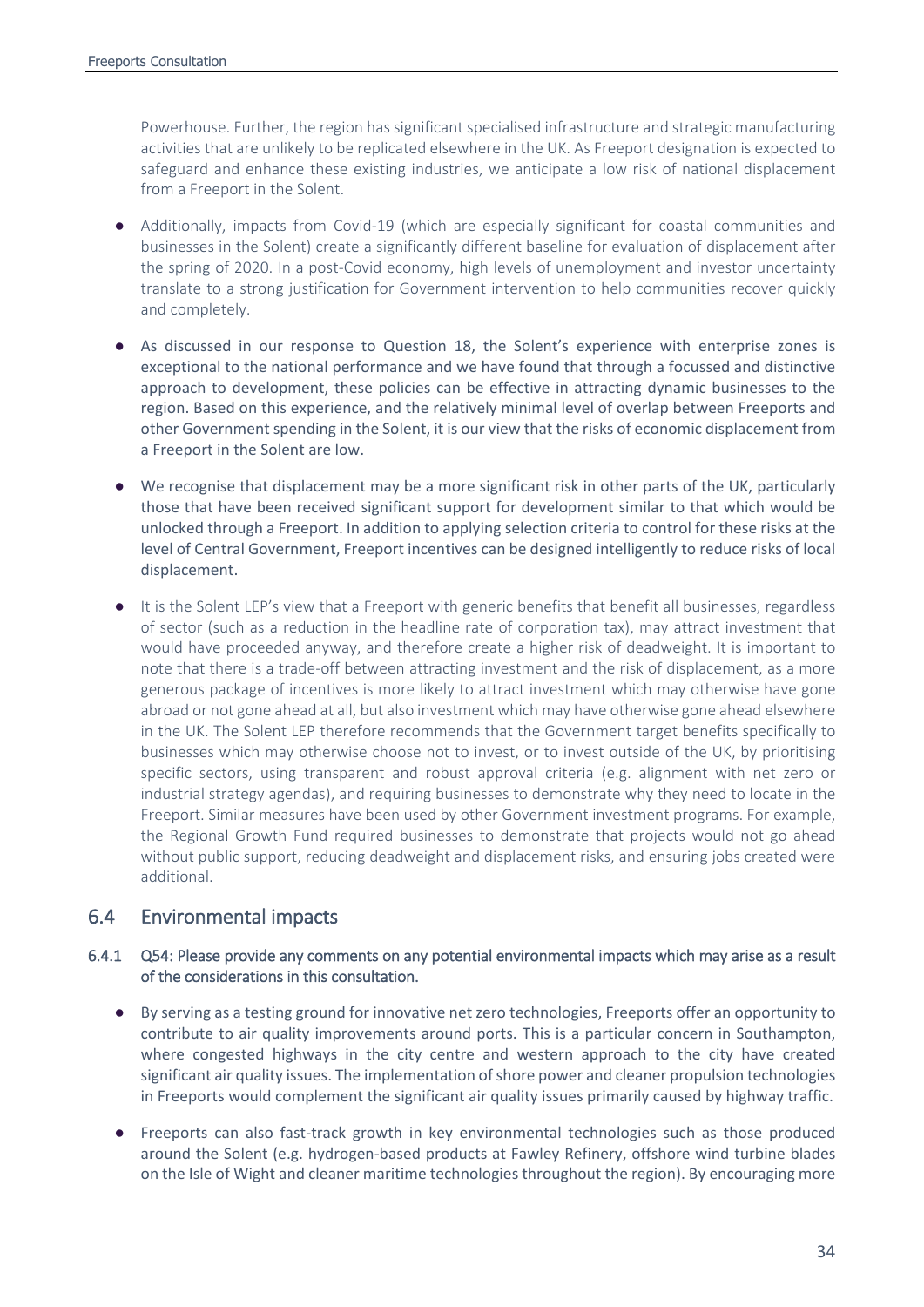Powerhouse. Further, the region has significant specialised infrastructure and strategic manufacturing activities that are unlikely to be replicated elsewhere in the UK. As Freeport designation is expected to safeguard and enhance these existing industries, we anticipate a low risk of national displacement from a Freeport in the Solent.

- Additionally, impacts from Covid-19 (which are especially significant for coastal communities and businesses in the Solent) create a significantly different baseline for evaluation of displacement after the spring of 2020. In a post-Covid economy, high levels of unemployment and investor uncertainty translate to a strong justification for Government intervention to help communities recover quickly and completely.
- As discussed in our response to Question 18, the Solent's experience with enterprise zones is exceptional to the national performance and we have found that through a focussed and distinctive approach to development, these policies can be effective in attracting dynamic businesses to the region. Based on this experience, and the relatively minimal level of overlap between Freeports and other Government spending in the Solent, it is our view that the risks of economic displacement from a Freeport in the Solent are low.
- We recognise that displacement may be a more significant risk in other parts of the UK, particularly those that have been received significant support for development similar to that which would be unlocked through a Freeport. In addition to applying selection criteria to control for these risks at the level of Central Government, Freeport incentives can be designed intelligently to reduce risks of local displacement.
- It is the Solent LEP's view that a Freeport with generic benefits that benefit all businesses, regardless of sector (such as a reduction in the headline rate of corporation tax), may attract investment that would have proceeded anyway, and therefore create a higher risk of deadweight. It is important to note that there is a trade-off between attracting investment and the risk of displacement, as a more generous package of incentives is more likely to attract investment which may otherwise have gone abroad or not gone ahead at all, but also investment which may have otherwise gone ahead elsewhere in the UK. The Solent LEP therefore recommends that the Government target benefits specifically to businesses which may otherwise choose not to invest, or to invest outside of the UK, by prioritising specific sectors, using transparent and robust approval criteria (e.g. alignment with net zero or industrial strategy agendas), and requiring businesses to demonstrate why they need to locate in the Freeport. Similar measures have been used by other Government investment programs. For example, the Regional Growth Fund required businesses to demonstrate that projects would not go ahead without public support, reducing deadweight and displacement risks, and ensuring jobs created were additional.

## 6.4 Environmental impacts

### 6.4.1 Q54: Please provide any comments on any potential environmental impacts which may arise as a result of the considerations in this consultation.

- By serving as a testing ground for innovative net zero technologies, Freeports offer an opportunity to contribute to air quality improvements around ports. This is a particular concern in Southampton, where congested highways in the city centre and western approach to the city have created significant air quality issues. The implementation of shore power and cleaner propulsion technologies in Freeports would complement the significant air quality issues primarily caused by highway traffic.
- Freeports can also fast-track growth in key environmental technologies such as those produced around the Solent (e.g. hydrogen-based products at Fawley Refinery, offshore wind turbine blades on the Isle of Wight and cleaner maritime technologies throughout the region). By encouraging more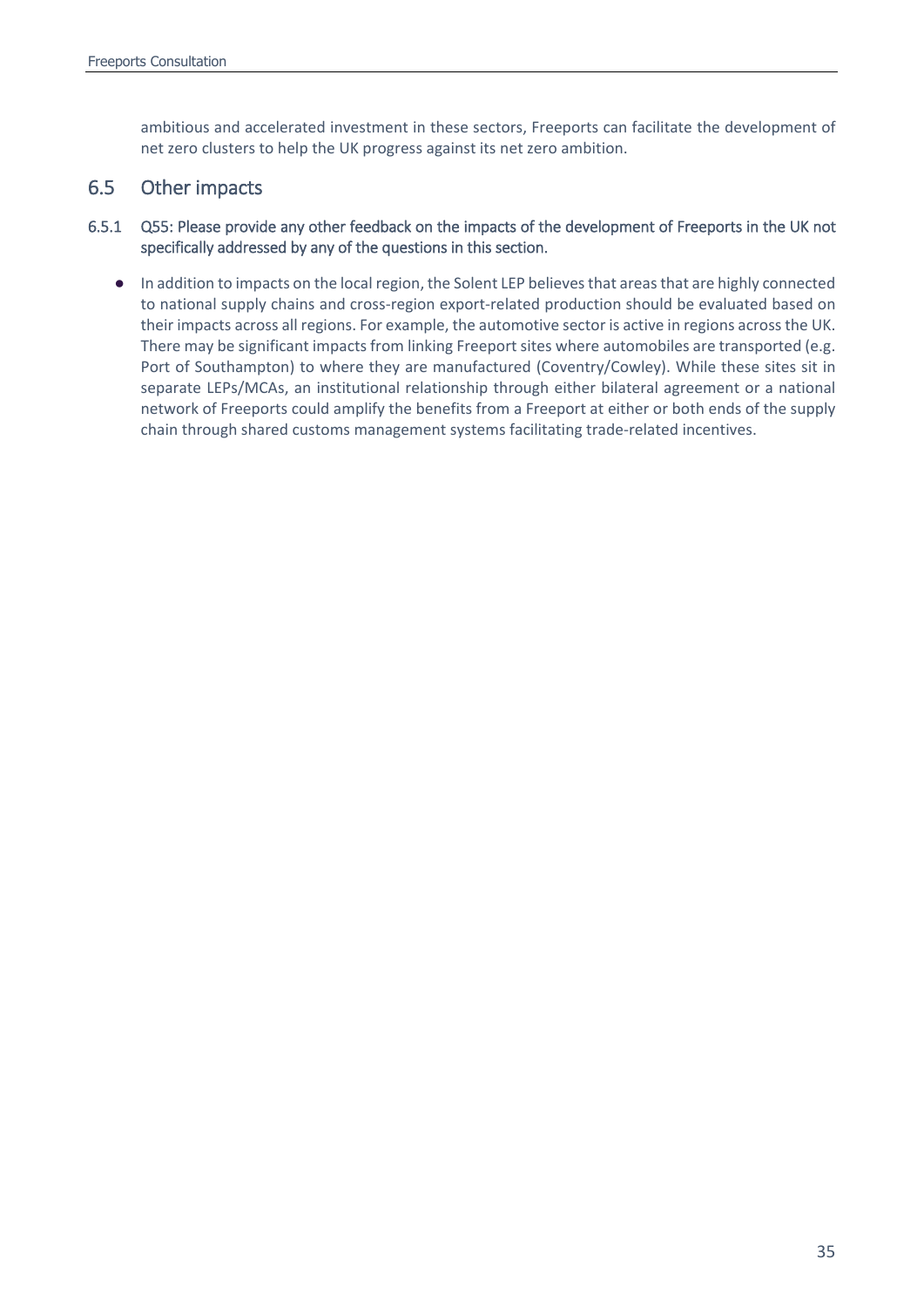ambitious and accelerated investment in these sectors, Freeports can facilitate the development of net zero clusters to help the UK progress against its net zero ambition.

## 6.5 Other impacts

- 6.5.1 Q55: Please provide any other feedback on the impacts of the development of Freeports in the UK not specifically addressed by any of the questions in this section.
	- In addition to impacts on the local region, the Solent LEP believes that areas that are highly connected to national supply chains and cross-region export-related production should be evaluated based on their impacts across all regions. For example, the automotive sector is active in regions across the UK. There may be significant impacts from linking Freeport sites where automobiles are transported (e.g. Port of Southampton) to where they are manufactured (Coventry/Cowley). While these sites sit in separate LEPs/MCAs, an institutional relationship through either bilateral agreement or a national network of Freeports could amplify the benefits from a Freeport at either or both ends of the supply chain through shared customs management systems facilitating trade-related incentives.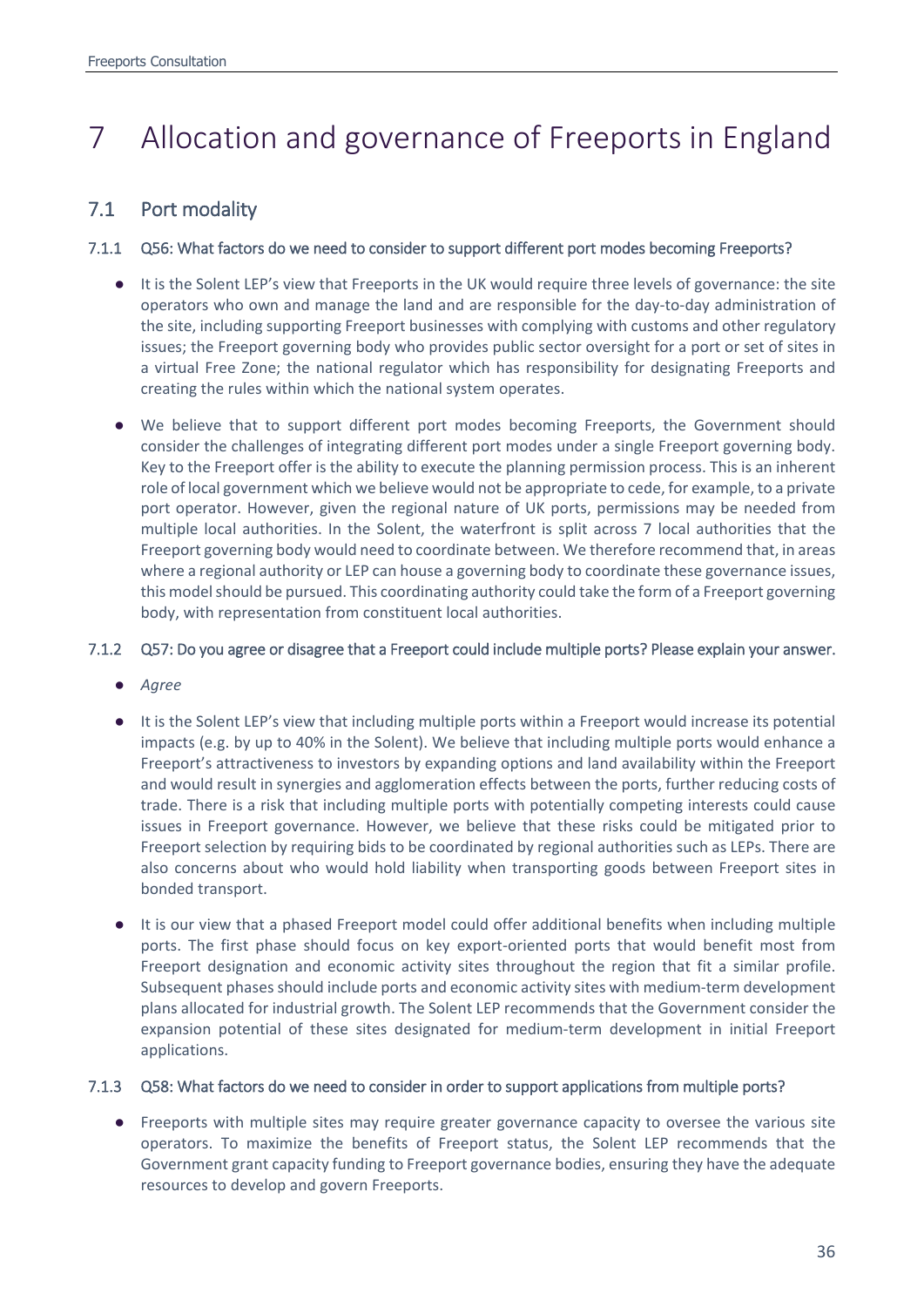# <span id="page-35-0"></span>7 Allocation and governance of Freeports in England

# 7.1 Port modality

## 7.1.1 Q56: What factors do we need to consider to support different port modes becoming Freeports?

- It is the Solent LEP's view that Freeports in the UK would require three levels of governance: the site operators who own and manage the land and are responsible for the day-to-day administration of the site, including supporting Freeport businesses with complying with customs and other regulatory issues; the Freeport governing body who provides public sector oversight for a port or set of sites in a virtual Free Zone; the national regulator which has responsibility for designating Freeports and creating the rules within which the national system operates.
- We believe that to support different port modes becoming Freeports, the Government should consider the challenges of integrating different port modes under a single Freeport governing body. Key to the Freeport offer is the ability to execute the planning permission process. This is an inherent role of local government which we believe would not be appropriate to cede, for example, to a private port operator. However, given the regional nature of UK ports, permissions may be needed from multiple local authorities. In the Solent, the waterfront is split across 7 local authorities that the Freeport governing body would need to coordinate between. We therefore recommend that, in areas where a regional authority or LEP can house a governing body to coordinate these governance issues, this model should be pursued. This coordinating authority could take the form of a Freeport governing body, with representation from constituent local authorities.

## 7.1.2 Q57: Do you agree or disagree that a Freeport could include multiple ports? Please explain your answer.

- *Agree*
- It is the Solent LEP's view that including multiple ports within a Freeport would increase its potential impacts (e.g. by up to 40% in the Solent). We believe that including multiple ports would enhance a Freeport's attractiveness to investors by expanding options and land availability within the Freeport and would result in synergies and agglomeration effects between the ports, further reducing costs of trade. There is a risk that including multiple ports with potentially competing interests could cause issues in Freeport governance. However, we believe that these risks could be mitigated prior to Freeport selection by requiring bids to be coordinated by regional authorities such as LEPs. There are also concerns about who would hold liability when transporting goods between Freeport sites in bonded transport.
- It is our view that a phased Freeport model could offer additional benefits when including multiple ports. The first phase should focus on key export-oriented ports that would benefit most from Freeport designation and economic activity sites throughout the region that fit a similar profile. Subsequent phases should include ports and economic activity sites with medium-term development plans allocated for industrial growth. The Solent LEP recommends that the Government consider the expansion potential of these sites designated for medium-term development in initial Freeport applications.

## 7.1.3 Q58: What factors do we need to consider in order to support applications from multiple ports?

● Freeports with multiple sites may require greater governance capacity to oversee the various site operators. To maximize the benefits of Freeport status, the Solent LEP recommends that the Government grant capacity funding to Freeport governance bodies, ensuring they have the adequate resources to develop and govern Freeports.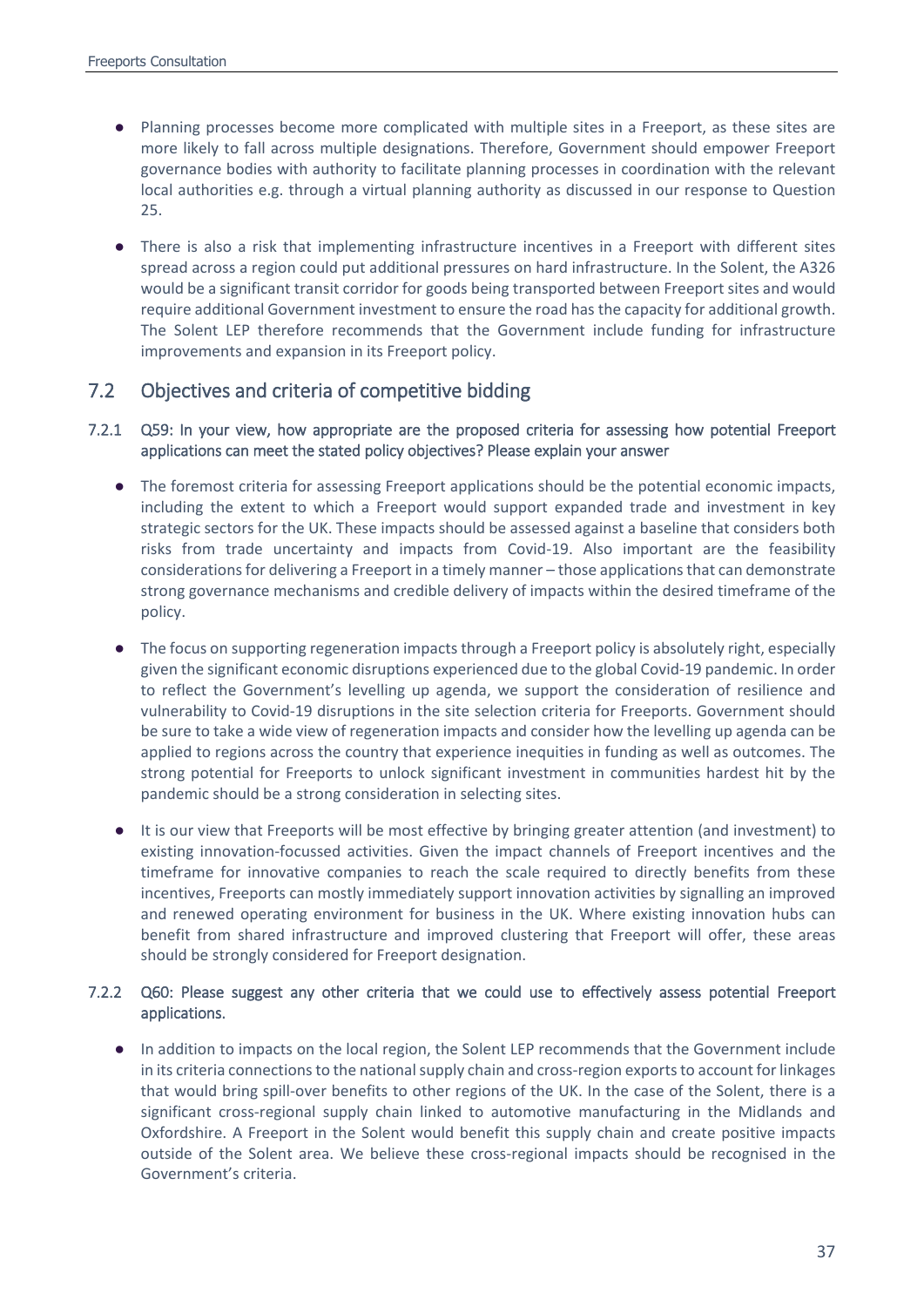- Planning processes become more complicated with multiple sites in a Freeport, as these sites are more likely to fall across multiple designations. Therefore, Government should empower Freeport governance bodies with authority to facilitate planning processes in coordination with the relevant local authorities e.g. through a virtual planning authority as discussed in our response to Question 25.
- There is also a risk that implementing infrastructure incentives in a Freeport with different sites spread across a region could put additional pressures on hard infrastructure. In the Solent, the A326 would be a significant transit corridor for goods being transported between Freeport sites and would require additional Government investment to ensure the road has the capacity for additional growth. The Solent LEP therefore recommends that the Government include funding for infrastructure improvements and expansion in its Freeport policy.

## 7.2 Objectives and criteria of competitive bidding

### 7.2.1 Q59: In your view, how appropriate are the proposed criteria for assessing how potential Freeport applications can meet the stated policy objectives? Please explain your answer

- The foremost criteria for assessing Freeport applications should be the potential economic impacts, including the extent to which a Freeport would support expanded trade and investment in key strategic sectors for the UK. These impacts should be assessed against a baseline that considers both risks from trade uncertainty and impacts from Covid-19. Also important are the feasibility considerations for delivering a Freeport in a timely manner – those applications that can demonstrate strong governance mechanisms and credible delivery of impacts within the desired timeframe of the policy.
- The focus on supporting regeneration impacts through a Freeport policy is absolutely right, especially given the significant economic disruptions experienced due to the global Covid-19 pandemic. In order to reflect the Government's levelling up agenda, we support the consideration of resilience and vulnerability to Covid-19 disruptions in the site selection criteria for Freeports. Government should be sure to take a wide view of regeneration impacts and consider how the levelling up agenda can be applied to regions across the country that experience inequities in funding as well as outcomes. The strong potential for Freeports to unlock significant investment in communities hardest hit by the pandemic should be a strong consideration in selecting sites.
- It is our view that Freeports will be most effective by bringing greater attention (and investment) to existing innovation-focussed activities. Given the impact channels of Freeport incentives and the timeframe for innovative companies to reach the scale required to directly benefits from these incentives, Freeports can mostly immediately support innovation activities by signalling an improved and renewed operating environment for business in the UK. Where existing innovation hubs can benefit from shared infrastructure and improved clustering that Freeport will offer, these areas should be strongly considered for Freeport designation.

## 7.2.2 Q60: Please suggest any other criteria that we could use to effectively assess potential Freeport applications.

● In addition to impacts on the local region, the Solent LEP recommends that the Government include in its criteria connections to the national supply chain and cross-region exports to account for linkages that would bring spill-over benefits to other regions of the UK. In the case of the Solent, there is a significant cross-regional supply chain linked to automotive manufacturing in the Midlands and Oxfordshire. A Freeport in the Solent would benefit this supply chain and create positive impacts outside of the Solent area. We believe these cross-regional impacts should be recognised in the Government's criteria.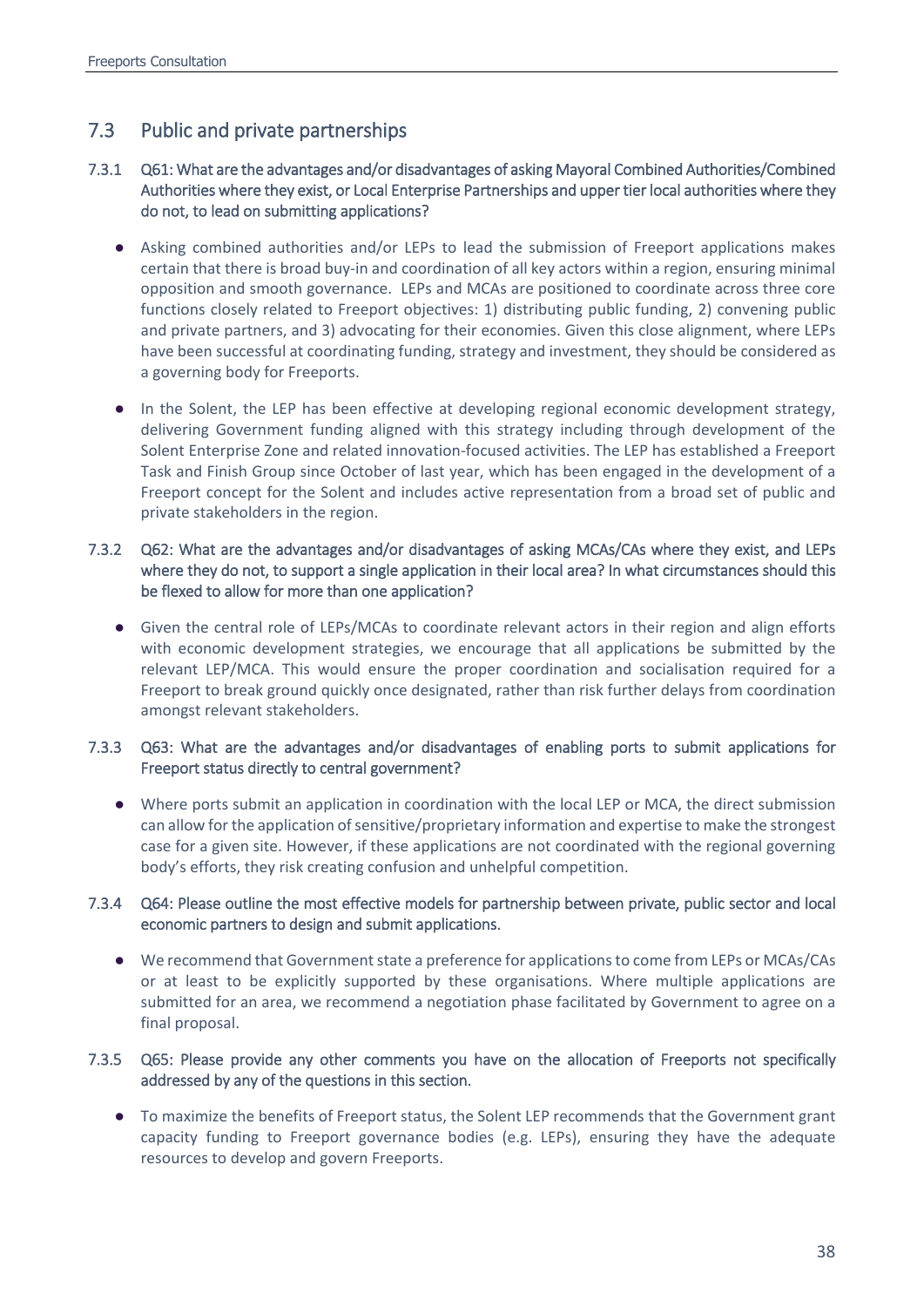# 7.3 Public and private partnerships

## 7.3.1 Q61: What are the advantages and/or disadvantages of asking Mayoral Combined Authorities/Combined Authorities where they exist, or Local Enterprise Partnerships and upper tier local authorities where they do not, to lead on submitting applications?

- Asking combined authorities and/or LEPs to lead the submission of Freeport applications makes certain that there is broad buy-in and coordination of all key actors within a region, ensuring minimal opposition and smooth governance. LEPs and MCAs are positioned to coordinate across three core functions closely related to Freeport objectives: 1) distributing public funding, 2) convening public and private partners, and 3) advocating for their economies. Given this close alignment, where LEPs have been successful at coordinating funding, strategy and investment, they should be considered as a governing body for Freeports.
- In the Solent, the LEP has been effective at developing regional economic development strategy, delivering Government funding aligned with this strategy including through development of the Solent Enterprise Zone and related innovation-focused activities. The LEP has established a Freeport Task and Finish Group since October of last year, which has been engaged in the development of a Freeport concept for the Solent and includes active representation from a broad set of public and private stakeholders in the region.

## 7.3.2 Q62: What are the advantages and/or disadvantages of asking MCAs/CAs where they exist, and LEPs where they do not, to support a single application in their local area? In what circumstances should this be flexed to allow for more than one application?

● Given the central role of LEPs/MCAs to coordinate relevant actors in their region and align efforts with economic development strategies, we encourage that all applications be submitted by the relevant LEP/MCA. This would ensure the proper coordination and socialisation required for a Freeport to break ground quickly once designated, rather than risk further delays from coordination amongst relevant stakeholders.

## 7.3.3 Q63: What are the advantages and/or disadvantages of enabling ports to submit applications for Freeport status directly to central government?

● Where ports submit an application in coordination with the local LEP or MCA, the direct submission can allow for the application of sensitive/proprietary information and expertise to make the strongest case for a given site. However, if these applications are not coordinated with the regional governing body's efforts, they risk creating confusion and unhelpful competition.

## 7.3.4 Q64: Please outline the most effective models for partnership between private, public sector and local economic partners to design and submit applications.

● We recommend that Government state a preference for applications to come from LEPs or MCAs/CAs or at least to be explicitly supported by these organisations. Where multiple applications are submitted for an area, we recommend a negotiation phase facilitated by Government to agree on a final proposal.

## 7.3.5 Q65: Please provide any other comments you have on the allocation of Freeports not specifically addressed by any of the questions in this section.

● To maximize the benefits of Freeport status, the Solent LEP recommends that the Government grant capacity funding to Freeport governance bodies (e.g. LEPs), ensuring they have the adequate resources to develop and govern Freeports.